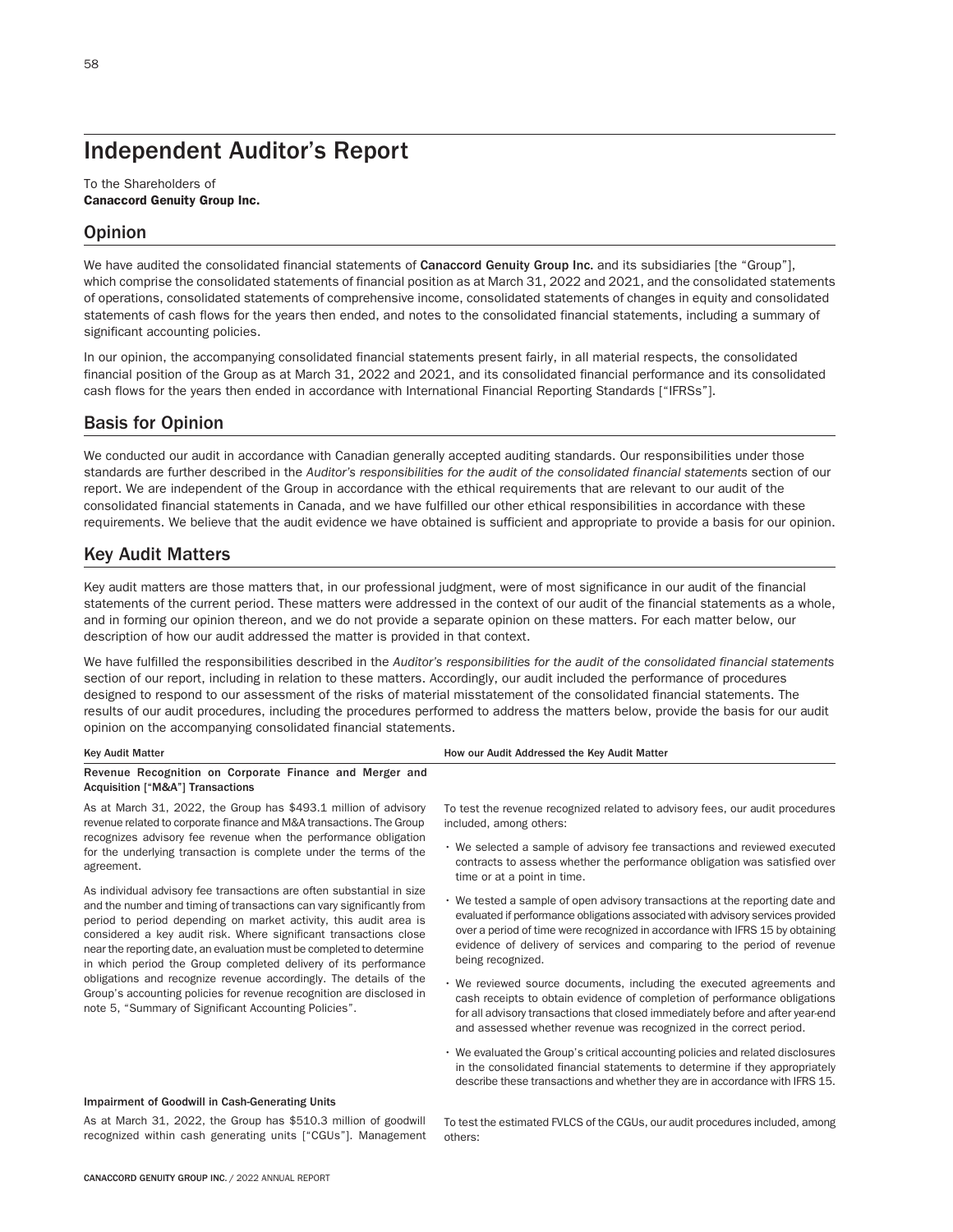# Independent Auditor's Report

To the Shareholders of Canaccord Genuity Group Inc.

# **Opinion**

We have audited the consolidated financial statements of Canaccord Genuity Group Inc. and its subsidiaries [the "Group"], which comprise the consolidated statements of financial position as at March 31, 2022 and 2021, and the consolidated statements of operations, consolidated statements of comprehensive income, consolidated statements of changes in equity and consolidated statements of cash flows for the years then ended, and notes to the consolidated financial statements, including a summary of significant accounting policies.

In our opinion, the accompanying consolidated financial statements present fairly, in all material respects, the consolidated financial position of the Group as at March 31, 2022 and 2021, and its consolidated financial performance and its consolidated cash flows for the years then ended in accordance with International Financial Reporting Standards ["IFRSs"].

# Basis for Opinion

We conducted our audit in accordance with Canadian generally accepted auditing standards. Our responsibilities under those standards are further described in the *Auditor's responsibilities for the audit of the consolidated financial statements* section of our report. We are independent of the Group in accordance with the ethical requirements that are relevant to our audit of the consolidated financial statements in Canada, and we have fulfilled our other ethical responsibilities in accordance with these requirements. We believe that the audit evidence we have obtained is sufficient and appropriate to provide a basis for our opinion.

# Key Audit Matters

Key audit matters are those matters that, in our professional judgment, were of most significance in our audit of the financial statements of the current period. These matters were addressed in the context of our audit of the financial statements as a whole, and in forming our opinion thereon, and we do not provide a separate opinion on these matters. For each matter below, our description of how our audit addressed the matter is provided in that context.

We have fulfilled the responsibilities described in the *Auditor's responsibilities for the audit of the consolidated financial statements* section of our report, including in relation to these matters. Accordingly, our audit included the performance of procedures designed to respond to our assessment of the risks of material misstatement of the consolidated financial statements. The results of our audit procedures, including the procedures performed to address the matters below, provide the basis for our audit opinion on the accompanying consolidated financial statements.

| <b>Key Audit Matter</b>                                                                                                                                                                                                                                                                                                                                                                                                              | How our Audit Addressed the Key Audit Matter                                                                                                                                                                                                                                                                                                     |
|--------------------------------------------------------------------------------------------------------------------------------------------------------------------------------------------------------------------------------------------------------------------------------------------------------------------------------------------------------------------------------------------------------------------------------------|--------------------------------------------------------------------------------------------------------------------------------------------------------------------------------------------------------------------------------------------------------------------------------------------------------------------------------------------------|
| Revenue Recognition on Corporate Finance and Merger and<br>Acquisition ["M&A"] Transactions                                                                                                                                                                                                                                                                                                                                          |                                                                                                                                                                                                                                                                                                                                                  |
| As at March 31, 2022, the Group has \$493.1 million of advisory<br>revenue related to corporate finance and M&A transactions. The Group                                                                                                                                                                                                                                                                                              | To test the revenue recognized related to advisory fees, our audit procedures<br>included, among others:                                                                                                                                                                                                                                         |
| recognizes advisory fee revenue when the performance obligation<br>for the underlying transaction is complete under the terms of the<br>agreement.                                                                                                                                                                                                                                                                                   | • We selected a sample of advisory fee transactions and reviewed executed<br>contracts to assess whether the performance obligation was satisfied over<br>time or at a point in time.                                                                                                                                                            |
| As individual advisory fee transactions are often substantial in size<br>and the number and timing of transactions can vary significantly from<br>period to period depending on market activity, this audit area is<br>considered a key audit risk. Where significant transactions close<br>near the reporting date, an evaluation must be completed to determine<br>in which period the Group completed delivery of its performance | • We tested a sample of open advisory transactions at the reporting date and<br>evaluated if performance obligations associated with advisory services provided<br>over a period of time were recognized in accordance with IFRS 15 by obtaining<br>evidence of delivery of services and comparing to the period of revenue<br>being recognized. |
| obligations and recognize revenue accordingly. The details of the<br>Group's accounting policies for revenue recognition are disclosed in<br>note 5, "Summary of Significant Accounting Policies".                                                                                                                                                                                                                                   | • We reviewed source documents, including the executed agreements and<br>cash receipts to obtain evidence of completion of performance obligations<br>for all advisory transactions that closed immediately before and after year-end<br>and assessed whether revenue was recognized in the correct period.                                      |
|                                                                                                                                                                                                                                                                                                                                                                                                                                      | • We evaluated the Group's critical accounting policies and related disclosures<br>in the consolidated financial statements to determine if they appropriately<br>describe these transactions and whether they are in accordance with IFRS 15.                                                                                                   |
| Impairment of Goodwill in Cash-Generating Units                                                                                                                                                                                                                                                                                                                                                                                      |                                                                                                                                                                                                                                                                                                                                                  |
| As at March 31, 2022, the Group has \$510.3 million of goodwill<br>recognized within cash generating units ["CGUs"]. Management                                                                                                                                                                                                                                                                                                      | To test the estimated FVLCS of the CGUs, our audit procedures included, among<br>others:                                                                                                                                                                                                                                                         |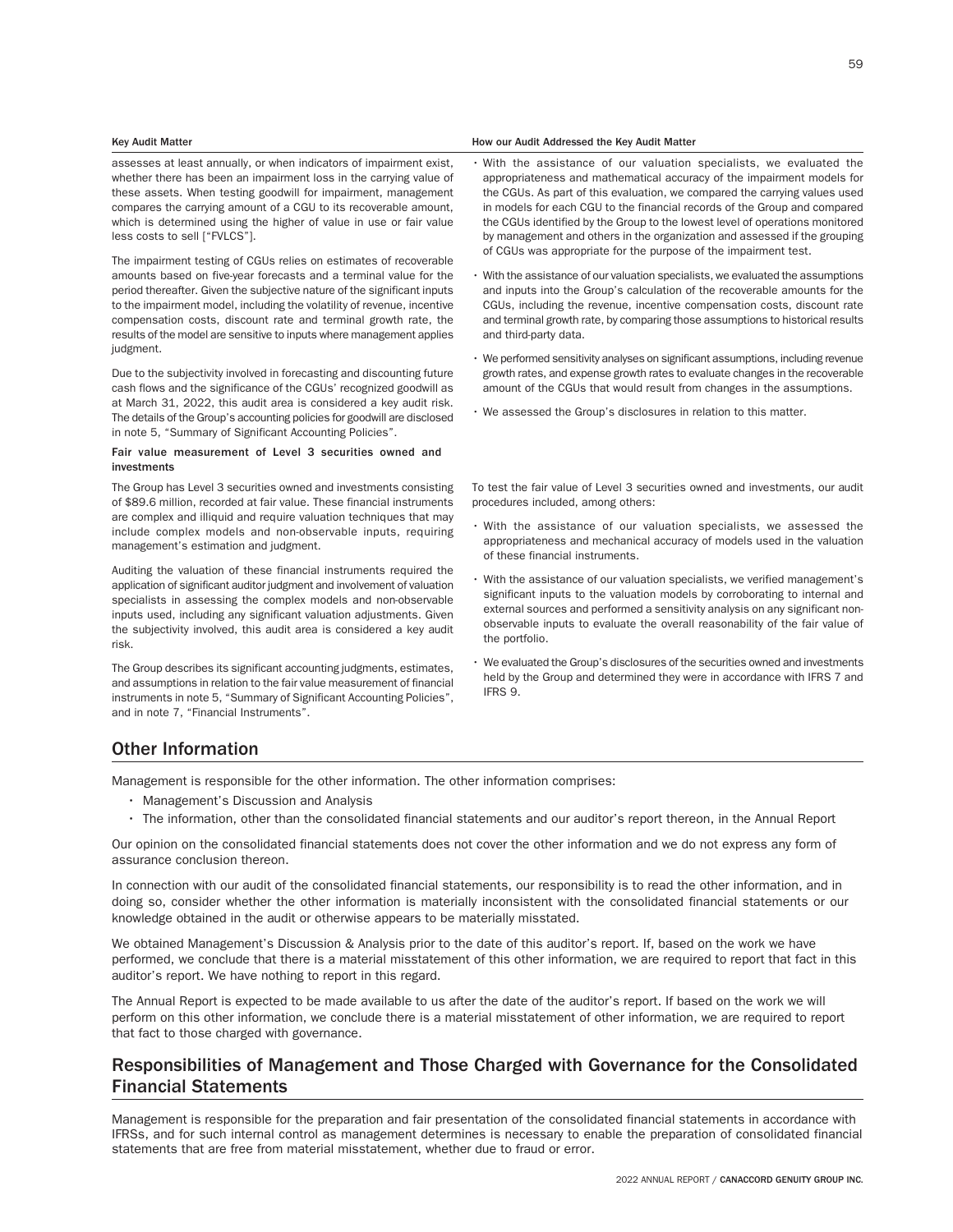#### Key Audit Matter **How our Audit Addressed the Key Audit Matter** How our Audit Addressed the Key Audit Matter

assesses at least annually, or when indicators of impairment exist, whether there has been an impairment loss in the carrying value of these assets. When testing goodwill for impairment, management compares the carrying amount of a CGU to its recoverable amount, which is determined using the higher of value in use or fair value less costs to sell ["FVLCS"].

The impairment testing of CGUs relies on estimates of recoverable amounts based on five-year forecasts and a terminal value for the period thereafter. Given the subjective nature of the significant inputs to the impairment model, including the volatility of revenue, incentive compensation costs, discount rate and terminal growth rate, the results of the model are sensitive to inputs where management applies judgment.

Due to the subjectivity involved in forecasting and discounting future cash flows and the significance of the CGUs' recognized goodwill as at March 31, 2022, this audit area is considered a key audit risk. The details of the Group's accounting policies for goodwill are disclosed in note 5, "Summary of Significant Accounting Policies".

#### Fair value measurement of Level 3 securities owned and investments

The Group has Level 3 securities owned and investments consisting of \$89.6 million, recorded at fair value. These financial instruments are complex and illiquid and require valuation techniques that may include complex models and non-observable inputs, requiring management's estimation and judgment.

Auditing the valuation of these financial instruments required the application of significant auditor judgment and involvement of valuation specialists in assessing the complex models and non-observable inputs used, including any significant valuation adjustments. Given the subjectivity involved, this audit area is considered a key audit risk.

The Group describes its significant accounting judgments, estimates, and assumptions in relation to the fair value measurement of financial instruments in note 5, "Summary of Significant Accounting Policies", and in note 7, "Financial Instruments".

- With the assistance of our valuation specialists, we evaluated the appropriateness and mathematical accuracy of the impairment models for the CGUs. As part of this evaluation, we compared the carrying values used in models for each CGU to the financial records of the Group and compared the CGUs identified by the Group to the lowest level of operations monitored by management and others in the organization and assessed if the grouping of CGUs was appropriate for the purpose of the impairment test.
- With the assistance of our valuation specialists, we evaluated the assumptions and inputs into the Group's calculation of the recoverable amounts for the CGUs, including the revenue, incentive compensation costs, discount rate and terminal growth rate, by comparing those assumptions to historical results and third-party data.
- We performed sensitivity analyses on significant assumptions, including revenue growth rates, and expense growth rates to evaluate changes in the recoverable amount of the CGUs that would result from changes in the assumptions.
- We assessed the Group's disclosures in relation to this matter.

To test the fair value of Level 3 securities owned and investments, our audit procedures included, among others:

- With the assistance of our valuation specialists, we assessed the appropriateness and mechanical accuracy of models used in the valuation of these financial instruments.
- With the assistance of our valuation specialists, we verified management's significant inputs to the valuation models by corroborating to internal and external sources and performed a sensitivity analysis on any significant nonobservable inputs to evaluate the overall reasonability of the fair value of the portfolio.
- We evaluated the Group's disclosures of the securities owned and investments held by the Group and determined they were in accordance with IFRS 7 and IFRS 9.

### Other Information

Management is responsible for the other information. The other information comprises:

- Management's Discussion and Analysis
- The information, other than the consolidated financial statements and our auditor's report thereon, in the Annual Report

Our opinion on the consolidated financial statements does not cover the other information and we do not express any form of assurance conclusion thereon.

In connection with our audit of the consolidated financial statements, our responsibility is to read the other information, and in doing so, consider whether the other information is materially inconsistent with the consolidated financial statements or our knowledge obtained in the audit or otherwise appears to be materially misstated.

We obtained Management's Discussion & Analysis prior to the date of this auditor's report. If, based on the work we have performed, we conclude that there is a material misstatement of this other information, we are required to report that fact in this auditor's report. We have nothing to report in this regard.

The Annual Report is expected to be made available to us after the date of the auditor's report. If based on the work we will perform on this other information, we conclude there is a material misstatement of other information, we are required to report that fact to those charged with governance.

# Responsibilities of Management and Those Charged with Governance for the Consolidated Financial Statements

Management is responsible for the preparation and fair presentation of the consolidated financial statements in accordance with IFRSs, and for such internal control as management determines is necessary to enable the preparation of consolidated financial statements that are free from material misstatement, whether due to fraud or error.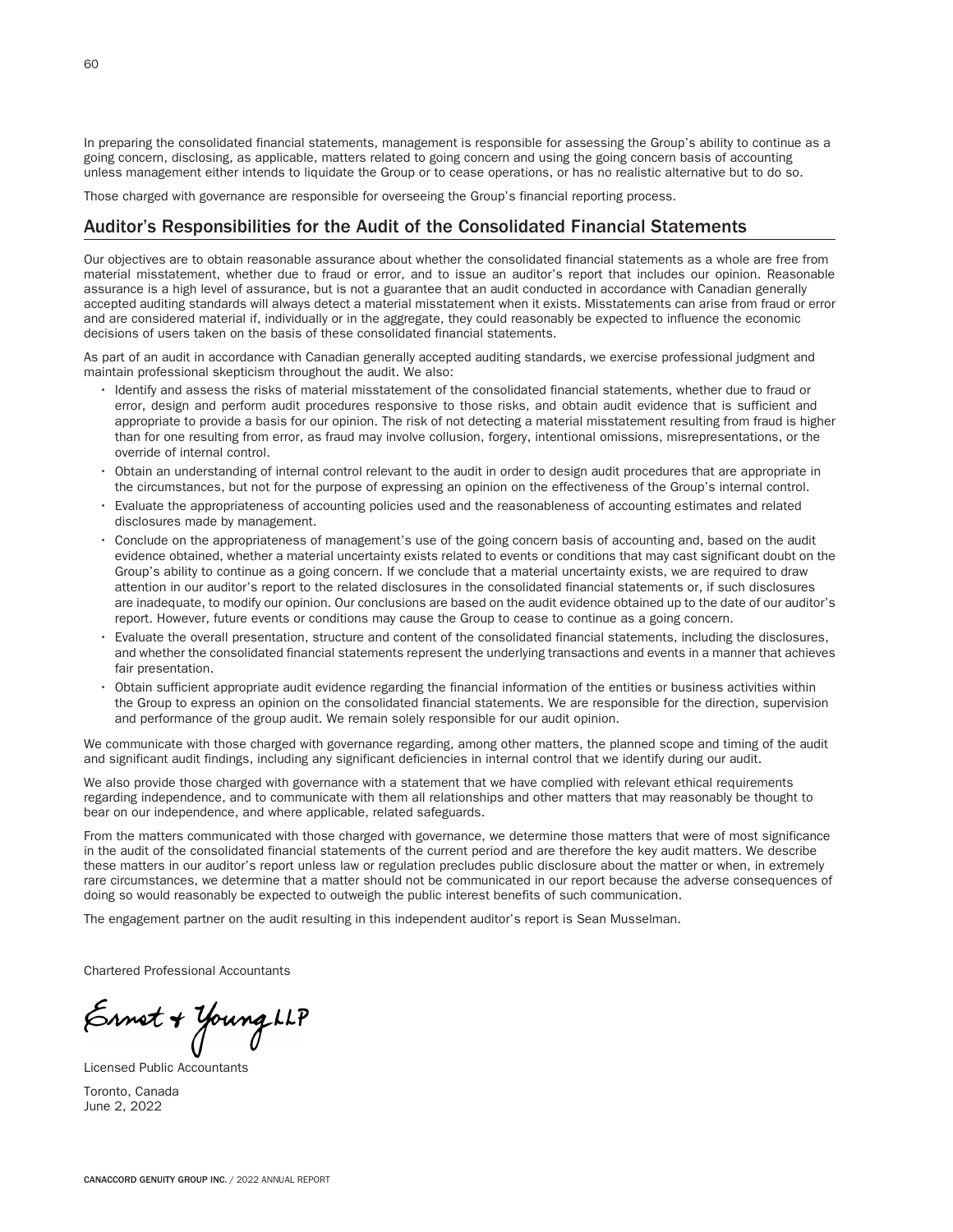In preparing the consolidated financial statements, management is responsible for assessing the Group's ability to continue as a going concern, disclosing, as applicable, matters related to going concern and using the going concern basis of accounting unless management either intends to liquidate the Group or to cease operations, or has no realistic alternative but to do so.

Those charged with governance are responsible for overseeing the Group's financial reporting process.

# Auditor's Responsibilities for the Audit of the Consolidated Financial Statements

Our objectives are to obtain reasonable assurance about whether the consolidated financial statements as a whole are free from material misstatement, whether due to fraud or error, and to issue an auditor's report that includes our opinion. Reasonable assurance is a high level of assurance, but is not a guarantee that an audit conducted in accordance with Canadian generally accepted auditing standards will always detect a material misstatement when it exists. Misstatements can arise from fraud or error and are considered material if, individually or in the aggregate, they could reasonably be expected to influence the economic decisions of users taken on the basis of these consolidated financial statements.

As part of an audit in accordance with Canadian generally accepted auditing standards, we exercise professional judgment and maintain professional skepticism throughout the audit. We also:

- Identify and assess the risks of material misstatement of the consolidated financial statements, whether due to fraud or error, design and perform audit procedures responsive to those risks, and obtain audit evidence that is sufficient and appropriate to provide a basis for our opinion. The risk of not detecting a material misstatement resulting from fraud is higher than for one resulting from error, as fraud may involve collusion, forgery, intentional omissions, misrepresentations, or the override of internal control.
- Obtain an understanding of internal control relevant to the audit in order to design audit procedures that are appropriate in the circumstances, but not for the purpose of expressing an opinion on the effectiveness of the Group's internal control.
- Evaluate the appropriateness of accounting policies used and the reasonableness of accounting estimates and related disclosures made by management.
- Conclude on the appropriateness of management's use of the going concern basis of accounting and, based on the audit evidence obtained, whether a material uncertainty exists related to events or conditions that may cast significant doubt on the Group's ability to continue as a going concern. If we conclude that a material uncertainty exists, we are required to draw attention in our auditor's report to the related disclosures in the consolidated financial statements or, if such disclosures are inadequate, to modify our opinion. Our conclusions are based on the audit evidence obtained up to the date of our auditor's report. However, future events or conditions may cause the Group to cease to continue as a going concern.
- Evaluate the overall presentation, structure and content of the consolidated financial statements, including the disclosures, and whether the consolidated financial statements represent the underlying transactions and events in a manner that achieves fair presentation.
- Obtain sufficient appropriate audit evidence regarding the financial information of the entities or business activities within the Group to express an opinion on the consolidated financial statements. We are responsible for the direction, supervision and performance of the group audit. We remain solely responsible for our audit opinion.

We communicate with those charged with governance regarding, among other matters, the planned scope and timing of the audit and significant audit findings, including any significant deficiencies in internal control that we identify during our audit.

We also provide those charged with governance with a statement that we have complied with relevant ethical requirements regarding independence, and to communicate with them all relationships and other matters that may reasonably be thought to bear on our independence, and where applicable, related safeguards.

From the matters communicated with those charged with governance, we determine those matters that were of most significance in the audit of the consolidated financial statements of the current period and are therefore the key audit matters. We describe these matters in our auditor's report unless law or regulation precludes public disclosure about the matter or when, in extremely rare circumstances, we determine that a matter should not be communicated in our report because the adverse consequences of doing so would reasonably be expected to outweigh the public interest benefits of such communication.

The engagement partner on the audit resulting in this independent auditor's report is Sean Musselman.

Chartered Professional Accountants

Ennet + Young LLP

Licensed Public Accountants

Toronto, Canada June 2, 2022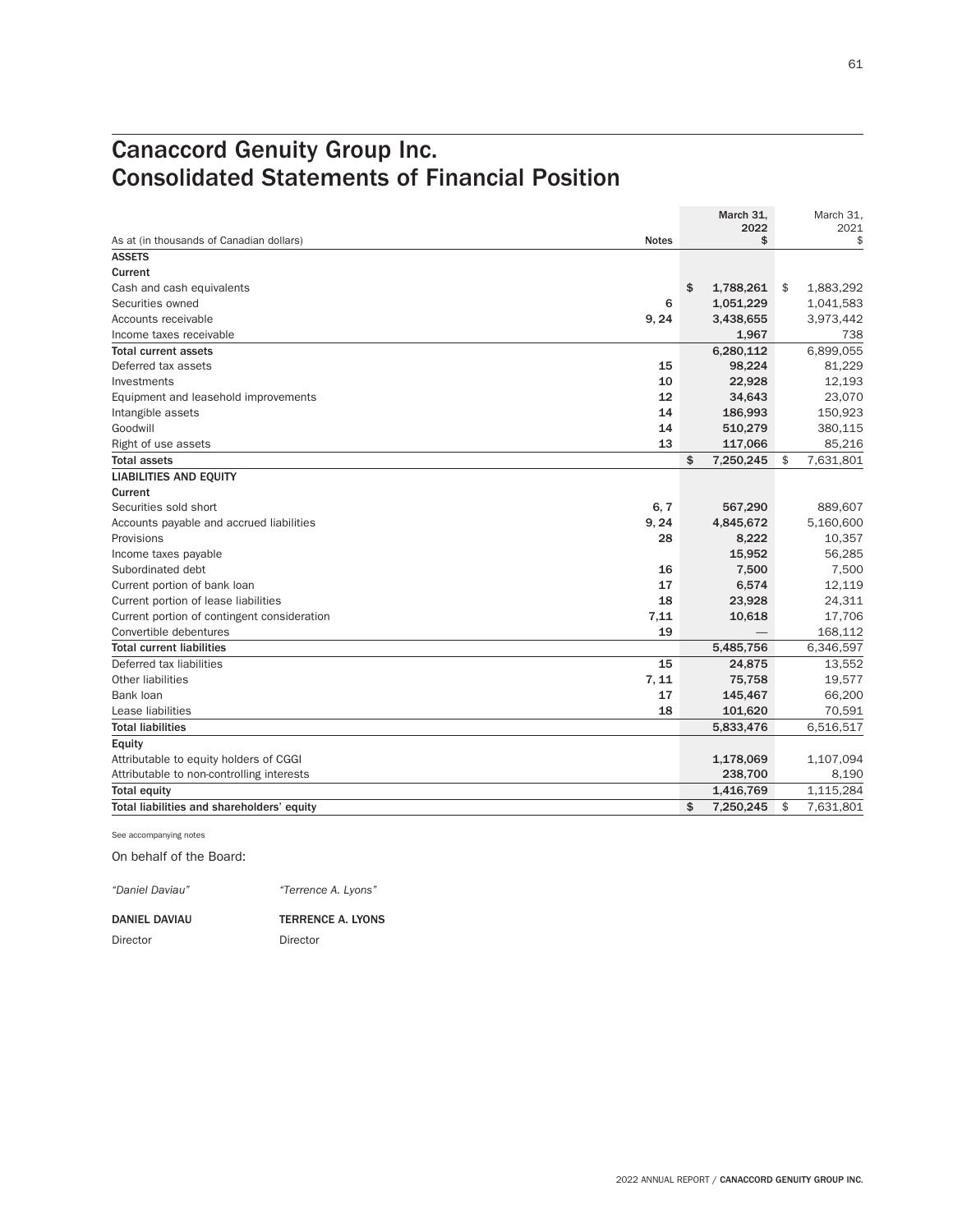# Canaccord Genuity Group Inc. Consolidated Statements of Financial Position

|                                                          |    | March 31,<br>2022 | March 31,<br>2021 |
|----------------------------------------------------------|----|-------------------|-------------------|
| As at (in thousands of Canadian dollars)<br><b>Notes</b> |    | \$                | \$                |
| <b>ASSETS</b>                                            |    |                   |                   |
| Current                                                  |    |                   |                   |
| Cash and cash equivalents                                | \$ | $1,788,261$ \$    | 1,883,292         |
| Securities owned                                         | 6  | 1,051,229         | 1,041,583         |
| 9, 24<br>Accounts receivable                             |    | 3,438,655         | 3,973,442         |
| Income taxes receivable                                  |    | 1.967             | 738               |
| <b>Total current assets</b>                              |    | 6,280,112         | 6,899,055         |
| 15<br>Deferred tax assets                                |    | 98,224            | 81,229            |
| Investments<br>10                                        |    | 22,928            | 12,193            |
| 12<br>Equipment and leasehold improvements               |    | 34,643            | 23,070            |
| Intangible assets<br>14                                  |    | 186,993           | 150,923           |
| 14<br>Goodwill                                           |    | 510,279           | 380,115           |
| 13<br>Right of use assets                                |    | 117,066           | 85,216            |
| <b>Total assets</b>                                      | \$ | 7,250,245         | \$<br>7,631,801   |
| <b>LIABILITIES AND EQUITY</b>                            |    |                   |                   |
| Current                                                  |    |                   |                   |
| Securities sold short<br>6, 7                            |    | 567,290           | 889,607           |
| 9, 24<br>Accounts payable and accrued liabilities        |    | 4,845,672         | 5,160,600         |
| 28<br>Provisions                                         |    | 8,222             | 10,357            |
| Income taxes payable                                     |    | 15.952            | 56,285            |
| Subordinated debt<br>16                                  |    | 7,500             | 7,500             |
| 17<br>Current portion of bank loan                       |    | 6,574             | 12,119            |
| 18<br>Current portion of lease liabilities               |    | 23,928            | 24,311            |
| 7,11<br>Current portion of contingent consideration      |    | 10,618            | 17,706            |
| 19<br>Convertible debentures                             |    |                   | 168,112           |
| <b>Total current liabilities</b>                         |    | 5,485,756         | 6,346,597         |
| 15<br>Deferred tax liabilities                           |    | 24,875            | 13,552            |
| 7, 11<br>Other liabilities                               |    | 75,758            | 19,577            |
| Bank loan<br>17                                          |    | 145,467           | 66,200            |
| 18<br>Lease liabilities                                  |    | 101,620           | 70,591            |
| <b>Total liabilities</b>                                 |    | 5,833,476         | 6,516,517         |
| Equity                                                   |    |                   |                   |
| Attributable to equity holders of CGGI                   |    | 1,178,069         | 1,107,094         |
| Attributable to non-controlling interests                |    | 238,700           | 8,190             |
| <b>Total equity</b>                                      |    | 1,416,769         | 1,115,284         |
| Total liabilities and shareholders' equity               | \$ | 7,250,245         | \$<br>7,631,801   |
|                                                          |    |                   |                   |

See accompanying notes

On behalf of the Board:

*"Daniel Daviau" "Terrence A. Lyons"*

| DANIEL DAVIAU | <b>TERRENCE A. LYONS</b> |
|---------------|--------------------------|
| Director      | Director                 |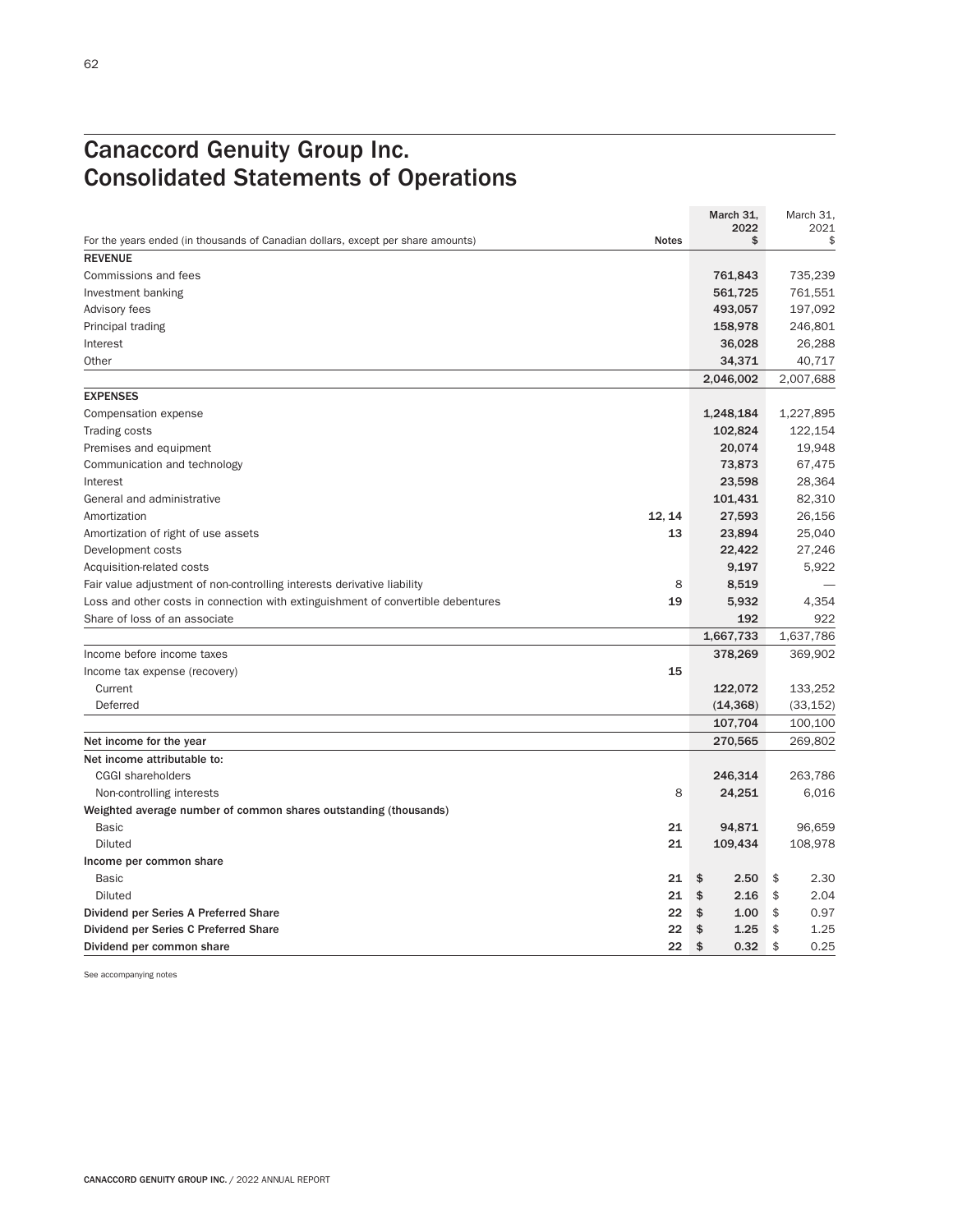# Canaccord Genuity Group Inc. Consolidated Statements of Operations

|                                                                                  |              | March 31,  | March 31,  |
|----------------------------------------------------------------------------------|--------------|------------|------------|
| For the years ended (in thousands of Canadian dollars, except per share amounts) | <b>Notes</b> | 2022<br>\$ | 2021<br>\$ |
| <b>REVENUE</b>                                                                   |              |            |            |
| Commissions and fees                                                             |              | 761,843    | 735,239    |
| Investment banking                                                               |              | 561,725    | 761,551    |
| Advisory fees                                                                    |              | 493,057    | 197,092    |
| Principal trading                                                                |              | 158,978    | 246,801    |
| Interest                                                                         |              | 36,028     | 26,288     |
| Other                                                                            |              | 34,371     | 40,717     |
|                                                                                  |              | 2,046,002  | 2,007,688  |
| <b>EXPENSES</b>                                                                  |              |            |            |
| Compensation expense                                                             |              | 1,248,184  | 1,227,895  |
| Trading costs                                                                    |              | 102,824    | 122,154    |
| Premises and equipment                                                           |              | 20,074     | 19,948     |
| Communication and technology                                                     |              | 73,873     | 67,475     |
| Interest                                                                         |              | 23,598     | 28,364     |
| General and administrative                                                       |              | 101,431    | 82,310     |
| Amortization                                                                     | 12.14        | 27,593     | 26,156     |
| Amortization of right of use assets                                              | 13           | 23,894     | 25,040     |
| Development costs                                                                |              | 22,422     | 27,246     |
| Acquisition-related costs                                                        |              | 9,197      | 5,922      |
| Fair value adjustment of non-controlling interests derivative liability          | 8            | 8,519      |            |
| Loss and other costs in connection with extinguishment of convertible debentures | 19           | 5,932      | 4,354      |
| Share of loss of an associate                                                    |              | 192        | 922        |
|                                                                                  |              | 1,667,733  | 1,637,786  |
| Income before income taxes                                                       |              | 378,269    | 369,902    |
| Income tax expense (recovery)                                                    | 15           |            |            |
| Current                                                                          |              | 122,072    | 133,252    |
| Deferred                                                                         |              | (14, 368)  | (33, 152)  |
|                                                                                  |              | 107,704    | 100,100    |
| Net income for the year                                                          |              | 270,565    | 269,802    |
| Net income attributable to:                                                      |              |            |            |
| <b>CGGI shareholders</b>                                                         |              | 246,314    | 263,786    |
| Non-controlling interests                                                        | 8            | 24,251     | 6,016      |
| Weighted average number of common shares outstanding (thousands)                 |              |            |            |
| <b>Basic</b>                                                                     | 21           | 94,871     | 96,659     |
| <b>Diluted</b>                                                                   | 21           | 109,434    | 108,978    |
| Income per common share                                                          |              |            |            |
| <b>Basic</b>                                                                     | 21           | \$<br>2.50 | \$<br>2.30 |
| <b>Diluted</b>                                                                   | 21           | \$<br>2.16 | \$<br>2.04 |
| Dividend per Series A Preferred Share                                            | 22           | \$<br>1.00 | \$<br>0.97 |
| Dividend per Series C Preferred Share                                            | 22           | \$<br>1.25 | \$<br>1.25 |
| Dividend per common share                                                        | 22           | \$<br>0.32 | \$<br>0.25 |

See accompanying notes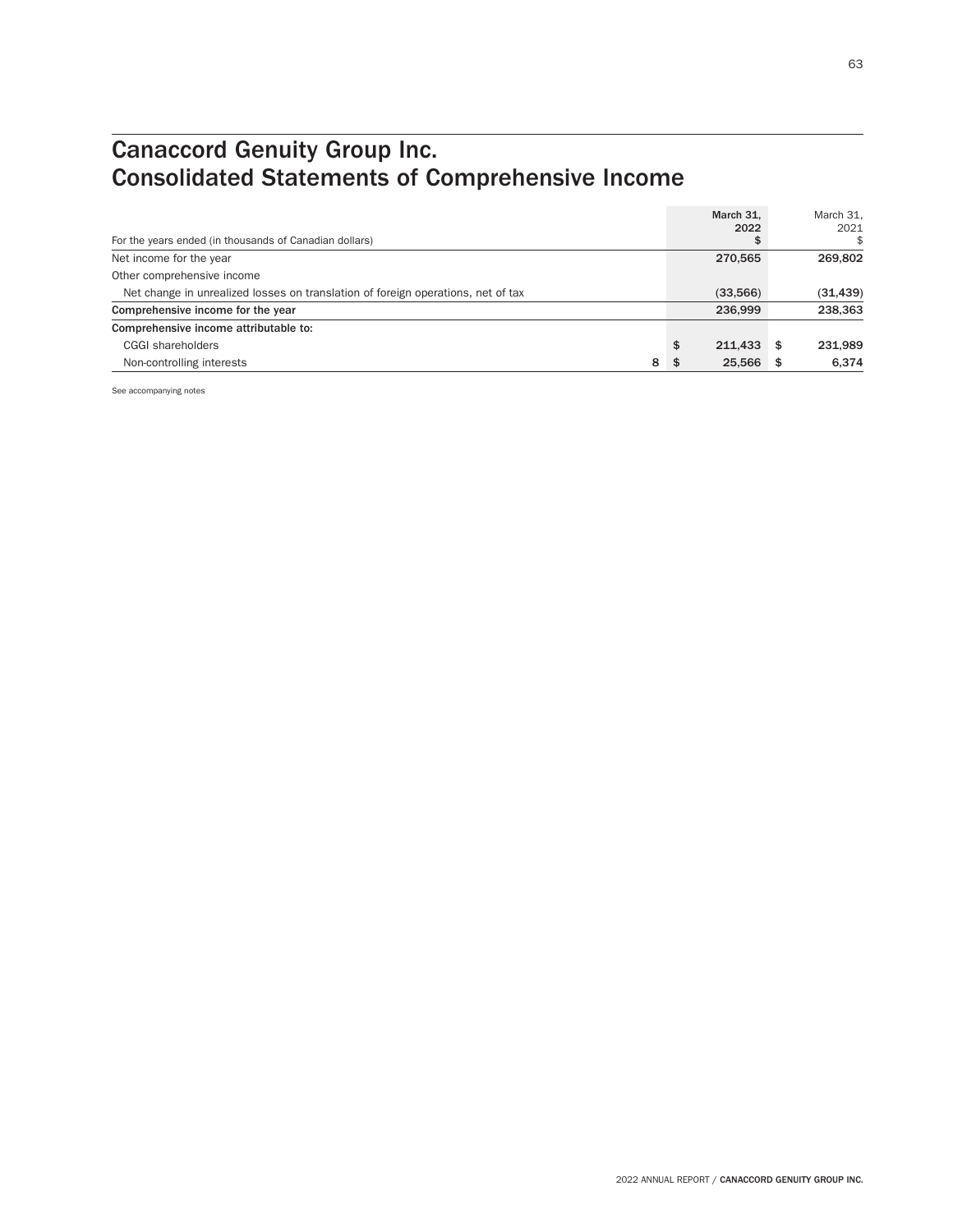# Canaccord Genuity Group Inc. Consolidated Statements of Comprehensive Income

|                                                                                  |    | March 31.<br>2022 |     | March 31,<br>2021 |
|----------------------------------------------------------------------------------|----|-------------------|-----|-------------------|
| For the years ended (in thousands of Canadian dollars)                           |    | \$                |     | \$                |
| Net income for the year                                                          |    | 270.565           |     | 269.802           |
| Other comprehensive income                                                       |    |                   |     |                   |
| Net change in unrealized losses on translation of foreign operations, net of tax |    | (33,566)          |     | (31, 439)         |
| Comprehensive income for the year                                                |    | 236,999           |     | 238,363           |
| Comprehensive income attributable to:                                            |    |                   |     |                   |
| CGGI shareholders                                                                | \$ | 211.433           | \$. | 231.989           |
| 8<br>Non-controlling interests                                                   | S  | 25.566            |     | 6.374             |

See accompanying notes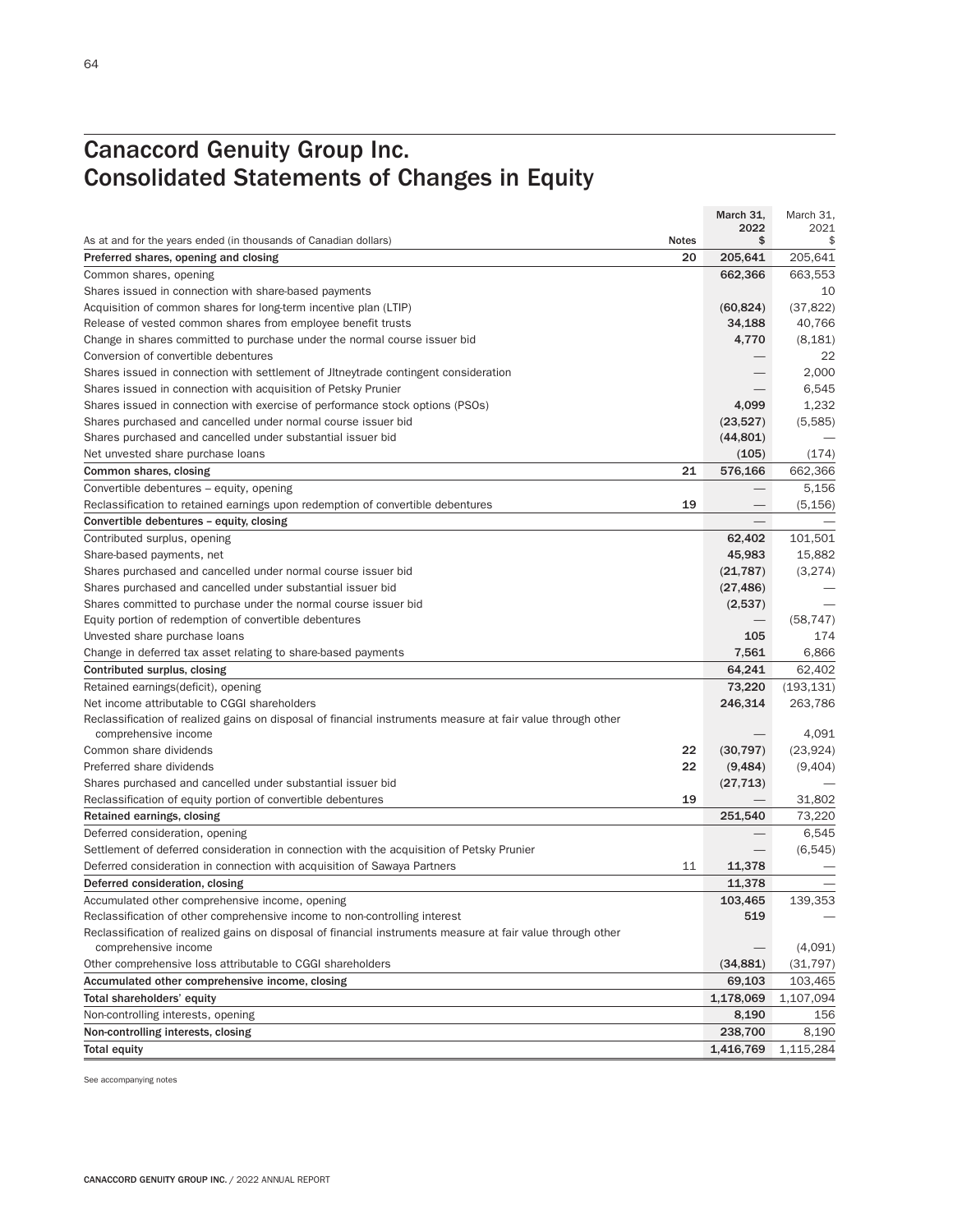# Canaccord Genuity Group Inc. Consolidated Statements of Changes in Equity

|                                                                                                             |              | March 31,                | March 31.  |
|-------------------------------------------------------------------------------------------------------------|--------------|--------------------------|------------|
| As at and for the years ended (in thousands of Canadian dollars)                                            | <b>Notes</b> | 2022<br>\$               | 2021<br>\$ |
| Preferred shares, opening and closing                                                                       | 20           | 205,641                  | 205,641    |
| Common shares, opening                                                                                      |              | 662,366                  | 663,553    |
| Shares issued in connection with share-based payments                                                       |              |                          | 10         |
| Acquisition of common shares for long-term incentive plan (LTIP)                                            |              | (60, 824)                | (37, 822)  |
| Release of vested common shares from employee benefit trusts                                                |              | 34,188                   | 40,766     |
| Change in shares committed to purchase under the normal course issuer bid                                   |              | 4,770                    | (8, 181)   |
| Conversion of convertible debentures                                                                        |              |                          | 22         |
| Shares issued in connection with settlement of Jltneytrade contingent consideration                         |              |                          | 2,000      |
| Shares issued in connection with acquisition of Petsky Prunier                                              |              |                          | 6,545      |
| Shares issued in connection with exercise of performance stock options (PSOs)                               |              | 4,099                    | 1,232      |
| Shares purchased and cancelled under normal course issuer bid                                               |              | (23, 527)                | (5,585)    |
| Shares purchased and cancelled under substantial issuer bid                                                 |              | (44,801)                 |            |
| Net unvested share purchase loans                                                                           |              | (105)                    | (174)      |
| Common shares, closing                                                                                      | 21           | 576,166                  | 662,366    |
| Convertible debentures – equity, opening                                                                    |              |                          | 5,156      |
| Reclassification to retained earnings upon redemption of convertible debentures                             | 19           |                          | (5, 156)   |
| Convertible debentures - equity, closing                                                                    |              |                          |            |
|                                                                                                             |              |                          |            |
| Contributed surplus, opening                                                                                |              | 62,402                   | 101,501    |
| Share-based payments, net                                                                                   |              | 45,983                   | 15,882     |
| Shares purchased and cancelled under normal course issuer bid                                               |              | (21, 787)                | (3,274)    |
| Shares purchased and cancelled under substantial issuer bid                                                 |              | (27, 486)                |            |
| Shares committed to purchase under the normal course issuer bid                                             |              | (2,537)                  |            |
| Equity portion of redemption of convertible debentures                                                      |              |                          | (58, 747)  |
| Unvested share purchase loans                                                                               |              | 105                      | 174        |
| Change in deferred tax asset relating to share-based payments                                               |              | 7,561                    | 6,866      |
| Contributed surplus, closing                                                                                |              | 64,241                   | 62,402     |
| Retained earnings(deficit), opening                                                                         |              | 73,220                   | (193, 131) |
| Net income attributable to CGGI shareholders                                                                |              | 246,314                  | 263,786    |
| Reclassification of realized gains on disposal of financial instruments measure at fair value through other |              |                          |            |
| comprehensive income                                                                                        | 22           |                          | 4,091      |
| Common share dividends                                                                                      | 22           | (30, 797)                | (23, 924)  |
| Preferred share dividends                                                                                   |              | (9,484)                  | (9,404)    |
| Shares purchased and cancelled under substantial issuer bid                                                 |              | (27, 713)                |            |
| Reclassification of equity portion of convertible debentures                                                | 19           |                          | 31,802     |
| Retained earnings, closing                                                                                  |              | 251,540                  | 73,220     |
| Deferred consideration, opening                                                                             |              |                          | 6,545      |
| Settlement of deferred consideration in connection with the acquisition of Petsky Prunier                   |              | $\overline{\phantom{0}}$ | (6, 545)   |
| Deferred consideration in connection with acquisition of Sawaya Partners                                    | 11           | 11,378                   |            |
| Deferred consideration, closing                                                                             |              | 11,378                   |            |
| Accumulated other comprehensive income, opening                                                             |              | 103,465                  | 139,353    |
| Reclassification of other comprehensive income to non-controlling interest                                  |              | 519                      |            |
| Reclassification of realized gains on disposal of financial instruments measure at fair value through other |              |                          |            |
| comprehensive income                                                                                        |              |                          | (4,091)    |
| Other comprehensive loss attributable to CGGI shareholders                                                  |              | (34, 881)                | (31, 797)  |
| Accumulated other comprehensive income, closing                                                             |              | 69,103                   | 103,465    |
| Total shareholders' equity                                                                                  |              | 1,178,069                | 1,107,094  |
| Non-controlling interests, opening                                                                          |              | 8,190                    | 156        |
| Non-controlling interests, closing                                                                          |              | 238,700                  | 8,190      |
| <b>Total equity</b>                                                                                         |              | 1,416,769                | 1,115,284  |

See accompanying notes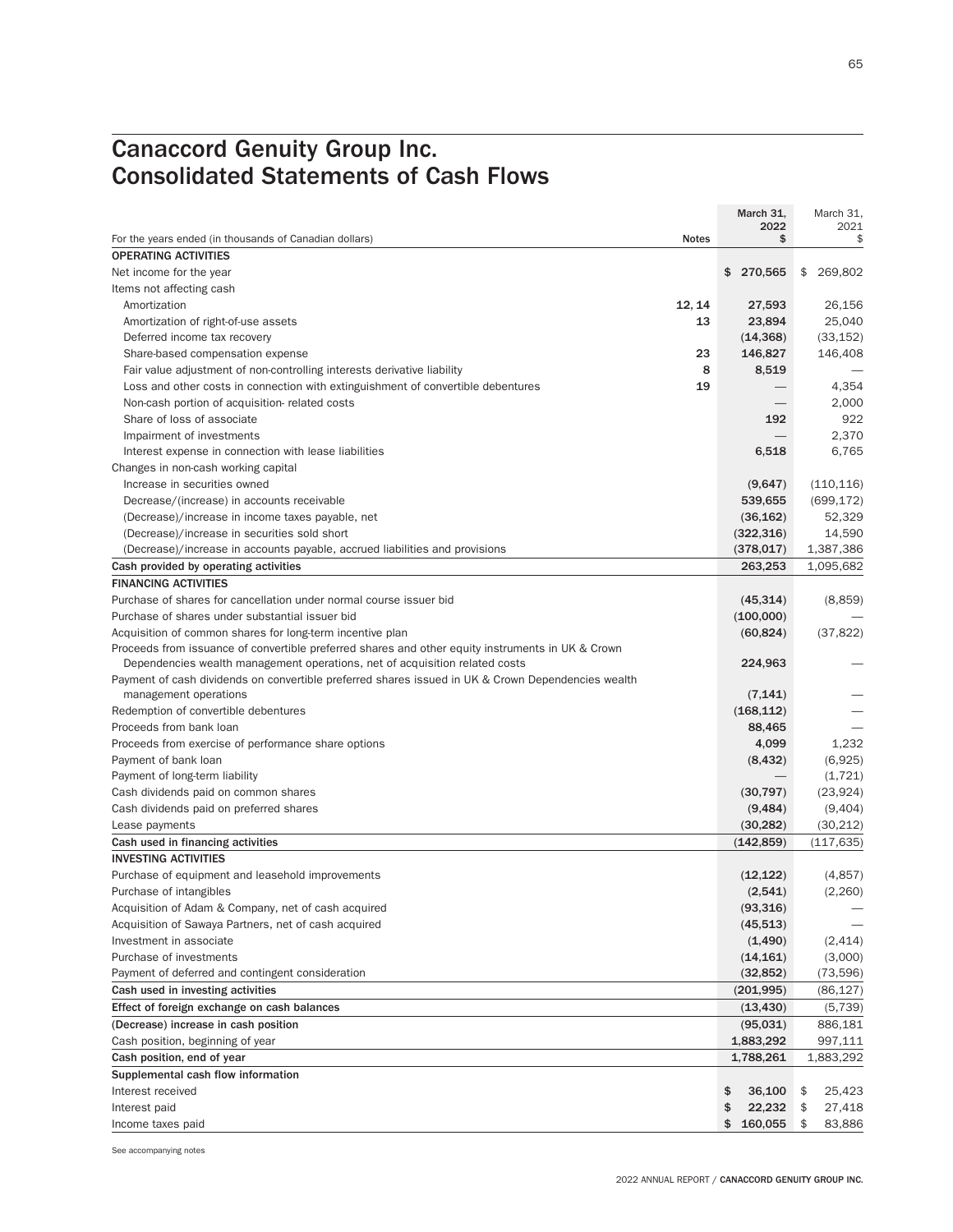# Canaccord Genuity Group Inc. Consolidated Statements of Cash Flows

|                                                                                                    |              | March 31,     | March 31,     |
|----------------------------------------------------------------------------------------------------|--------------|---------------|---------------|
| For the years ended (in thousands of Canadian dollars)                                             | <b>Notes</b> | 2022<br>\$    | 2021<br>\$    |
| <b>OPERATING ACTIVITIES</b>                                                                        |              |               |               |
| Net income for the year                                                                            |              | \$<br>270,565 | 269,802<br>\$ |
| Items not affecting cash                                                                           |              |               |               |
| Amortization                                                                                       | 12, 14       | 27,593        | 26,156        |
| Amortization of right-of-use assets                                                                | 13           | 23,894        | 25,040        |
| Deferred income tax recovery                                                                       |              | (14, 368)     | (33, 152)     |
| Share-based compensation expense                                                                   | 23           | 146,827       | 146,408       |
| Fair value adjustment of non-controlling interests derivative liability                            | 8            | 8,519         |               |
| Loss and other costs in connection with extinguishment of convertible debentures                   | 19           |               | 4,354         |
| Non-cash portion of acquisition-related costs                                                      |              |               | 2,000         |
| Share of loss of associate                                                                         |              | 192           | 922           |
| Impairment of investments                                                                          |              |               | 2,370         |
| Interest expense in connection with lease liabilities                                              |              | 6,518         | 6,765         |
| Changes in non-cash working capital                                                                |              |               |               |
| Increase in securities owned                                                                       |              | (9,647)       | (110, 116)    |
| Decrease/(increase) in accounts receivable                                                         |              | 539,655       | (699, 172)    |
| (Decrease)/increase in income taxes payable, net                                                   |              | (36, 162)     | 52,329        |
| (Decrease)/increase in securities sold short                                                       |              | (322, 316)    | 14,590        |
| (Decrease)/increase in accounts payable, accrued liabilities and provisions                        |              | (378, 017)    | 1,387,386     |
| Cash provided by operating activities                                                              |              | 263,253       | 1,095,682     |
| <b>FINANCING ACTIVITIES</b>                                                                        |              |               |               |
| Purchase of shares for cancellation under normal course issuer bid                                 |              | (45, 314)     | (8,859)       |
| Purchase of shares under substantial issuer bid                                                    |              | (100,000)     |               |
| Acquisition of common shares for long-term incentive plan                                          |              | (60, 824)     | (37, 822)     |
| Proceeds from issuance of convertible preferred shares and other equity instruments in UK & Crown  |              |               |               |
| Dependencies wealth management operations, net of acquisition related costs                        |              | 224,963       |               |
| Payment of cash dividends on convertible preferred shares issued in UK & Crown Dependencies wealth |              |               |               |
| management operations                                                                              |              | (7, 141)      |               |
| Redemption of convertible debentures                                                               |              | (168, 112)    |               |
| Proceeds from bank loan                                                                            |              | 88,465        |               |
| Proceeds from exercise of performance share options                                                |              | 4,099         | 1,232         |
| Payment of bank loan                                                                               |              | (8, 432)      | (6,925)       |
| Payment of long-term liability                                                                     |              |               | (1, 721)      |
| Cash dividends paid on common shares                                                               |              | (30, 797)     | (23, 924)     |
| Cash dividends paid on preferred shares                                                            |              | (9, 484)      | (9,404)       |
| Lease payments                                                                                     |              | (30, 282)     | (30, 212)     |
| Cash used in financing activities                                                                  |              | (142, 859)    | (117, 635)    |
| <b>INVESTING ACTIVITIES</b>                                                                        |              |               |               |
| Purchase of equipment and leasehold improvements                                                   |              | (12, 122)     | (4,857)       |
| Purchase of intangibles                                                                            |              | (2,541)       | (2,260)       |
| Acquisition of Adam & Company, net of cash acquired                                                |              | (93, 316)     |               |
| Acquisition of Sawaya Partners, net of cash acquired                                               |              | (45, 513)     |               |
| Investment in associate                                                                            |              | (1, 490)      | (2,414)       |
| Purchase of investments                                                                            |              | (14, 161)     | (3,000)       |
| Payment of deferred and contingent consideration                                                   |              | (32, 852)     | (73, 596)     |
| Cash used in investing activities                                                                  |              | (201, 995)    | (86, 127)     |
| Effect of foreign exchange on cash balances                                                        |              | (13, 430)     | (5, 739)      |
| (Decrease) increase in cash position                                                               |              | (95,031)      | 886,181       |
| Cash position, beginning of year                                                                   |              | 1,883,292     | 997,111       |
| Cash position, end of year                                                                         |              | 1,788,261     | 1,883,292     |
| Supplemental cash flow information                                                                 |              |               |               |
| Interest received                                                                                  |              |               |               |
|                                                                                                    |              | \$<br>36,100  | 25,423<br>\$  |
| Interest paid                                                                                      |              | \$<br>22,232  | 27,418<br>\$  |
| Income taxes paid                                                                                  |              | \$160,055     | 83,886<br>\$  |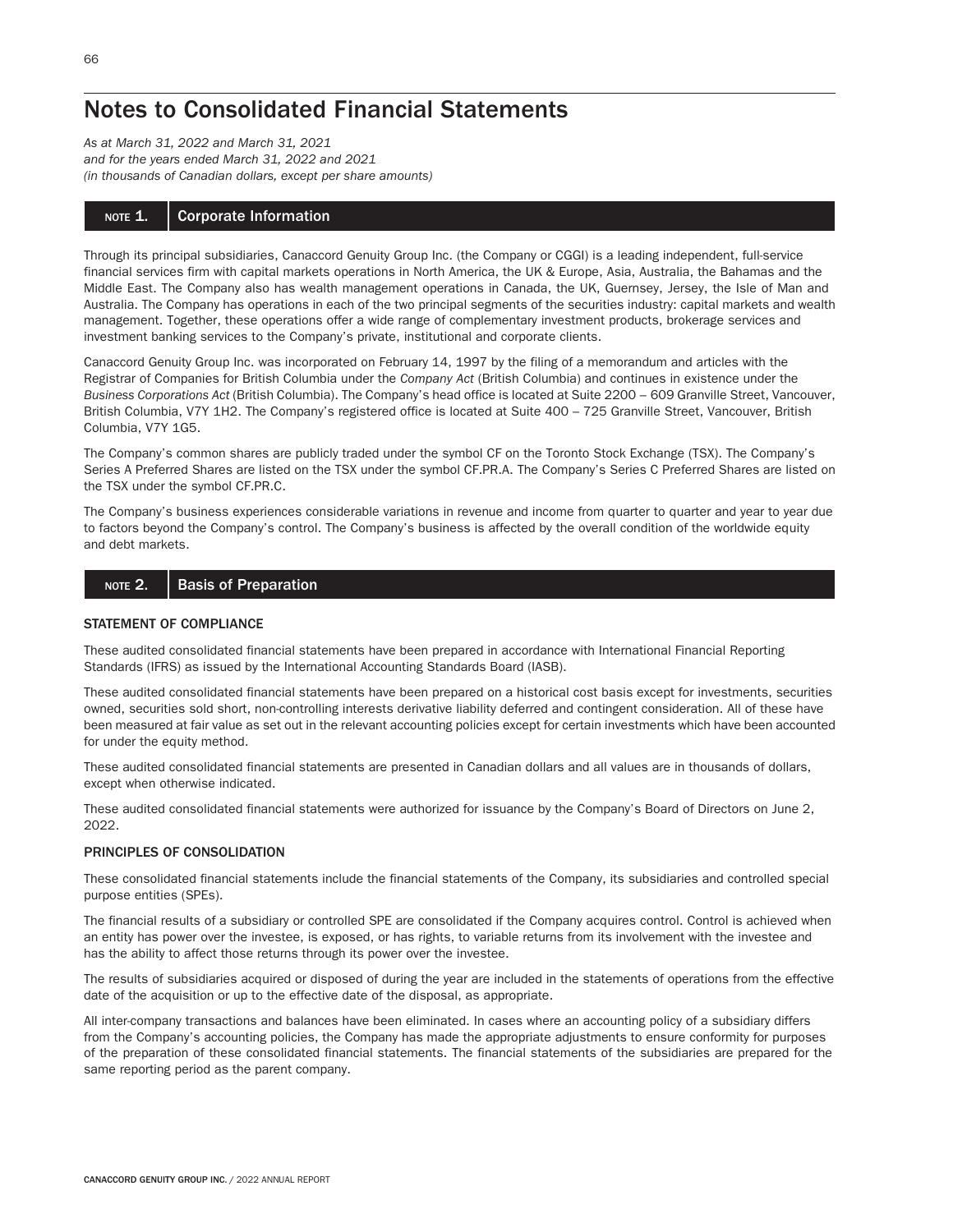# Notes to Consolidated Financial Statements

*As at March 31, 2022 and March 31, 2021 and for the years ended March 31, 2022 and 2021 (in thousands of Canadian dollars, except per share amounts)*

# NOTE 1. | Corporate Information

Through its principal subsidiaries, Canaccord Genuity Group Inc. (the Company or CGGI) is a leading independent, full-service financial services firm with capital markets operations in North America, the UK & Europe, Asia, Australia, the Bahamas and the Middle East. The Company also has wealth management operations in Canada, the UK, Guernsey, Jersey, the Isle of Man and Australia. The Company has operations in each of the two principal segments of the securities industry: capital markets and wealth management. Together, these operations offer a wide range of complementary investment products, brokerage services and investment banking services to the Company's private, institutional and corporate clients.

Canaccord Genuity Group Inc. was incorporated on February 14, 1997 by the filing of a memorandum and articles with the Registrar of Companies for British Columbia under the *Company Act* (British Columbia) and continues in existence under the *Business Corporations Act* (British Columbia). The Company's head office is located at Suite 2200 – 609 Granville Street, Vancouver, British Columbia, V7Y 1H2. The Company's registered office is located at Suite 400 – 725 Granville Street, Vancouver, British Columbia, V7Y 1G5.

The Company's common shares are publicly traded under the symbol CF on the Toronto Stock Exchange (TSX). The Company's Series A Preferred Shares are listed on the TSX under the symbol CF.PR.A. The Company's Series C Preferred Shares are listed on the TSX under the symbol CF.PR.C.

The Company's business experiences considerable variations in revenue and income from quarter to quarter and year to year due to factors beyond the Company's control. The Company's business is affected by the overall condition of the worldwide equity and debt markets.

# NOTE 2. Basis of Preparation

#### STATEMENT OF COMPLIANCE

These audited consolidated financial statements have been prepared in accordance with International Financial Reporting Standards (IFRS) as issued by the International Accounting Standards Board (IASB).

These audited consolidated financial statements have been prepared on a historical cost basis except for investments, securities owned, securities sold short, non-controlling interests derivative liability deferred and contingent consideration. All of these have been measured at fair value as set out in the relevant accounting policies except for certain investments which have been accounted for under the equity method.

These audited consolidated financial statements are presented in Canadian dollars and all values are in thousands of dollars, except when otherwise indicated.

These audited consolidated financial statements were authorized for issuance by the Company's Board of Directors on June 2, 2022.

#### PRINCIPLES OF CONSOLIDATION

These consolidated financial statements include the financial statements of the Company, its subsidiaries and controlled special purpose entities (SPEs).

The financial results of a subsidiary or controlled SPE are consolidated if the Company acquires control. Control is achieved when an entity has power over the investee, is exposed, or has rights, to variable returns from its involvement with the investee and has the ability to affect those returns through its power over the investee.

The results of subsidiaries acquired or disposed of during the year are included in the statements of operations from the effective date of the acquisition or up to the effective date of the disposal, as appropriate.

All inter-company transactions and balances have been eliminated. In cases where an accounting policy of a subsidiary differs from the Company's accounting policies, the Company has made the appropriate adjustments to ensure conformity for purposes of the preparation of these consolidated financial statements. The financial statements of the subsidiaries are prepared for the same reporting period as the parent company.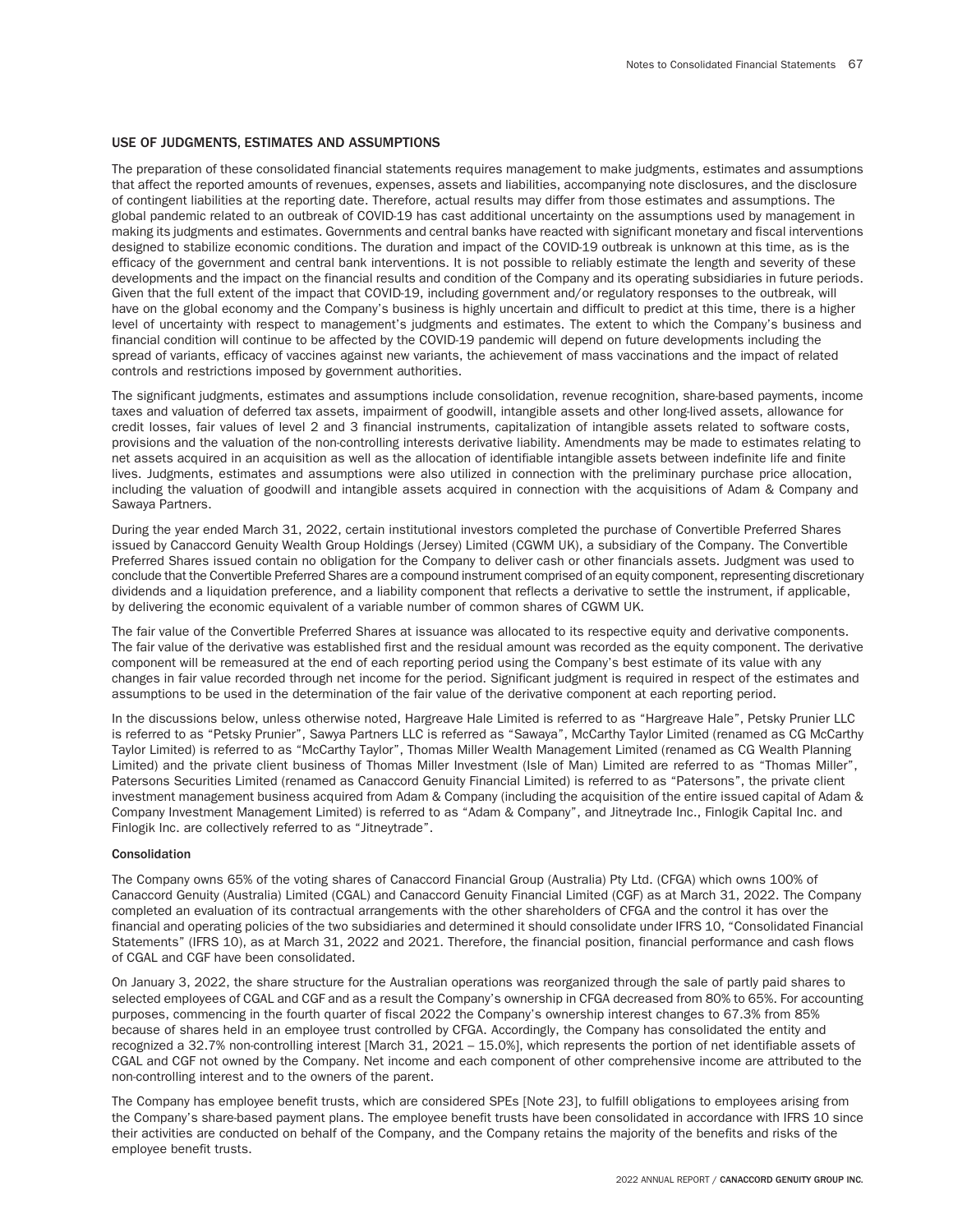#### USE OF JUDGMENTS, ESTIMATES AND ASSUMPTIONS

The preparation of these consolidated financial statements requires management to make judgments, estimates and assumptions that affect the reported amounts of revenues, expenses, assets and liabilities, accompanying note disclosures, and the disclosure of contingent liabilities at the reporting date. Therefore, actual results may differ from those estimates and assumptions. The global pandemic related to an outbreak of COVID-19 has cast additional uncertainty on the assumptions used by management in making its judgments and estimates. Governments and central banks have reacted with significant monetary and fiscal interventions designed to stabilize economic conditions. The duration and impact of the COVID-19 outbreak is unknown at this time, as is the efficacy of the government and central bank interventions. It is not possible to reliably estimate the length and severity of these developments and the impact on the financial results and condition of the Company and its operating subsidiaries in future periods. Given that the full extent of the impact that COVID-19, including government and/or regulatory responses to the outbreak, will have on the global economy and the Company's business is highly uncertain and difficult to predict at this time, there is a higher level of uncertainty with respect to management's judgments and estimates. The extent to which the Company's business and financial condition will continue to be affected by the COVID-19 pandemic will depend on future developments including the spread of variants, efficacy of vaccines against new variants, the achievement of mass vaccinations and the impact of related controls and restrictions imposed by government authorities.

The significant judgments, estimates and assumptions include consolidation, revenue recognition, share-based payments, income taxes and valuation of deferred tax assets, impairment of goodwill, intangible assets and other long-lived assets, allowance for credit losses, fair values of level 2 and 3 financial instruments, capitalization of intangible assets related to software costs, provisions and the valuation of the non-controlling interests derivative liability. Amendments may be made to estimates relating to net assets acquired in an acquisition as well as the allocation of identifiable intangible assets between indefinite life and finite lives. Judgments, estimates and assumptions were also utilized in connection with the preliminary purchase price allocation, including the valuation of goodwill and intangible assets acquired in connection with the acquisitions of Adam & Company and Sawaya Partners.

During the year ended March 31, 2022, certain institutional investors completed the purchase of Convertible Preferred Shares issued by Canaccord Genuity Wealth Group Holdings (Jersey) Limited (CGWM UK), a subsidiary of the Company. The Convertible Preferred Shares issued contain no obligation for the Company to deliver cash or other financials assets. Judgment was used to conclude that the Convertible Preferred Shares are a compound instrument comprised of an equity component, representing discretionary dividends and a liquidation preference, and a liability component that reflects a derivative to settle the instrument, if applicable, by delivering the economic equivalent of a variable number of common shares of CGWM UK.

The fair value of the Convertible Preferred Shares at issuance was allocated to its respective equity and derivative components. The fair value of the derivative was established first and the residual amount was recorded as the equity component. The derivative component will be remeasured at the end of each reporting period using the Company's best estimate of its value with any changes in fair value recorded through net income for the period. Significant judgment is required in respect of the estimates and assumptions to be used in the determination of the fair value of the derivative component at each reporting period.

In the discussions below, unless otherwise noted, Hargreave Hale Limited is referred to as "Hargreave Hale", Petsky Prunier LLC is referred to as "Petsky Prunier", Sawya Partners LLC is referred as "Sawaya", McCarthy Taylor Limited (renamed as CG McCarthy Taylor Limited) is referred to as "McCarthy Taylor", Thomas Miller Wealth Management Limited (renamed as CG Wealth Planning Limited) and the private client business of Thomas Miller Investment (Isle of Man) Limited are referred to as "Thomas Miller", Patersons Securities Limited (renamed as Canaccord Genuity Financial Limited) is referred to as "Patersons", the private client investment management business acquired from Adam & Company (including the acquisition of the entire issued capital of Adam & Company Investment Management Limited) is referred to as "Adam & Company", and Jitneytrade Inc., Finlogik Capital Inc. and Finlogik Inc. are collectively referred to as "Jitneytrade".

#### Consolidation

The Company owns 65% of the voting shares of Canaccord Financial Group (Australia) Pty Ltd. (CFGA) which owns 100% of Canaccord Genuity (Australia) Limited (CGAL) and Canaccord Genuity Financial Limited (CGF) as at March 31, 2022. The Company completed an evaluation of its contractual arrangements with the other shareholders of CFGA and the control it has over the financial and operating policies of the two subsidiaries and determined it should consolidate under IFRS 10, "Consolidated Financial Statements" (IFRS 10), as at March 31, 2022 and 2021. Therefore, the financial position, financial performance and cash flows of CGAL and CGF have been consolidated.

On January 3, 2022, the share structure for the Australian operations was reorganized through the sale of partly paid shares to selected employees of CGAL and CGF and as a result the Company's ownership in CFGA decreased from 80% to 65%. For accounting purposes, commencing in the fourth quarter of fiscal 2022 the Company's ownership interest changes to 67.3% from 85% because of shares held in an employee trust controlled by CFGA. Accordingly, the Company has consolidated the entity and recognized a 32.7% non-controlling interest [March 31, 2021 – 15.0%], which represents the portion of net identifiable assets of CGAL and CGF not owned by the Company. Net income and each component of other comprehensive income are attributed to the non-controlling interest and to the owners of the parent.

The Company has employee benefit trusts, which are considered SPEs [Note 23], to fulfill obligations to employees arising from the Company's share-based payment plans. The employee benefit trusts have been consolidated in accordance with IFRS 10 since their activities are conducted on behalf of the Company, and the Company retains the majority of the benefits and risks of the employee benefit trusts.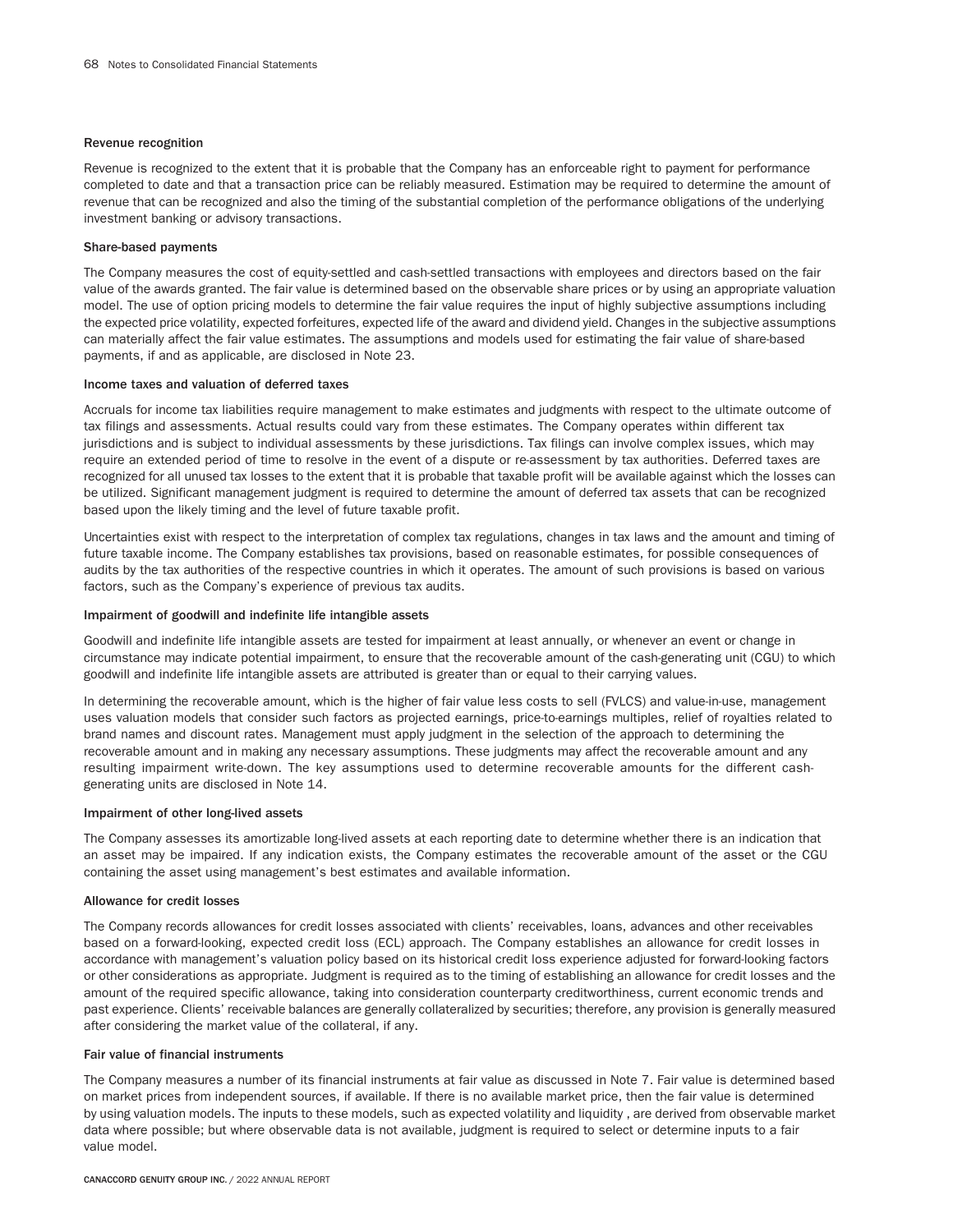#### Revenue recognition

Revenue is recognized to the extent that it is probable that the Company has an enforceable right to payment for performance completed to date and that a transaction price can be reliably measured. Estimation may be required to determine the amount of revenue that can be recognized and also the timing of the substantial completion of the performance obligations of the underlying investment banking or advisory transactions.

#### Share-based payments

The Company measures the cost of equity-settled and cash-settled transactions with employees and directors based on the fair value of the awards granted. The fair value is determined based on the observable share prices or by using an appropriate valuation model. The use of option pricing models to determine the fair value requires the input of highly subjective assumptions including the expected price volatility, expected forfeitures, expected life of the award and dividend yield. Changes in the subjective assumptions can materially affect the fair value estimates. The assumptions and models used for estimating the fair value of share-based payments, if and as applicable, are disclosed in Note 23.

#### Income taxes and valuation of deferred taxes

Accruals for income tax liabilities require management to make estimates and judgments with respect to the ultimate outcome of tax filings and assessments. Actual results could vary from these estimates. The Company operates within different tax jurisdictions and is subject to individual assessments by these jurisdictions. Tax filings can involve complex issues, which may require an extended period of time to resolve in the event of a dispute or re-assessment by tax authorities. Deferred taxes are recognized for all unused tax losses to the extent that it is probable that taxable profit will be available against which the losses can be utilized. Significant management judgment is required to determine the amount of deferred tax assets that can be recognized based upon the likely timing and the level of future taxable profit.

Uncertainties exist with respect to the interpretation of complex tax regulations, changes in tax laws and the amount and timing of future taxable income. The Company establishes tax provisions, based on reasonable estimates, for possible consequences of audits by the tax authorities of the respective countries in which it operates. The amount of such provisions is based on various factors, such as the Company's experience of previous tax audits.

#### Impairment of goodwill and indefinite life intangible assets

Goodwill and indefinite life intangible assets are tested for impairment at least annually, or whenever an event or change in circumstance may indicate potential impairment, to ensure that the recoverable amount of the cash-generating unit (CGU) to which goodwill and indefinite life intangible assets are attributed is greater than or equal to their carrying values.

In determining the recoverable amount, which is the higher of fair value less costs to sell (FVLCS) and value-in-use, management uses valuation models that consider such factors as projected earnings, price-to-earnings multiples, relief of royalties related to brand names and discount rates. Management must apply judgment in the selection of the approach to determining the recoverable amount and in making any necessary assumptions. These judgments may affect the recoverable amount and any resulting impairment write-down. The key assumptions used to determine recoverable amounts for the different cashgenerating units are disclosed in Note 14.

#### Impairment of other long-lived assets

The Company assesses its amortizable long-lived assets at each reporting date to determine whether there is an indication that an asset may be impaired. If any indication exists, the Company estimates the recoverable amount of the asset or the CGU containing the asset using management's best estimates and available information.

#### Allowance for credit losses

The Company records allowances for credit losses associated with clients' receivables, loans, advances and other receivables based on a forward-looking, expected credit loss (ECL) approach. The Company establishes an allowance for credit losses in accordance with management's valuation policy based on its historical credit loss experience adjusted for forward-looking factors or other considerations as appropriate. Judgment is required as to the timing of establishing an allowance for credit losses and the amount of the required specific allowance, taking into consideration counterparty creditworthiness, current economic trends and past experience. Clients' receivable balances are generally collateralized by securities; therefore, any provision is generally measured after considering the market value of the collateral, if any.

#### Fair value of financial instruments

The Company measures a number of its financial instruments at fair value as discussed in Note 7. Fair value is determined based on market prices from independent sources, if available. If there is no available market price, then the fair value is determined by using valuation models. The inputs to these models, such as expected volatility and liquidity , are derived from observable market data where possible; but where observable data is not available, judgment is required to select or determine inputs to a fair value model.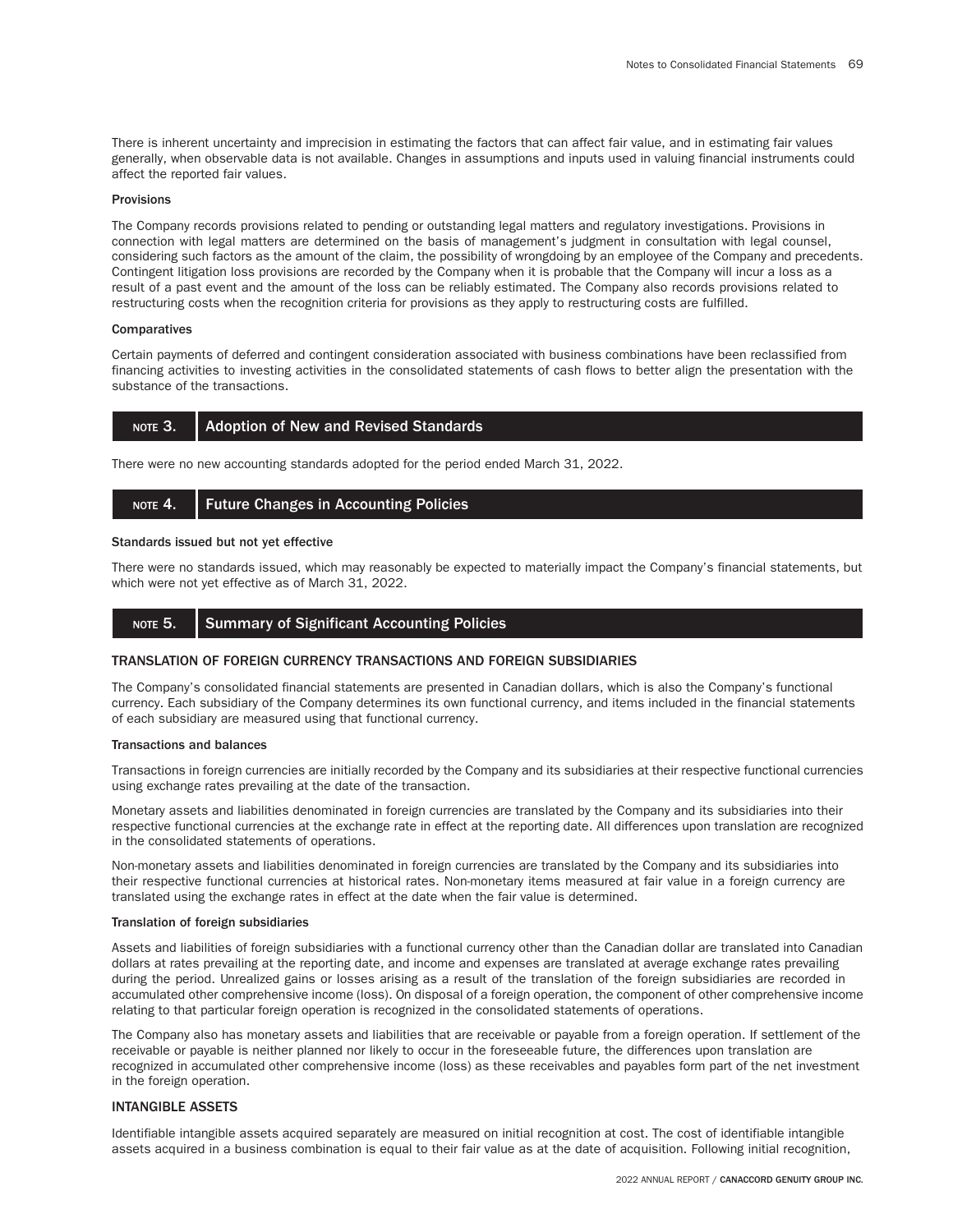There is inherent uncertainty and imprecision in estimating the factors that can affect fair value, and in estimating fair values generally, when observable data is not available. Changes in assumptions and inputs used in valuing financial instruments could affect the reported fair values.

#### Provisions

The Company records provisions related to pending or outstanding legal matters and regulatory investigations. Provisions in connection with legal matters are determined on the basis of management's judgment in consultation with legal counsel, considering such factors as the amount of the claim, the possibility of wrongdoing by an employee of the Company and precedents. Contingent litigation loss provisions are recorded by the Company when it is probable that the Company will incur a loss as a result of a past event and the amount of the loss can be reliably estimated. The Company also records provisions related to restructuring costs when the recognition criteria for provisions as they apply to restructuring costs are fulfilled.

#### Comparatives

Certain payments of deferred and contingent consideration associated with business combinations have been reclassified from financing activities to investing activities in the consolidated statements of cash flows to better align the presentation with the substance of the transactions.

#### NOTE 3. Adoption of New and Revised Standards

There were no new accounting standards adopted for the period ended March 31, 2022.

# NOTE 4. Future Changes in Accounting Policies

#### Standards issued but not yet effective

There were no standards issued, which may reasonably be expected to materially impact the Company's financial statements, but which were not yet effective as of March 31, 2022.

### NOTE 5. Summary of Significant Accounting Policies

#### TRANSLATION OF FOREIGN CURRENCY TRANSACTIONS AND FOREIGN SUBSIDIARIES

The Company's consolidated financial statements are presented in Canadian dollars, which is also the Company's functional currency. Each subsidiary of the Company determines its own functional currency, and items included in the financial statements of each subsidiary are measured using that functional currency.

#### Transactions and balances

Transactions in foreign currencies are initially recorded by the Company and its subsidiaries at their respective functional currencies using exchange rates prevailing at the date of the transaction.

Monetary assets and liabilities denominated in foreign currencies are translated by the Company and its subsidiaries into their respective functional currencies at the exchange rate in effect at the reporting date. All differences upon translation are recognized in the consolidated statements of operations.

Non-monetary assets and liabilities denominated in foreign currencies are translated by the Company and its subsidiaries into their respective functional currencies at historical rates. Non-monetary items measured at fair value in a foreign currency are translated using the exchange rates in effect at the date when the fair value is determined.

#### Translation of foreign subsidiaries

Assets and liabilities of foreign subsidiaries with a functional currency other than the Canadian dollar are translated into Canadian dollars at rates prevailing at the reporting date, and income and expenses are translated at average exchange rates prevailing during the period. Unrealized gains or losses arising as a result of the translation of the foreign subsidiaries are recorded in accumulated other comprehensive income (loss). On disposal of a foreign operation, the component of other comprehensive income relating to that particular foreign operation is recognized in the consolidated statements of operations.

The Company also has monetary assets and liabilities that are receivable or payable from a foreign operation. If settlement of the receivable or payable is neither planned nor likely to occur in the foreseeable future, the differences upon translation are recognized in accumulated other comprehensive income (loss) as these receivables and payables form part of the net investment in the foreign operation.

#### INTANGIBLE ASSETS

Identifiable intangible assets acquired separately are measured on initial recognition at cost. The cost of identifiable intangible assets acquired in a business combination is equal to their fair value as at the date of acquisition. Following initial recognition,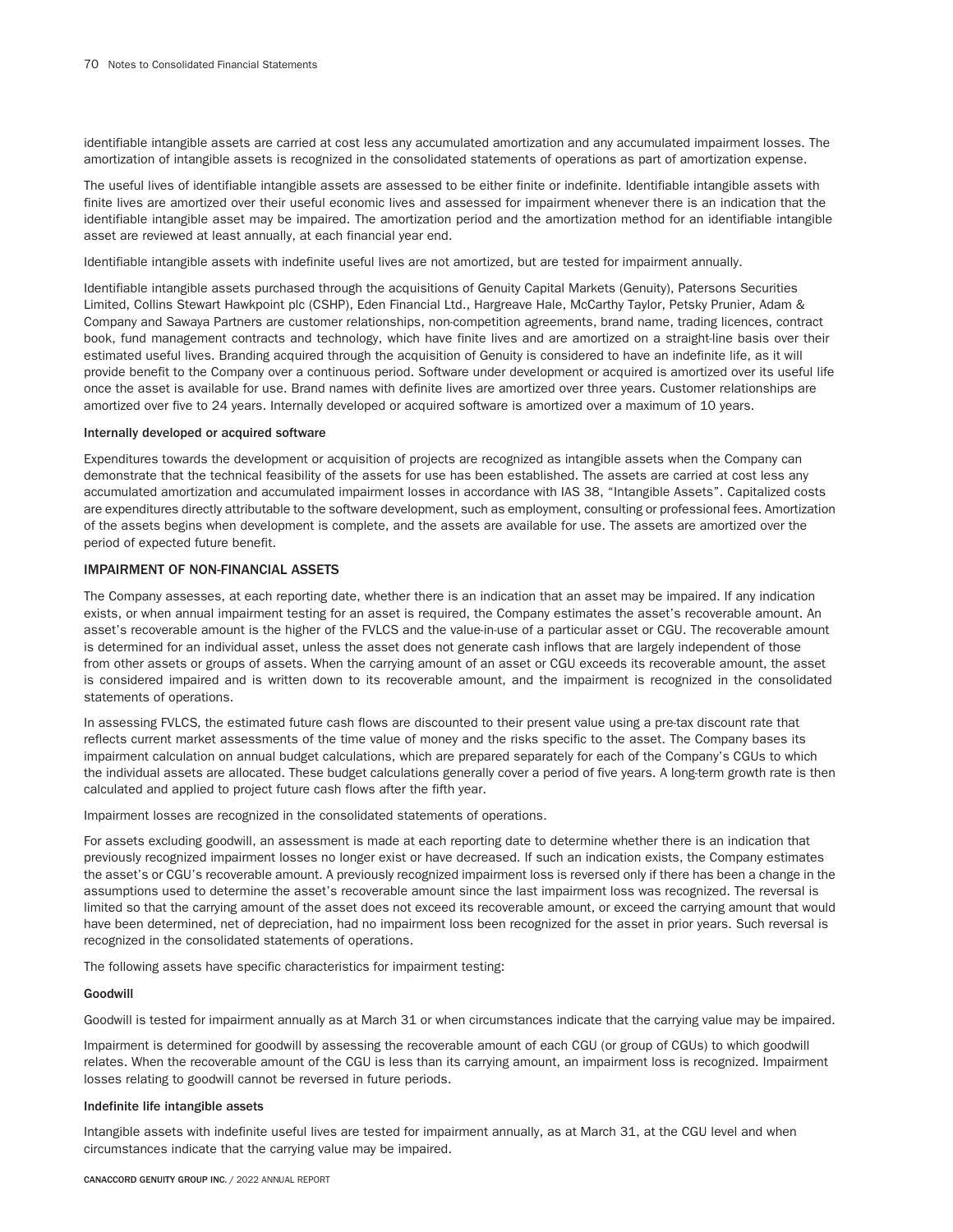identifiable intangible assets are carried at cost less any accumulated amortization and any accumulated impairment losses. The amortization of intangible assets is recognized in the consolidated statements of operations as part of amortization expense.

The useful lives of identifiable intangible assets are assessed to be either finite or indefinite. Identifiable intangible assets with finite lives are amortized over their useful economic lives and assessed for impairment whenever there is an indication that the identifiable intangible asset may be impaired. The amortization period and the amortization method for an identifiable intangible asset are reviewed at least annually, at each financial year end.

Identifiable intangible assets with indefinite useful lives are not amortized, but are tested for impairment annually.

Identifiable intangible assets purchased through the acquisitions of Genuity Capital Markets (Genuity), Patersons Securities Limited, Collins Stewart Hawkpoint plc (CSHP), Eden Financial Ltd., Hargreave Hale, McCarthy Taylor, Petsky Prunier, Adam & Company and Sawaya Partners are customer relationships, non-competition agreements, brand name, trading licences, contract book, fund management contracts and technology, which have finite lives and are amortized on a straight-line basis over their estimated useful lives. Branding acquired through the acquisition of Genuity is considered to have an indefinite life, as it will provide benefit to the Company over a continuous period. Software under development or acquired is amortized over its useful life once the asset is available for use. Brand names with definite lives are amortized over three years. Customer relationships are amortized over five to 24 years. Internally developed or acquired software is amortized over a maximum of 10 years.

#### Internally developed or acquired software

Expenditures towards the development or acquisition of projects are recognized as intangible assets when the Company can demonstrate that the technical feasibility of the assets for use has been established. The assets are carried at cost less any accumulated amortization and accumulated impairment losses in accordance with IAS 38, "Intangible Assets". Capitalized costs are expenditures directly attributable to the software development, such as employment, consulting or professional fees. Amortization of the assets begins when development is complete, and the assets are available for use. The assets are amortized over the period of expected future benefit.

#### IMPAIRMENT OF NON-FINANCIAL ASSETS

The Company assesses, at each reporting date, whether there is an indication that an asset may be impaired. If any indication exists, or when annual impairment testing for an asset is required, the Company estimates the asset's recoverable amount. An asset's recoverable amount is the higher of the FVLCS and the value-in-use of a particular asset or CGU. The recoverable amount is determined for an individual asset, unless the asset does not generate cash inflows that are largely independent of those from other assets or groups of assets. When the carrying amount of an asset or CGU exceeds its recoverable amount, the asset is considered impaired and is written down to its recoverable amount, and the impairment is recognized in the consolidated statements of operations.

In assessing FVLCS, the estimated future cash flows are discounted to their present value using a pre-tax discount rate that reflects current market assessments of the time value of money and the risks specific to the asset. The Company bases its impairment calculation on annual budget calculations, which are prepared separately for each of the Company's CGUs to which the individual assets are allocated. These budget calculations generally cover a period of five years. A long-term growth rate is then calculated and applied to project future cash flows after the fifth year.

Impairment losses are recognized in the consolidated statements of operations.

For assets excluding goodwill, an assessment is made at each reporting date to determine whether there is an indication that previously recognized impairment losses no longer exist or have decreased. If such an indication exists, the Company estimates the asset's or CGU's recoverable amount. A previously recognized impairment loss is reversed only if there has been a change in the assumptions used to determine the asset's recoverable amount since the last impairment loss was recognized. The reversal is limited so that the carrying amount of the asset does not exceed its recoverable amount, or exceed the carrying amount that would have been determined, net of depreciation, had no impairment loss been recognized for the asset in prior years. Such reversal is recognized in the consolidated statements of operations.

The following assets have specific characteristics for impairment testing:

#### Goodwill

Goodwill is tested for impairment annually as at March 31 or when circumstances indicate that the carrying value may be impaired.

Impairment is determined for goodwill by assessing the recoverable amount of each CGU (or group of CGUs) to which goodwill relates. When the recoverable amount of the CGU is less than its carrying amount, an impairment loss is recognized. Impairment losses relating to goodwill cannot be reversed in future periods.

#### Indefinite life intangible assets

Intangible assets with indefinite useful lives are tested for impairment annually, as at March 31, at the CGU level and when circumstances indicate that the carrying value may be impaired.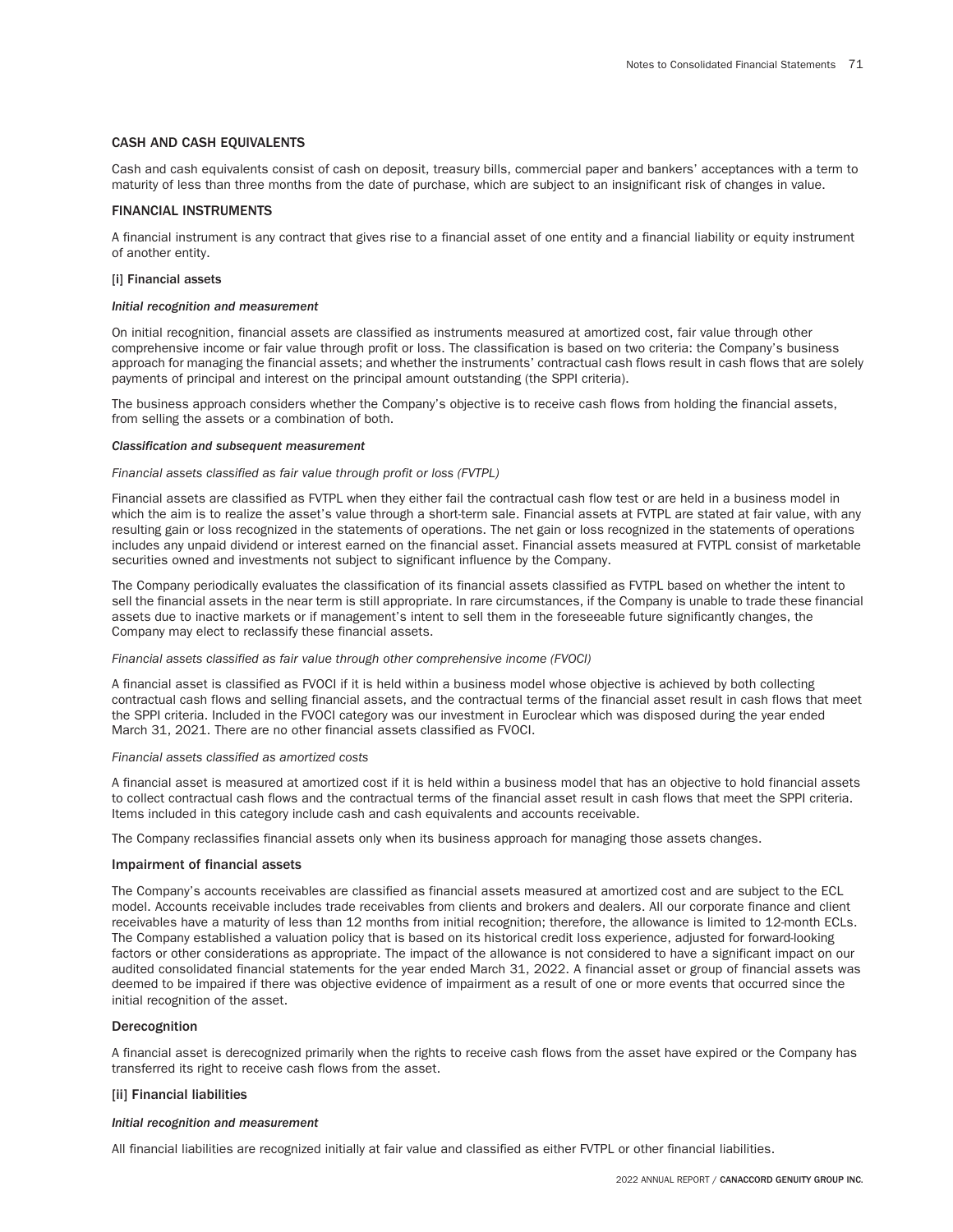#### CASH AND CASH EQUIVALENTS

Cash and cash equivalents consist of cash on deposit, treasury bills, commercial paper and bankers' acceptances with a term to maturity of less than three months from the date of purchase, which are subject to an insignificant risk of changes in value.

#### FINANCIAL INSTRUMENTS

A financial instrument is any contract that gives rise to a financial asset of one entity and a financial liability or equity instrument of another entity.

#### [i] Financial assets

#### *Initial recognition and measurement*

On initial recognition, financial assets are classified as instruments measured at amortized cost, fair value through other comprehensive income or fair value through profit or loss. The classification is based on two criteria: the Company's business approach for managing the financial assets; and whether the instruments' contractual cash flows result in cash flows that are solely payments of principal and interest on the principal amount outstanding (the SPPI criteria).

The business approach considers whether the Company's objective is to receive cash flows from holding the financial assets, from selling the assets or a combination of both.

#### *Classification and subsequent measurement*

#### *Financial assets classified as fair value through profit or loss (FVTPL)*

Financial assets are classified as FVTPL when they either fail the contractual cash flow test or are held in a business model in which the aim is to realize the asset's value through a short-term sale. Financial assets at FVTPL are stated at fair value, with any resulting gain or loss recognized in the statements of operations. The net gain or loss recognized in the statements of operations includes any unpaid dividend or interest earned on the financial asset. Financial assets measured at FVTPL consist of marketable securities owned and investments not subject to significant influence by the Company.

The Company periodically evaluates the classification of its financial assets classified as FVTPL based on whether the intent to sell the financial assets in the near term is still appropriate. In rare circumstances, if the Company is unable to trade these financial assets due to inactive markets or if management's intent to sell them in the foreseeable future significantly changes, the Company may elect to reclassify these financial assets.

#### *Financial assets classified as fair value through other comprehensive income (FVOCI)*

A financial asset is classified as FVOCI if it is held within a business model whose objective is achieved by both collecting contractual cash flows and selling financial assets, and the contractual terms of the financial asset result in cash flows that meet the SPPI criteria. Included in the FVOCI category was our investment in Euroclear which was disposed during the year ended March 31, 2021. There are no other financial assets classified as FVOCI.

#### *Financial assets classified as amortized costs*

A financial asset is measured at amortized cost if it is held within a business model that has an objective to hold financial assets to collect contractual cash flows and the contractual terms of the financial asset result in cash flows that meet the SPPI criteria. Items included in this category include cash and cash equivalents and accounts receivable.

The Company reclassifies financial assets only when its business approach for managing those assets changes.

#### Impairment of financial assets

The Company's accounts receivables are classified as financial assets measured at amortized cost and are subject to the ECL model. Accounts receivable includes trade receivables from clients and brokers and dealers. All our corporate finance and client receivables have a maturity of less than 12 months from initial recognition; therefore, the allowance is limited to 12-month ECLs. The Company established a valuation policy that is based on its historical credit loss experience, adjusted for forward-looking factors or other considerations as appropriate. The impact of the allowance is not considered to have a significant impact on our audited consolidated financial statements for the year ended March 31, 2022. A financial asset or group of financial assets was deemed to be impaired if there was objective evidence of impairment as a result of one or more events that occurred since the initial recognition of the asset.

#### Derecognition

A financial asset is derecognized primarily when the rights to receive cash flows from the asset have expired or the Company has transferred its right to receive cash flows from the asset.

#### [ii] Financial liabilities

#### *Initial recognition and measurement*

All financial liabilities are recognized initially at fair value and classified as either FVTPL or other financial liabilities.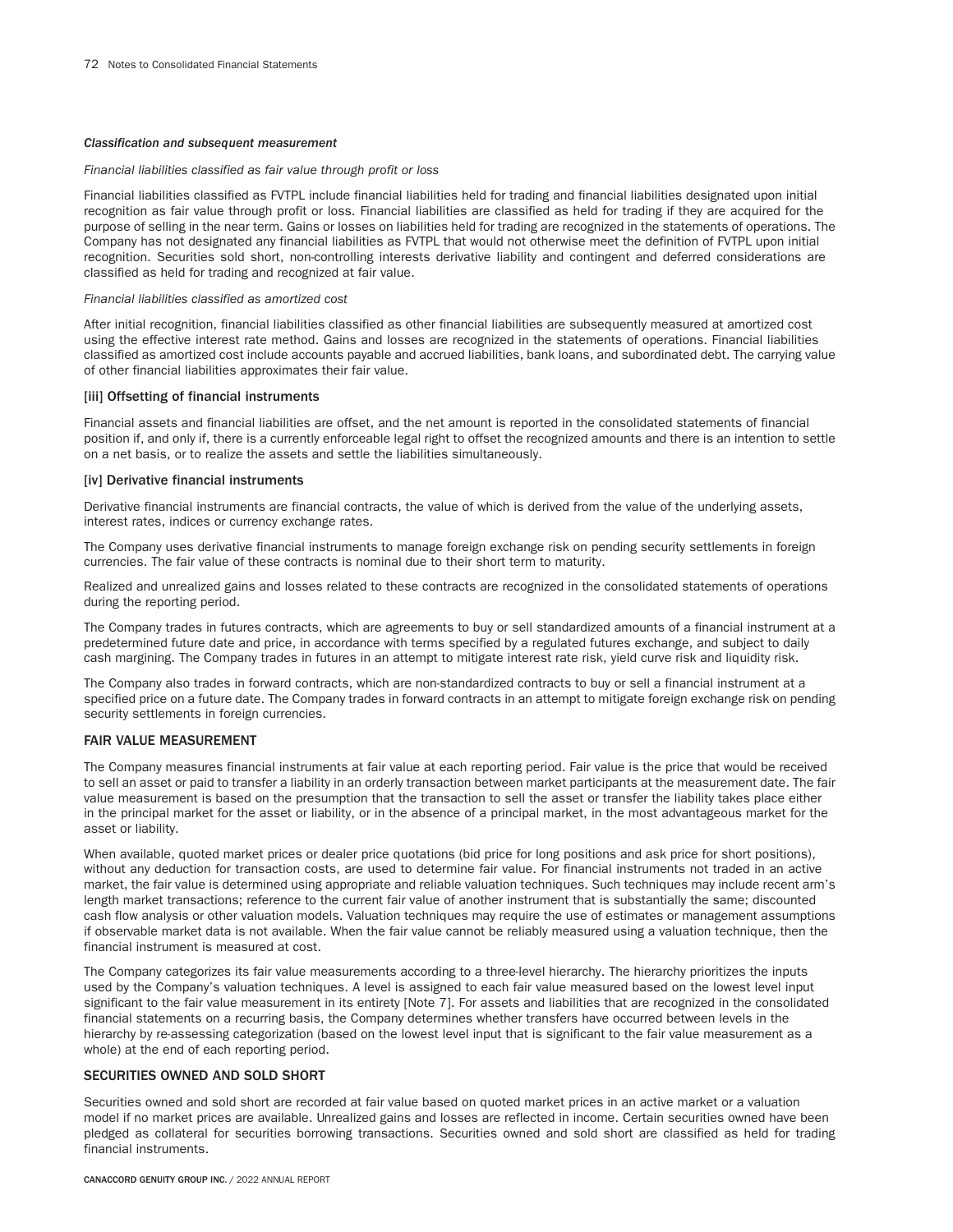#### *Classification and subsequent measurement*

#### *Financial liabilities classified as fair value through profit or loss*

Financial liabilities classified as FVTPL include financial liabilities held for trading and financial liabilities designated upon initial recognition as fair value through profit or loss. Financial liabilities are classified as held for trading if they are acquired for the purpose of selling in the near term. Gains or losses on liabilities held for trading are recognized in the statements of operations. The Company has not designated any financial liabilities as FVTPL that would not otherwise meet the definition of FVTPL upon initial recognition. Securities sold short, non-controlling interests derivative liability and contingent and deferred considerations are classified as held for trading and recognized at fair value.

#### *Financial liabilities classified as amortized cost*

After initial recognition, financial liabilities classified as other financial liabilities are subsequently measured at amortized cost using the effective interest rate method. Gains and losses are recognized in the statements of operations. Financial liabilities classified as amortized cost include accounts payable and accrued liabilities, bank loans, and subordinated debt. The carrying value of other financial liabilities approximates their fair value.

#### [iii] Offsetting of financial instruments

Financial assets and financial liabilities are offset, and the net amount is reported in the consolidated statements of financial position if, and only if, there is a currently enforceable legal right to offset the recognized amounts and there is an intention to settle on a net basis, or to realize the assets and settle the liabilities simultaneously.

#### [iv] Derivative financial instruments

Derivative financial instruments are financial contracts, the value of which is derived from the value of the underlying assets, interest rates, indices or currency exchange rates.

The Company uses derivative financial instruments to manage foreign exchange risk on pending security settlements in foreign currencies. The fair value of these contracts is nominal due to their short term to maturity.

Realized and unrealized gains and losses related to these contracts are recognized in the consolidated statements of operations during the reporting period.

The Company trades in futures contracts, which are agreements to buy or sell standardized amounts of a financial instrument at a predetermined future date and price, in accordance with terms specified by a regulated futures exchange, and subject to daily cash margining. The Company trades in futures in an attempt to mitigate interest rate risk, yield curve risk and liquidity risk.

The Company also trades in forward contracts, which are non-standardized contracts to buy or sell a financial instrument at a specified price on a future date. The Company trades in forward contracts in an attempt to mitigate foreign exchange risk on pending security settlements in foreign currencies.

#### FAIR VALUE MEASUREMENT

The Company measures financial instruments at fair value at each reporting period. Fair value is the price that would be received to sell an asset or paid to transfer a liability in an orderly transaction between market participants at the measurement date. The fair value measurement is based on the presumption that the transaction to sell the asset or transfer the liability takes place either in the principal market for the asset or liability, or in the absence of a principal market, in the most advantageous market for the asset or liability.

When available, quoted market prices or dealer price quotations (bid price for long positions and ask price for short positions), without any deduction for transaction costs, are used to determine fair value. For financial instruments not traded in an active market, the fair value is determined using appropriate and reliable valuation techniques. Such techniques may include recent arm's length market transactions; reference to the current fair value of another instrument that is substantially the same; discounted cash flow analysis or other valuation models. Valuation techniques may require the use of estimates or management assumptions if observable market data is not available. When the fair value cannot be reliably measured using a valuation technique, then the financial instrument is measured at cost.

The Company categorizes its fair value measurements according to a three-level hierarchy. The hierarchy prioritizes the inputs used by the Company's valuation techniques. A level is assigned to each fair value measured based on the lowest level input significant to the fair value measurement in its entirety [Note 7]. For assets and liabilities that are recognized in the consolidated financial statements on a recurring basis, the Company determines whether transfers have occurred between levels in the hierarchy by re-assessing categorization (based on the lowest level input that is significant to the fair value measurement as a whole) at the end of each reporting period.

#### SECURITIES OWNED AND SOLD SHORT

Securities owned and sold short are recorded at fair value based on quoted market prices in an active market or a valuation model if no market prices are available. Unrealized gains and losses are reflected in income. Certain securities owned have been pledged as collateral for securities borrowing transactions. Securities owned and sold short are classified as held for trading financial instruments.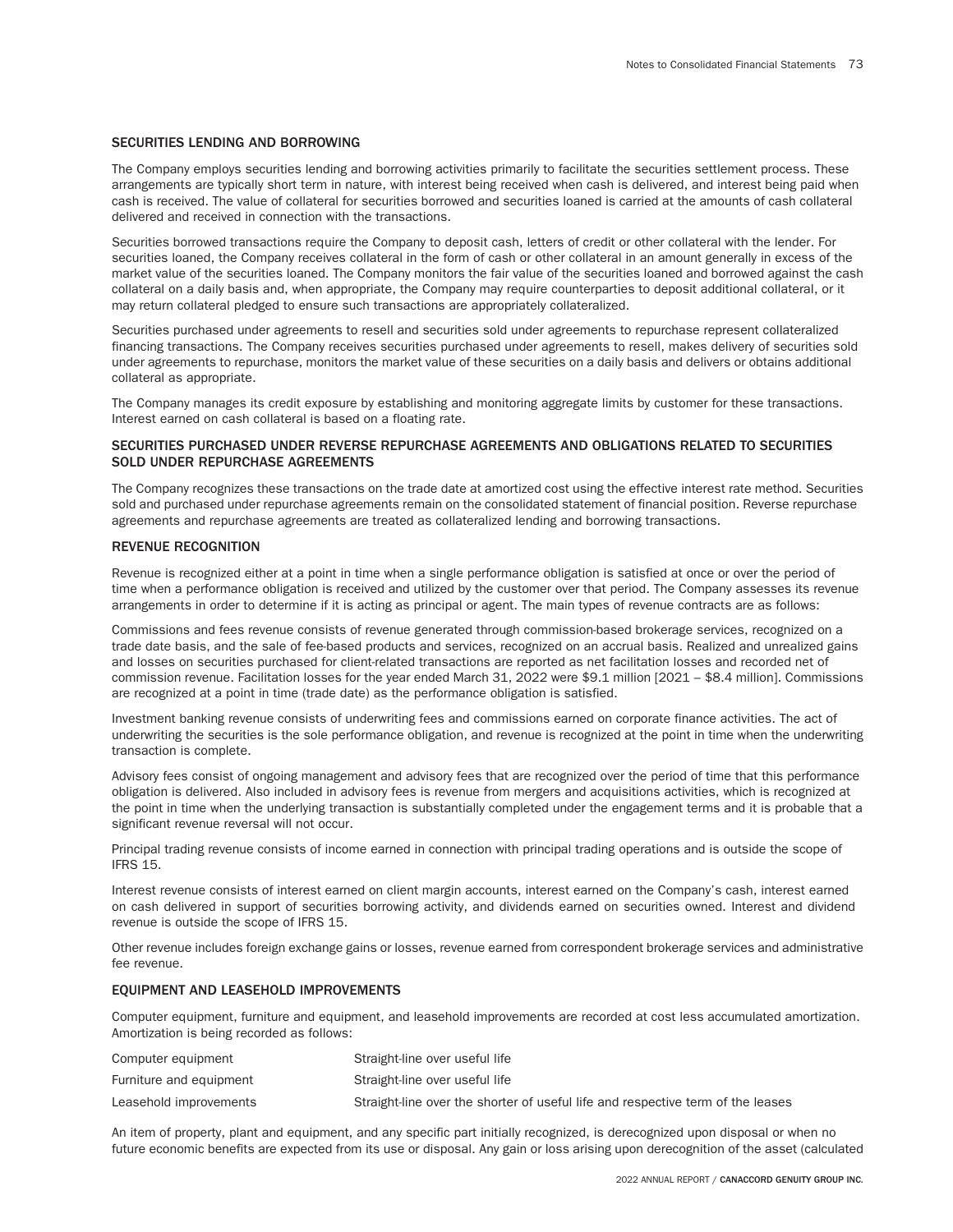#### SECURITIES LENDING AND BORROWING

The Company employs securities lending and borrowing activities primarily to facilitate the securities settlement process. These arrangements are typically short term in nature, with interest being received when cash is delivered, and interest being paid when cash is received. The value of collateral for securities borrowed and securities loaned is carried at the amounts of cash collateral delivered and received in connection with the transactions.

Securities borrowed transactions require the Company to deposit cash, letters of credit or other collateral with the lender. For securities loaned, the Company receives collateral in the form of cash or other collateral in an amount generally in excess of the market value of the securities loaned. The Company monitors the fair value of the securities loaned and borrowed against the cash collateral on a daily basis and, when appropriate, the Company may require counterparties to deposit additional collateral, or it may return collateral pledged to ensure such transactions are appropriately collateralized.

Securities purchased under agreements to resell and securities sold under agreements to repurchase represent collateralized financing transactions. The Company receives securities purchased under agreements to resell, makes delivery of securities sold under agreements to repurchase, monitors the market value of these securities on a daily basis and delivers or obtains additional collateral as appropriate.

The Company manages its credit exposure by establishing and monitoring aggregate limits by customer for these transactions. Interest earned on cash collateral is based on a floating rate.

#### SECURITIES PURCHASED UNDER REVERSE REPURCHASE AGREEMENTS AND OBLIGATIONS RELATED TO SECURITIES SOLD UNDER REPURCHASE AGREEMENTS

The Company recognizes these transactions on the trade date at amortized cost using the effective interest rate method. Securities sold and purchased under repurchase agreements remain on the consolidated statement of financial position. Reverse repurchase agreements and repurchase agreements are treated as collateralized lending and borrowing transactions.

#### REVENUE RECOGNITION

Revenue is recognized either at a point in time when a single performance obligation is satisfied at once or over the period of time when a performance obligation is received and utilized by the customer over that period. The Company assesses its revenue arrangements in order to determine if it is acting as principal or agent. The main types of revenue contracts are as follows:

Commissions and fees revenue consists of revenue generated through commission-based brokerage services, recognized on a trade date basis, and the sale of fee-based products and services, recognized on an accrual basis. Realized and unrealized gains and losses on securities purchased for client-related transactions are reported as net facilitation losses and recorded net of commission revenue. Facilitation losses for the year ended March 31, 2022 were \$9.1 million [2021 – \$8.4 million]. Commissions are recognized at a point in time (trade date) as the performance obligation is satisfied.

Investment banking revenue consists of underwriting fees and commissions earned on corporate finance activities. The act of underwriting the securities is the sole performance obligation, and revenue is recognized at the point in time when the underwriting transaction is complete.

Advisory fees consist of ongoing management and advisory fees that are recognized over the period of time that this performance obligation is delivered. Also included in advisory fees is revenue from mergers and acquisitions activities, which is recognized at the point in time when the underlying transaction is substantially completed under the engagement terms and it is probable that a significant revenue reversal will not occur.

Principal trading revenue consists of income earned in connection with principal trading operations and is outside the scope of IFRS 15.

Interest revenue consists of interest earned on client margin accounts, interest earned on the Company's cash, interest earned on cash delivered in support of securities borrowing activity, and dividends earned on securities owned. Interest and dividend revenue is outside the scope of IFRS 15.

Other revenue includes foreign exchange gains or losses, revenue earned from correspondent brokerage services and administrative fee revenue.

#### EQUIPMENT AND LEASEHOLD IMPROVEMENTS

Computer equipment, furniture and equipment, and leasehold improvements are recorded at cost less accumulated amortization. Amortization is being recorded as follows:

| Computer equipment      | Straight-line over useful life                                                  |
|-------------------------|---------------------------------------------------------------------------------|
| Furniture and equipment | Straight-line over useful life                                                  |
| Leasehold improvements  | Straight-line over the shorter of useful life and respective term of the leases |

An item of property, plant and equipment, and any specific part initially recognized, is derecognized upon disposal or when no future economic benefits are expected from its use or disposal. Any gain or loss arising upon derecognition of the asset (calculated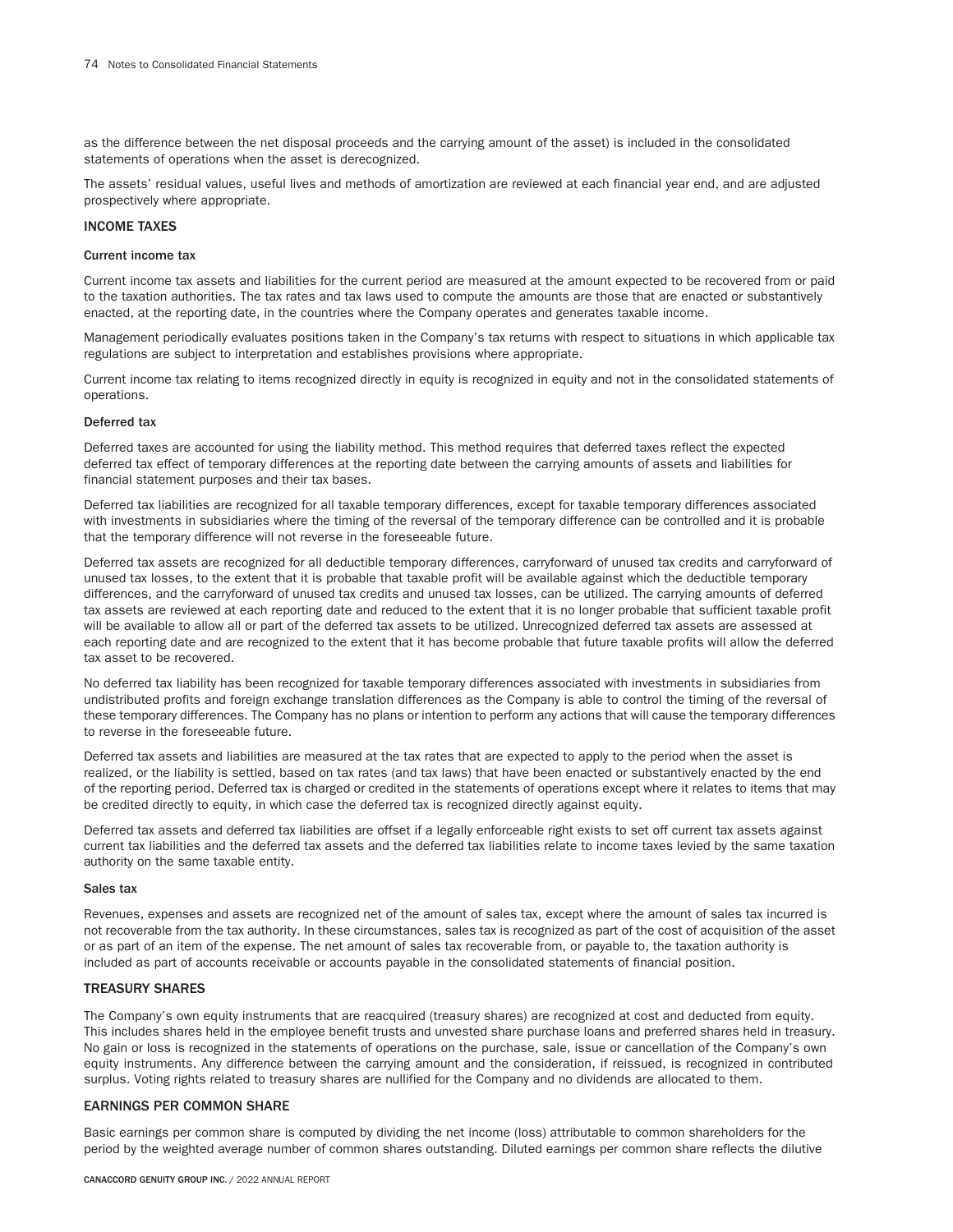as the difference between the net disposal proceeds and the carrying amount of the asset) is included in the consolidated statements of operations when the asset is derecognized.

The assets' residual values, useful lives and methods of amortization are reviewed at each financial year end, and are adjusted prospectively where appropriate.

#### INCOME TAXES

#### Current income tax

Current income tax assets and liabilities for the current period are measured at the amount expected to be recovered from or paid to the taxation authorities. The tax rates and tax laws used to compute the amounts are those that are enacted or substantively enacted, at the reporting date, in the countries where the Company operates and generates taxable income.

Management periodically evaluates positions taken in the Company's tax returns with respect to situations in which applicable tax regulations are subject to interpretation and establishes provisions where appropriate.

Current income tax relating to items recognized directly in equity is recognized in equity and not in the consolidated statements of operations.

#### Deferred tax

Deferred taxes are accounted for using the liability method. This method requires that deferred taxes reflect the expected deferred tax effect of temporary differences at the reporting date between the carrying amounts of assets and liabilities for financial statement purposes and their tax bases.

Deferred tax liabilities are recognized for all taxable temporary differences, except for taxable temporary differences associated with investments in subsidiaries where the timing of the reversal of the temporary difference can be controlled and it is probable that the temporary difference will not reverse in the foreseeable future.

Deferred tax assets are recognized for all deductible temporary differences, carryforward of unused tax credits and carryforward of unused tax losses, to the extent that it is probable that taxable profit will be available against which the deductible temporary differences, and the carryforward of unused tax credits and unused tax losses, can be utilized. The carrying amounts of deferred tax assets are reviewed at each reporting date and reduced to the extent that it is no longer probable that sufficient taxable profit will be available to allow all or part of the deferred tax assets to be utilized. Unrecognized deferred tax assets are assessed at each reporting date and are recognized to the extent that it has become probable that future taxable profits will allow the deferred tax asset to be recovered.

No deferred tax liability has been recognized for taxable temporary differences associated with investments in subsidiaries from undistributed profits and foreign exchange translation differences as the Company is able to control the timing of the reversal of these temporary differences. The Company has no plans or intention to perform any actions that will cause the temporary differences to reverse in the foreseeable future.

Deferred tax assets and liabilities are measured at the tax rates that are expected to apply to the period when the asset is realized, or the liability is settled, based on tax rates (and tax laws) that have been enacted or substantively enacted by the end of the reporting period. Deferred tax is charged or credited in the statements of operations except where it relates to items that may be credited directly to equity, in which case the deferred tax is recognized directly against equity.

Deferred tax assets and deferred tax liabilities are offset if a legally enforceable right exists to set off current tax assets against current tax liabilities and the deferred tax assets and the deferred tax liabilities relate to income taxes levied by the same taxation authority on the same taxable entity.

#### Sales tax

Revenues, expenses and assets are recognized net of the amount of sales tax, except where the amount of sales tax incurred is not recoverable from the tax authority. In these circumstances, sales tax is recognized as part of the cost of acquisition of the asset or as part of an item of the expense. The net amount of sales tax recoverable from, or payable to, the taxation authority is included as part of accounts receivable or accounts payable in the consolidated statements of financial position.

#### TREASURY SHARES

The Company's own equity instruments that are reacquired (treasury shares) are recognized at cost and deducted from equity. This includes shares held in the employee benefit trusts and unvested share purchase loans and preferred shares held in treasury. No gain or loss is recognized in the statements of operations on the purchase, sale, issue or cancellation of the Company's own equity instruments. Any difference between the carrying amount and the consideration, if reissued, is recognized in contributed surplus. Voting rights related to treasury shares are nullified for the Company and no dividends are allocated to them.

#### EARNINGS PER COMMON SHARE

Basic earnings per common share is computed by dividing the net income (loss) attributable to common shareholders for the period by the weighted average number of common shares outstanding. Diluted earnings per common share reflects the dilutive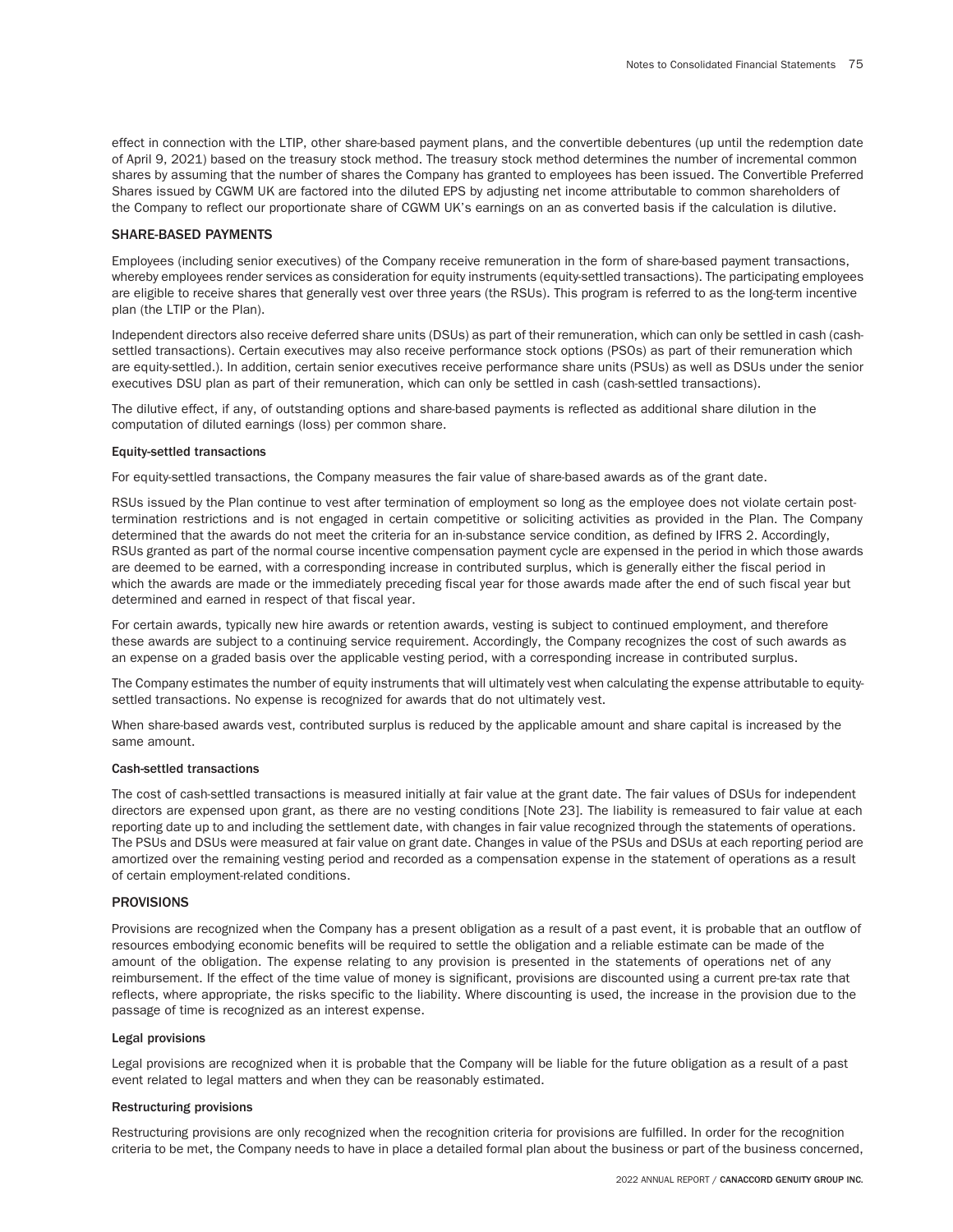effect in connection with the LTIP, other share-based payment plans, and the convertible debentures (up until the redemption date of April 9, 2021) based on the treasury stock method. The treasury stock method determines the number of incremental common shares by assuming that the number of shares the Company has granted to employees has been issued. The Convertible Preferred Shares issued by CGWM UK are factored into the diluted EPS by adjusting net income attributable to common shareholders of the Company to reflect our proportionate share of CGWM UK's earnings on an as converted basis if the calculation is dilutive.

#### SHARE-BASED PAYMENTS

Employees (including senior executives) of the Company receive remuneration in the form of share-based payment transactions, whereby employees render services as consideration for equity instruments (equity-settled transactions). The participating employees are eligible to receive shares that generally vest over three years (the RSUs). This program is referred to as the long-term incentive plan (the LTIP or the Plan).

Independent directors also receive deferred share units (DSUs) as part of their remuneration, which can only be settled in cash (cashsettled transactions). Certain executives may also receive performance stock options (PSOs) as part of their remuneration which are equity-settled.). In addition, certain senior executives receive performance share units (PSUs) as well as DSUs under the senior executives DSU plan as part of their remuneration, which can only be settled in cash (cash-settled transactions).

The dilutive effect, if any, of outstanding options and share-based payments is reflected as additional share dilution in the computation of diluted earnings (loss) per common share.

#### Equity-settled transactions

For equity-settled transactions, the Company measures the fair value of share-based awards as of the grant date.

RSUs issued by the Plan continue to vest after termination of employment so long as the employee does not violate certain posttermination restrictions and is not engaged in certain competitive or soliciting activities as provided in the Plan. The Company determined that the awards do not meet the criteria for an in-substance service condition, as defined by IFRS 2. Accordingly, RSUs granted as part of the normal course incentive compensation payment cycle are expensed in the period in which those awards are deemed to be earned, with a corresponding increase in contributed surplus, which is generally either the fiscal period in which the awards are made or the immediately preceding fiscal year for those awards made after the end of such fiscal year but determined and earned in respect of that fiscal year.

For certain awards, typically new hire awards or retention awards, vesting is subject to continued employment, and therefore these awards are subject to a continuing service requirement. Accordingly, the Company recognizes the cost of such awards as an expense on a graded basis over the applicable vesting period, with a corresponding increase in contributed surplus.

The Company estimates the number of equity instruments that will ultimately vest when calculating the expense attributable to equitysettled transactions. No expense is recognized for awards that do not ultimately vest.

When share-based awards vest, contributed surplus is reduced by the applicable amount and share capital is increased by the same amount.

#### Cash-settled transactions

The cost of cash-settled transactions is measured initially at fair value at the grant date. The fair values of DSUs for independent directors are expensed upon grant, as there are no vesting conditions [Note 23]. The liability is remeasured to fair value at each reporting date up to and including the settlement date, with changes in fair value recognized through the statements of operations. The PSUs and DSUs were measured at fair value on grant date. Changes in value of the PSUs and DSUs at each reporting period are amortized over the remaining vesting period and recorded as a compensation expense in the statement of operations as a result of certain employment-related conditions.

#### PROVISIONS

Provisions are recognized when the Company has a present obligation as a result of a past event, it is probable that an outflow of resources embodying economic benefits will be required to settle the obligation and a reliable estimate can be made of the amount of the obligation. The expense relating to any provision is presented in the statements of operations net of any reimbursement. If the effect of the time value of money is significant, provisions are discounted using a current pre-tax rate that reflects, where appropriate, the risks specific to the liability. Where discounting is used, the increase in the provision due to the passage of time is recognized as an interest expense.

#### Legal provisions

Legal provisions are recognized when it is probable that the Company will be liable for the future obligation as a result of a past event related to legal matters and when they can be reasonably estimated.

#### Restructuring provisions

Restructuring provisions are only recognized when the recognition criteria for provisions are fulfilled. In order for the recognition criteria to be met, the Company needs to have in place a detailed formal plan about the business or part of the business concerned,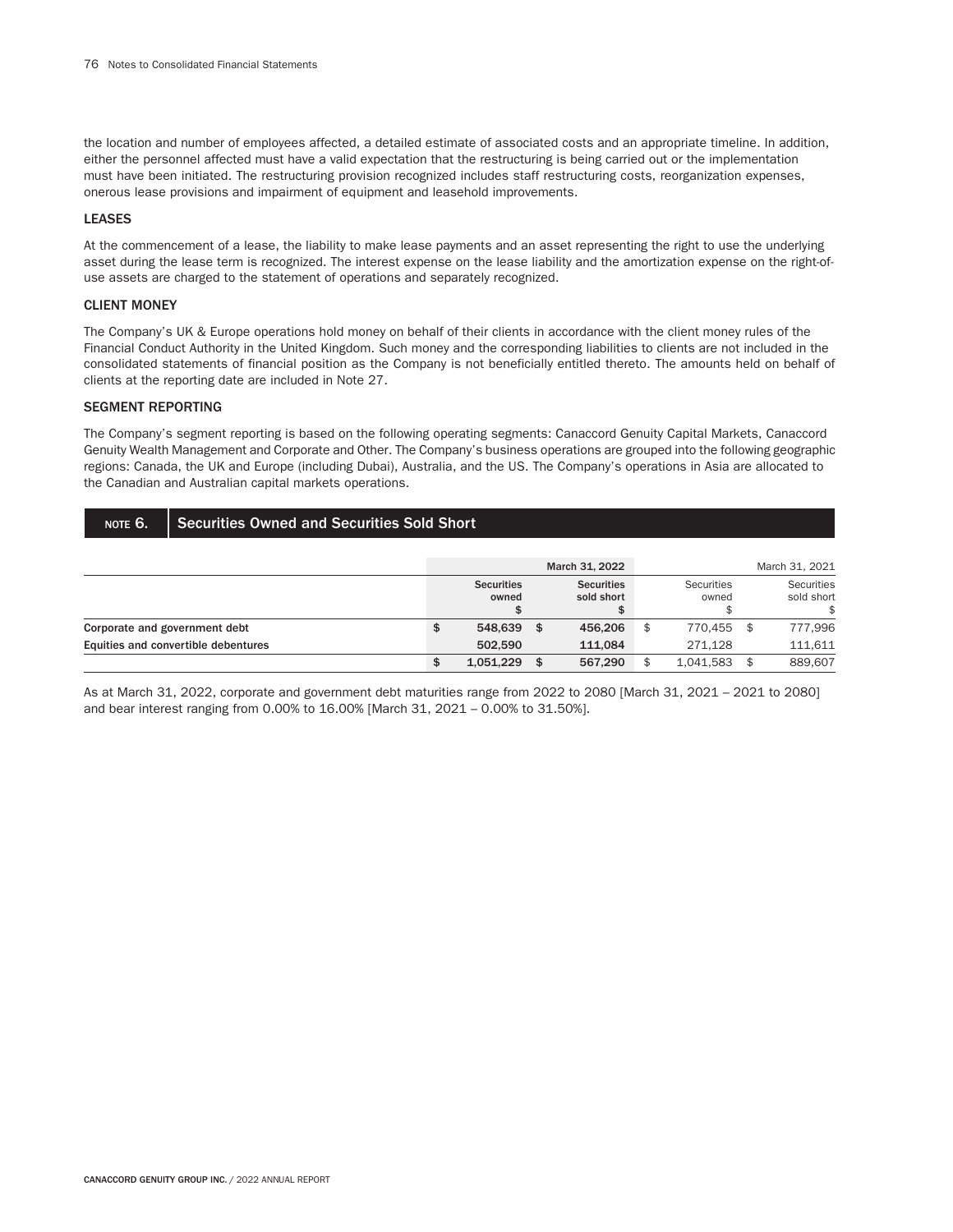the location and number of employees affected, a detailed estimate of associated costs and an appropriate timeline. In addition, either the personnel affected must have a valid expectation that the restructuring is being carried out or the implementation must have been initiated. The restructuring provision recognized includes staff restructuring costs, reorganization expenses, onerous lease provisions and impairment of equipment and leasehold improvements.

#### LEASES

At the commencement of a lease, the liability to make lease payments and an asset representing the right to use the underlying asset during the lease term is recognized. The interest expense on the lease liability and the amortization expense on the right-ofuse assets are charged to the statement of operations and separately recognized.

#### **CLIENT MONEY**

The Company's UK & Europe operations hold money on behalf of their clients in accordance with the client money rules of the Financial Conduct Authority in the United Kingdom. Such money and the corresponding liabilities to clients are not included in the consolidated statements of financial position as the Company is not beneficially entitled thereto. The amounts held on behalf of clients at the reporting date are included in Note 27.

#### SEGMENT REPORTING

The Company's segment reporting is based on the following operating segments: Canaccord Genuity Capital Markets, Canaccord Genuity Wealth Management and Corporate and Other. The Company's business operations are grouped into the following geographic regions: Canada, the UK and Europe (including Dubai), Australia, and the US. The Company's operations in Asia are allocated to the Canadian and Australian capital markets operations.

### NOTE 6. Securities Owned and Securities Sold Short

|                                     |                   |     | March 31, 2022    |                 | March 31, 2021 |
|-------------------------------------|-------------------|-----|-------------------|-----------------|----------------|
|                                     | <b>Securities</b> |     | <b>Securities</b> | Securities      | Securities     |
|                                     | owned             |     | sold short        | owned           | sold short     |
|                                     |                   |     |                   |                 |                |
| Corporate and government debt       | 548.639           | \$. | 456.206           | \$<br>770.455   | \$<br>777.996  |
| Equities and convertible debentures | 502.590           |     | 111.084           | 271.128         | 111.611        |
|                                     | 1,051,229         | £.  | 567,290           | \$<br>1,041,583 | \$<br>889.607  |

As at March 31, 2022, corporate and government debt maturities range from 2022 to 2080 [March 31, 2021 – 2021 to 2080] and bear interest ranging from 0.00% to 16.00% [March 31, 2021 – 0.00% to 31.50%].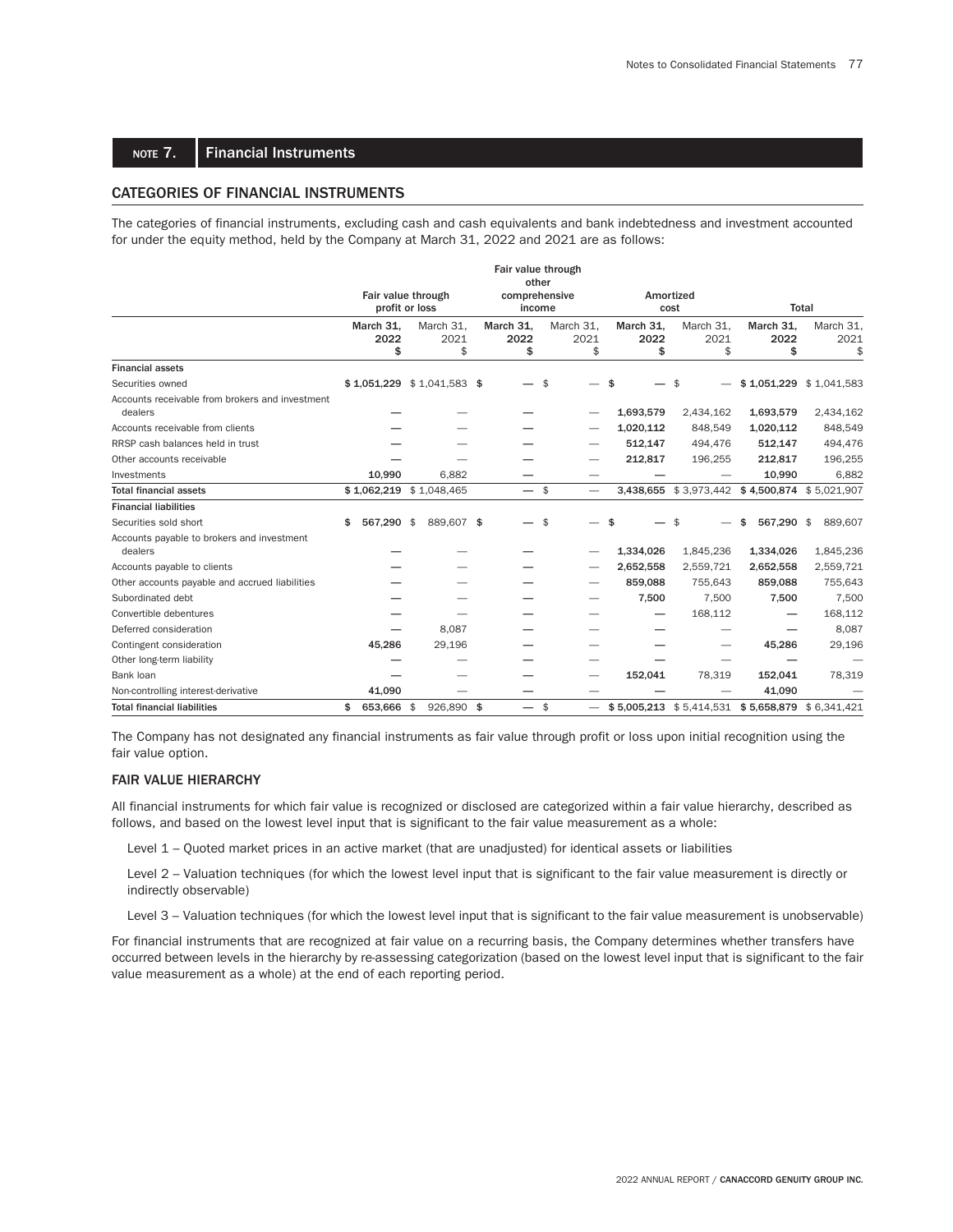# NOTE 7. Financial Instruments

#### CATEGORIES OF FINANCIAL INSTRUMENTS

The categories of financial instruments, excluding cash and cash equivalents and bank indebtedness and investment accounted for under the equity method, held by the Company at March 31, 2022 and 2021 are as follows:

|                                                            |                   |                              |                          | Fair value through<br>other |                   |                                                 |                   |                         |  |
|------------------------------------------------------------|-------------------|------------------------------|--------------------------|-----------------------------|-------------------|-------------------------------------------------|-------------------|-------------------------|--|
|                                                            |                   | Fair value through           |                          | comprehensive               |                   | Amortized                                       |                   |                         |  |
|                                                            |                   | profit or loss               |                          | income                      |                   | cost                                            | Total             |                         |  |
|                                                            | March 31.<br>2022 | March 31.<br>2021            | March 31.<br>2022        | March 31.<br>2021           | March 31.<br>2022 | March 31.<br>2021                               | March 31.<br>2022 | March 31.<br>2021       |  |
|                                                            | \$                | \$                           | \$                       | \$                          | \$                | \$                                              | \$                | \$                      |  |
| <b>Financial assets</b>                                    |                   |                              |                          |                             |                   |                                                 |                   |                         |  |
| Securities owned                                           |                   | $$1,051,229$ $$1,041,583$ \$ |                          | \$                          | \$                | \$                                              |                   | \$1,051,229 \$1,041,583 |  |
| Accounts receivable from brokers and investment<br>dealers |                   |                              |                          |                             | 1,693,579         | 2,434,162                                       | 1,693,579         | 2,434,162               |  |
| Accounts receivable from clients                           |                   |                              |                          |                             | 1,020,112         | 848,549                                         | 1,020,112         | 848,549                 |  |
| RRSP cash balances held in trust                           |                   |                              |                          |                             | 512,147           | 494,476                                         | 512,147           | 494,476                 |  |
| Other accounts receivable                                  |                   |                              |                          |                             | 212,817           | 196,255                                         | 212,817           | 196,255                 |  |
| Investments                                                | 10,990            | 6.882                        |                          |                             |                   |                                                 | 10,990            | 6,882                   |  |
| <b>Total financial assets</b>                              |                   | \$1,062,219 \$1,048,465      | $\overline{\phantom{0}}$ | \$                          |                   | 3,438,655 \$3,973,442                           | \$4,500,874       | \$5,021,907             |  |
| <b>Financial liabilities</b>                               |                   |                              |                          |                             |                   |                                                 |                   |                         |  |
| Securities sold short                                      | 567,290 \$<br>\$  | 889,607 \$                   |                          | \$                          | \$                | \$                                              | 567,290 \$        | 889,607                 |  |
| Accounts payable to brokers and investment<br>dealers      |                   |                              |                          |                             | 1.334.026         | 1.845.236                                       | 1,334,026         | 1,845,236               |  |
| Accounts payable to clients                                |                   |                              |                          |                             | 2,652,558         | 2,559,721                                       | 2,652,558         | 2,559,721               |  |
| Other accounts payable and accrued liabilities             |                   |                              |                          |                             | 859.088           | 755.643                                         | 859.088           | 755,643                 |  |
| Subordinated debt                                          |                   |                              |                          |                             | 7,500             | 7,500                                           | 7,500             | 7,500                   |  |
| Convertible debentures                                     |                   |                              |                          |                             |                   | 168,112                                         |                   | 168,112                 |  |
| Deferred consideration                                     |                   | 8,087                        |                          |                             |                   |                                                 |                   | 8,087                   |  |
| Contingent consideration                                   | 45,286            | 29,196                       |                          |                             |                   |                                                 | 45,286            | 29,196                  |  |
| Other long-term liability                                  |                   |                              |                          |                             |                   |                                                 |                   |                         |  |
| Bank loan                                                  |                   |                              |                          |                             | 152,041           | 78,319                                          | 152,041           | 78,319                  |  |
| Non-controlling interest-derivative                        | 41,090            |                              |                          |                             |                   |                                                 | 41,090            |                         |  |
| <b>Total financial liabilities</b>                         | 653,666<br>\$     | \$<br>926.890 \$             |                          | \$                          |                   | \$5,005,213 \$5,414,531 \$5,658,879 \$6,341,421 |                   |                         |  |

The Company has not designated any financial instruments as fair value through profit or loss upon initial recognition using the fair value option.

#### FAIR VALUE HIERARCHY

All financial instruments for which fair value is recognized or disclosed are categorized within a fair value hierarchy, described as follows, and based on the lowest level input that is significant to the fair value measurement as a whole:

Level 1 – Quoted market prices in an active market (that are unadjusted) for identical assets or liabilities

Level 2 – Valuation techniques (for which the lowest level input that is significant to the fair value measurement is directly or indirectly observable)

Level 3 – Valuation techniques (for which the lowest level input that is significant to the fair value measurement is unobservable)

For financial instruments that are recognized at fair value on a recurring basis, the Company determines whether transfers have occurred between levels in the hierarchy by re-assessing categorization (based on the lowest level input that is significant to the fair value measurement as a whole) at the end of each reporting period.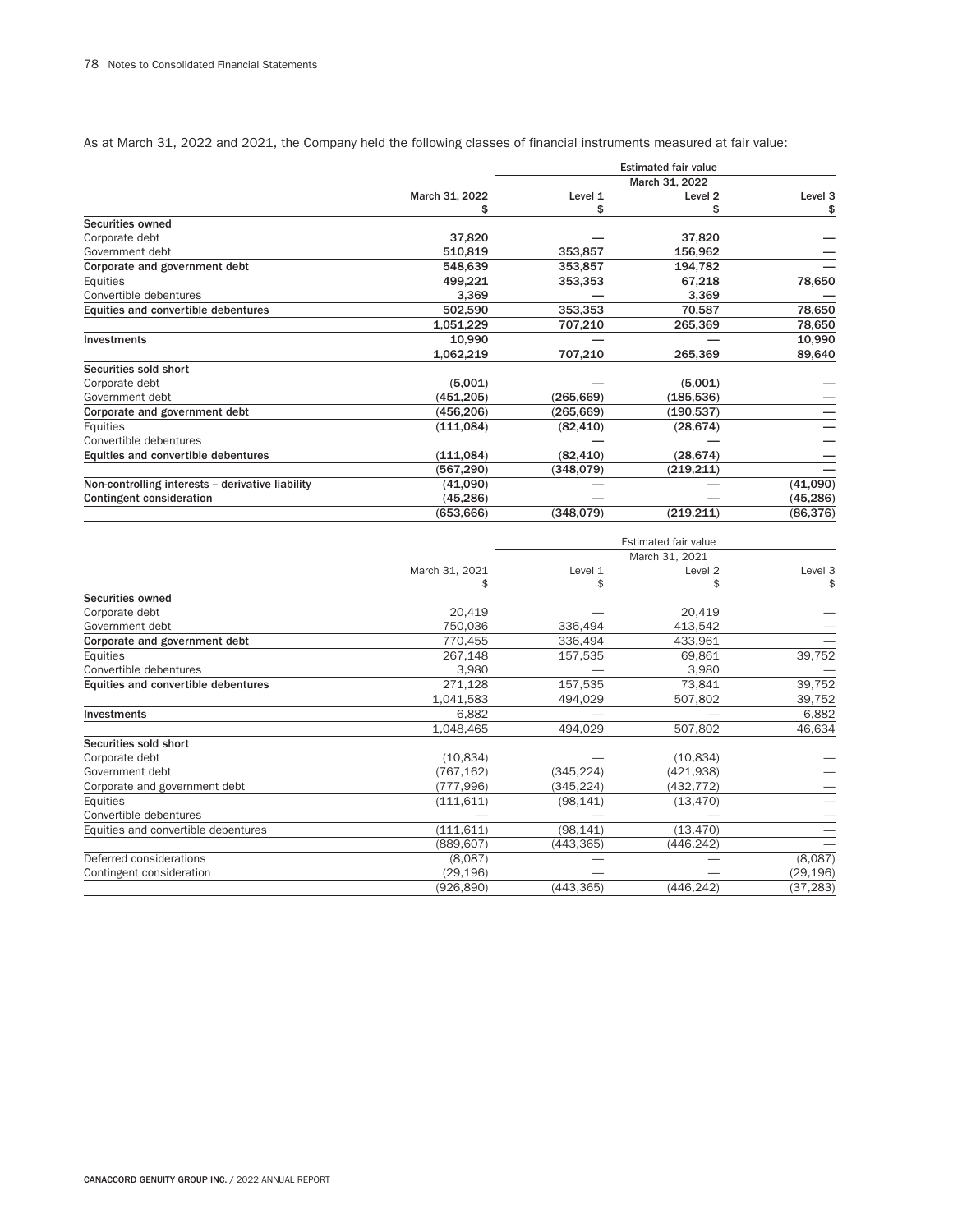As at March 31, 2022 and 2021, the Company held the following classes of financial instruments measured at fair value:

|                                                  |                |            | <b>Estimated fair value</b> |                    |
|--------------------------------------------------|----------------|------------|-----------------------------|--------------------|
|                                                  |                |            | March 31, 2022              |                    |
|                                                  | March 31, 2022 | Level 1    | Level 2                     | Level <sub>3</sub> |
|                                                  |                |            |                             |                    |
| Securities owned                                 |                |            |                             |                    |
| Corporate debt                                   | 37,820         |            | 37,820                      |                    |
| Government debt                                  | 510,819        | 353,857    | 156,962                     |                    |
| Corporate and government debt                    | 548,639        | 353,857    | 194,782                     |                    |
| Equities                                         | 499,221        | 353,353    | 67,218                      | 78,650             |
| Convertible debentures                           | 3,369          |            | 3,369                       |                    |
| Equities and convertible debentures              | 502,590        | 353,353    | 70,587                      | 78,650             |
|                                                  | 1,051,229      | 707,210    | 265,369                     | 78,650             |
| Investments                                      | 10,990         |            |                             | 10,990             |
|                                                  | 1,062,219      | 707,210    | 265,369                     | 89,640             |
| Securities sold short                            |                |            |                             |                    |
| Corporate debt                                   | (5,001)        |            | (5,001)                     |                    |
| Government debt                                  | (451, 205)     | (265, 669) | (185, 536)                  |                    |
| Corporate and government debt                    | (456, 206)     | (265,669)  | (190,537)                   |                    |
| Equities                                         | (111.084)      | (82, 410)  | (28, 674)                   |                    |
| Convertible debentures                           |                |            |                             |                    |
| Equities and convertible debentures              | (111,084)      | (82, 410)  | (28, 674)                   |                    |
|                                                  | (567,290)      | (348,079)  | (219,211)                   |                    |
| Non-controlling interests - derivative liability | (41,090)       |            |                             | (41,090)           |
| <b>Contingent consideration</b>                  | (45, 286)      |            |                             | (45, 286)          |
|                                                  | (653, 666)     | (348,079)  | (219, 211)                  | (86, 376)          |

|                                     |                | Estimated fair value |                    |           |  |  |  |
|-------------------------------------|----------------|----------------------|--------------------|-----------|--|--|--|
|                                     |                |                      | March 31, 2021     |           |  |  |  |
|                                     | March 31, 2021 | Level 1              | Level <sub>2</sub> | Level 3   |  |  |  |
|                                     |                |                      |                    |           |  |  |  |
| Securities owned                    |                |                      |                    |           |  |  |  |
| Corporate debt                      | 20,419         |                      | 20,419             |           |  |  |  |
| Government debt                     | 750,036        | 336,494              | 413,542            |           |  |  |  |
| Corporate and government debt       | 770,455        | 336,494              | 433,961            |           |  |  |  |
| Equities                            | 267,148        | 157,535              | 69,861             | 39,752    |  |  |  |
| Convertible debentures              | 3,980          |                      | 3,980              |           |  |  |  |
| Equities and convertible debentures | 271,128        | 157,535              | 73,841             | 39,752    |  |  |  |
|                                     | 1,041,583      | 494,029              | 507,802            | 39,752    |  |  |  |
| Investments                         | 6,882          |                      |                    | 6,882     |  |  |  |
|                                     | 1,048,465      | 494,029              | 507,802            | 46,634    |  |  |  |
| Securities sold short               |                |                      |                    |           |  |  |  |
| Corporate debt                      | (10, 834)      |                      | (10, 834)          |           |  |  |  |
| Government debt                     | (767,162)      | (345,224)            | (421,938)          |           |  |  |  |
| Corporate and government debt       | (777, 996)     | (345, 224)           | (432,772)          |           |  |  |  |
| Equities                            | (111, 611)     | (98, 141)            | (13, 470)          |           |  |  |  |
| Convertible debentures              |                |                      |                    |           |  |  |  |
| Equities and convertible debentures | (111, 611)     | (98, 141)            | (13, 470)          |           |  |  |  |
|                                     | (889, 607)     | (443, 365)           | (446,242)          |           |  |  |  |
| Deferred considerations             | (8,087)        |                      |                    | (8,087)   |  |  |  |
| Contingent consideration            | (29, 196)      |                      |                    | (29, 196) |  |  |  |
|                                     | (926, 890)     | (443, 365)           | (446, 242)         | (37, 283) |  |  |  |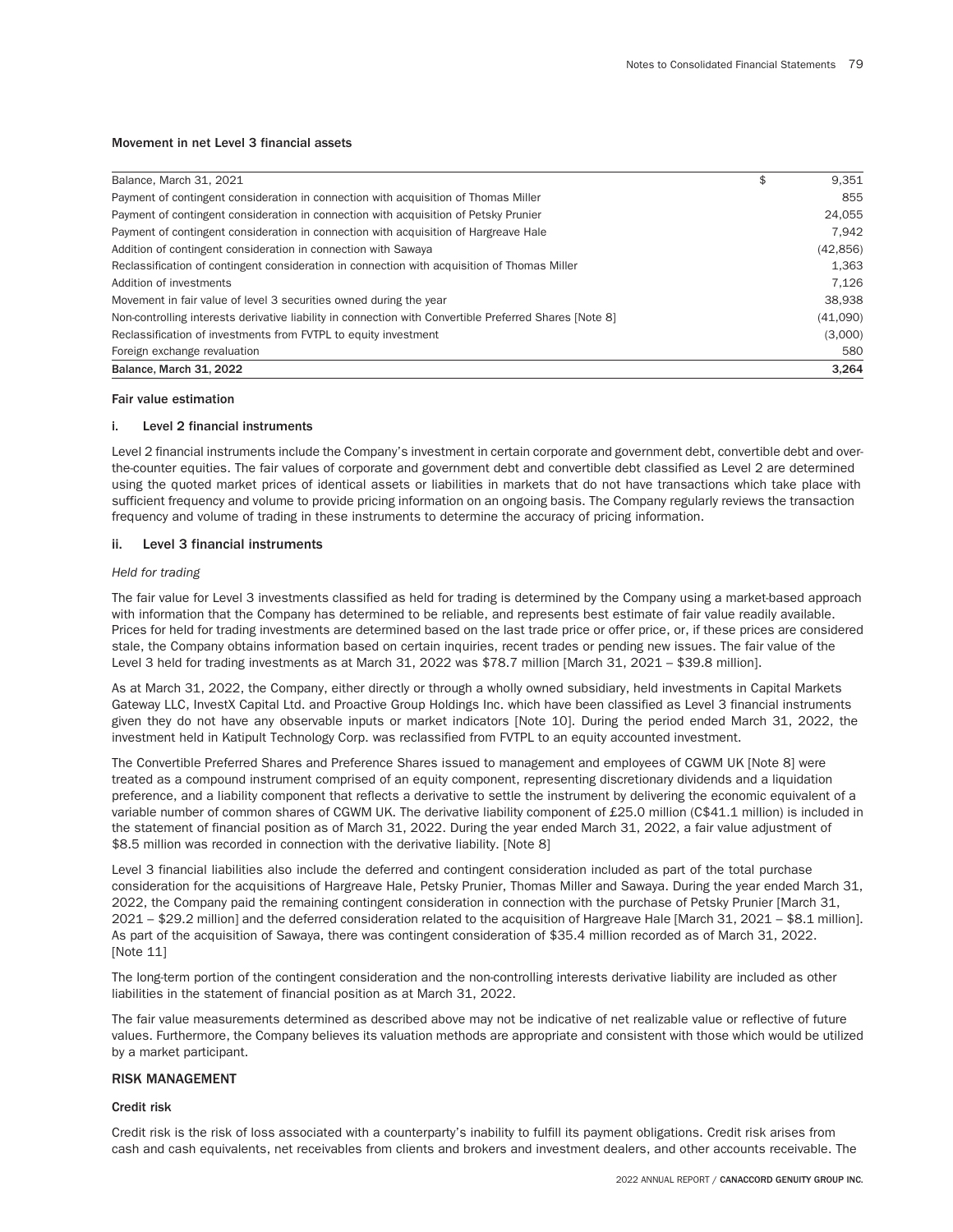#### Movement in net Level 3 financial assets

| Balance, March 31, 2021                                                                                 | \$<br>9.351 |
|---------------------------------------------------------------------------------------------------------|-------------|
| Payment of contingent consideration in connection with acquisition of Thomas Miller                     | 855         |
| Payment of contingent consideration in connection with acquisition of Petsky Prunier                    | 24.055      |
| Payment of contingent consideration in connection with acquisition of Hargreave Hale                    | 7.942       |
| Addition of contingent consideration in connection with Sawaya                                          | (42, 856)   |
| Reclassification of contingent consideration in connection with acquisition of Thomas Miller            | 1.363       |
| Addition of investments                                                                                 | 7.126       |
| Movement in fair value of level 3 securities owned during the year                                      | 38.938      |
| Non-controlling interests derivative liability in connection with Convertible Preferred Shares [Note 8] | (41,090)    |
| Reclassification of investments from FVTPL to equity investment                                         | (3,000)     |
| Foreign exchange revaluation                                                                            | 580         |
| <b>Balance, March 31, 2022</b>                                                                          | 3.264       |

#### Fair value estimation

#### i. Level 2 financial instruments

Level 2 financial instruments include the Company's investment in certain corporate and government debt, convertible debt and overthe-counter equities. The fair values of corporate and government debt and convertible debt classified as Level 2 are determined using the quoted market prices of identical assets or liabilities in markets that do not have transactions which take place with sufficient frequency and volume to provide pricing information on an ongoing basis. The Company regularly reviews the transaction frequency and volume of trading in these instruments to determine the accuracy of pricing information.

#### ii. Level 3 financial instruments

#### *Held for trading*

The fair value for Level 3 investments classified as held for trading is determined by the Company using a market-based approach with information that the Company has determined to be reliable, and represents best estimate of fair value readily available. Prices for held for trading investments are determined based on the last trade price or offer price, or, if these prices are considered stale, the Company obtains information based on certain inquiries, recent trades or pending new issues. The fair value of the Level 3 held for trading investments as at March 31, 2022 was \$78.7 million [March 31, 2021 – \$39.8 million].

As at March 31, 2022, the Company, either directly or through a wholly owned subsidiary, held investments in Capital Markets Gateway LLC, InvestX Capital Ltd. and Proactive Group Holdings Inc. which have been classified as Level 3 financial instruments given they do not have any observable inputs or market indicators [Note 10]. During the period ended March 31, 2022, the investment held in Katipult Technology Corp. was reclassified from FVTPL to an equity accounted investment.

The Convertible Preferred Shares and Preference Shares issued to management and employees of CGWM UK [Note 8] were treated as a compound instrument comprised of an equity component, representing discretionary dividends and a liquidation preference, and a liability component that reflects a derivative to settle the instrument by delivering the economic equivalent of a variable number of common shares of CGWM UK. The derivative liability component of £25.0 million (C\$41.1 million) is included in the statement of financial position as of March 31, 2022. During the year ended March 31, 2022, a fair value adjustment of \$8.5 million was recorded in connection with the derivative liability. [Note 8]

Level 3 financial liabilities also include the deferred and contingent consideration included as part of the total purchase consideration for the acquisitions of Hargreave Hale, Petsky Prunier, Thomas Miller and Sawaya. During the year ended March 31, 2022, the Company paid the remaining contingent consideration in connection with the purchase of Petsky Prunier [March 31, 2021 – \$29.2 million] and the deferred consideration related to the acquisition of Hargreave Hale [March 31, 2021 – \$8.1 million]. As part of the acquisition of Sawaya, there was contingent consideration of \$35.4 million recorded as of March 31, 2022. [Note 11]

The long-term portion of the contingent consideration and the non-controlling interests derivative liability are included as other liabilities in the statement of financial position as at March 31, 2022.

The fair value measurements determined as described above may not be indicative of net realizable value or reflective of future values. Furthermore, the Company believes its valuation methods are appropriate and consistent with those which would be utilized by a market participant.

#### RISK MANAGEMENT

#### Credit risk

Credit risk is the risk of loss associated with a counterparty's inability to fulfill its payment obligations. Credit risk arises from cash and cash equivalents, net receivables from clients and brokers and investment dealers, and other accounts receivable. The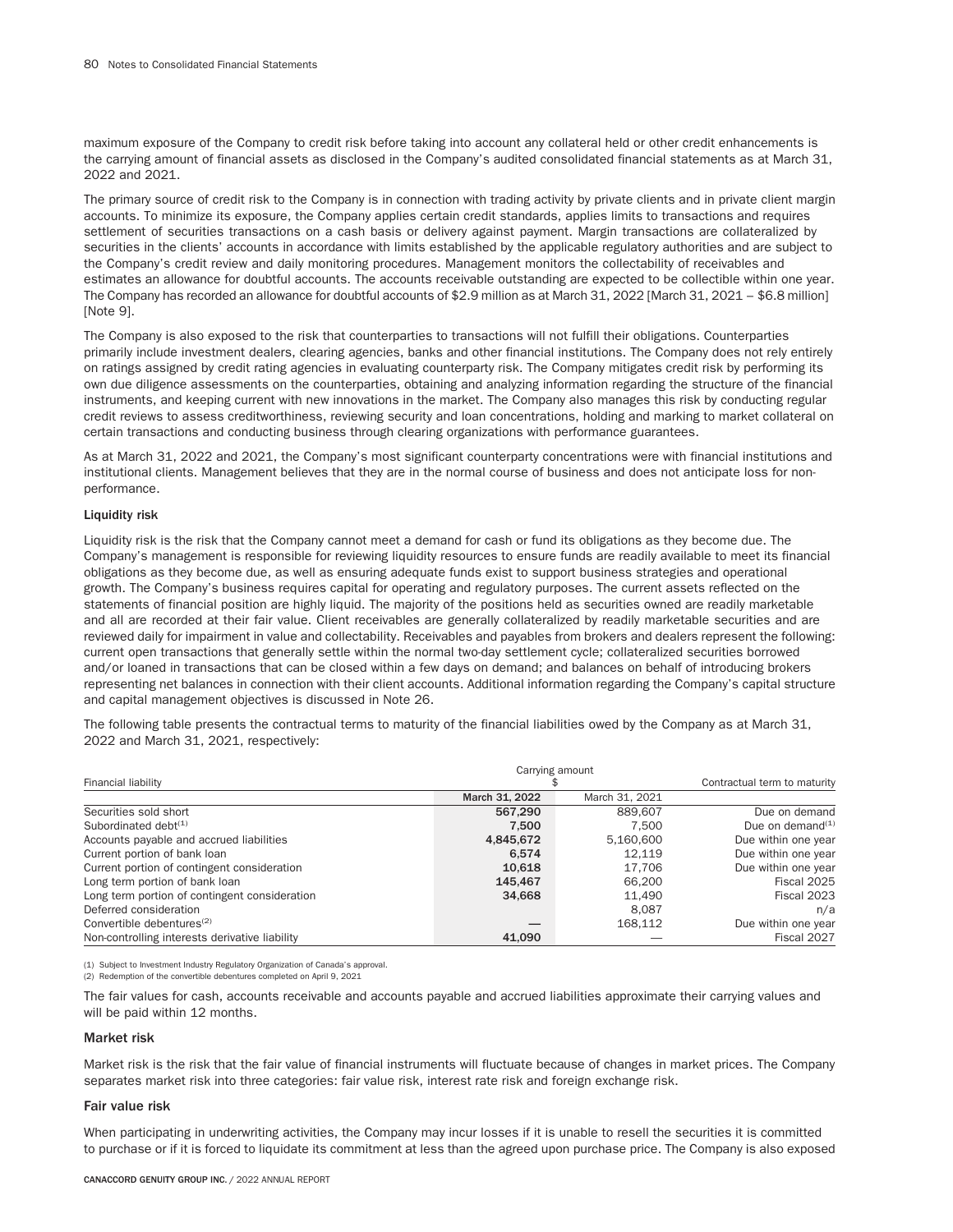maximum exposure of the Company to credit risk before taking into account any collateral held or other credit enhancements is the carrying amount of financial assets as disclosed in the Company's audited consolidated financial statements as at March 31, 2022 and 2021.

The primary source of credit risk to the Company is in connection with trading activity by private clients and in private client margin accounts. To minimize its exposure, the Company applies certain credit standards, applies limits to transactions and requires settlement of securities transactions on a cash basis or delivery against payment. Margin transactions are collateralized by securities in the clients' accounts in accordance with limits established by the applicable regulatory authorities and are subject to the Company's credit review and daily monitoring procedures. Management monitors the collectability of receivables and estimates an allowance for doubtful accounts. The accounts receivable outstanding are expected to be collectible within one year. The Company has recorded an allowance for doubtful accounts of \$2.9 million as at March 31, 2022 [March 31, 2021 – \$6.8 million] [Note 9].

The Company is also exposed to the risk that counterparties to transactions will not fulfill their obligations. Counterparties primarily include investment dealers, clearing agencies, banks and other financial institutions. The Company does not rely entirely on ratings assigned by credit rating agencies in evaluating counterparty risk. The Company mitigates credit risk by performing its own due diligence assessments on the counterparties, obtaining and analyzing information regarding the structure of the financial instruments, and keeping current with new innovations in the market. The Company also manages this risk by conducting regular credit reviews to assess creditworthiness, reviewing security and loan concentrations, holding and marking to market collateral on certain transactions and conducting business through clearing organizations with performance guarantees.

As at March 31, 2022 and 2021, the Company's most significant counterparty concentrations were with financial institutions and institutional clients. Management believes that they are in the normal course of business and does not anticipate loss for nonperformance.

#### Liquidity risk

Liquidity risk is the risk that the Company cannot meet a demand for cash or fund its obligations as they become due. The Company's management is responsible for reviewing liquidity resources to ensure funds are readily available to meet its financial obligations as they become due, as well as ensuring adequate funds exist to support business strategies and operational growth. The Company's business requires capital for operating and regulatory purposes. The current assets reflected on the statements of financial position are highly liquid. The majority of the positions held as securities owned are readily marketable and all are recorded at their fair value. Client receivables are generally collateralized by readily marketable securities and are reviewed daily for impairment in value and collectability. Receivables and payables from brokers and dealers represent the following: current open transactions that generally settle within the normal two-day settlement cycle; collateralized securities borrowed and/or loaned in transactions that can be closed within a few days on demand; and balances on behalf of introducing brokers representing net balances in connection with their client accounts. Additional information regarding the Company's capital structure and capital management objectives is discussed in Note 26.

The following table presents the contractual terms to maturity of the financial liabilities owed by the Company as at March 31, 2022 and March 31, 2021, respectively:

|                                                | Carrying amount |                |                     |  |  |  |
|------------------------------------------------|-----------------|----------------|---------------------|--|--|--|
| Financial liability                            |                 |                |                     |  |  |  |
|                                                | March 31, 2022  | March 31, 2021 |                     |  |  |  |
| Securities sold short                          | 567.290         | 889.607        | Due on demand       |  |  |  |
| Subordinated debt $(1)$                        | 7.500           | 7.500          | Due on demand $(1)$ |  |  |  |
| Accounts payable and accrued liabilities       | 4,845,672       | 5,160,600      | Due within one year |  |  |  |
| Current portion of bank loan                   | 6.574           | 12.119         | Due within one year |  |  |  |
| Current portion of contingent consideration    | 10,618          | 17.706         | Due within one year |  |  |  |
| Long term portion of bank loan                 | 145.467         | 66.200         | Fiscal 2025         |  |  |  |
| Long term portion of contingent consideration  | 34.668          | 11.490         | Fiscal 2023         |  |  |  |
| Deferred consideration                         |                 | 8.087          | n/a                 |  |  |  |
| Convertible debentures <sup>(2)</sup>          |                 | 168.112        | Due within one year |  |  |  |
| Non-controlling interests derivative liability | 41.090          |                | Fiscal 2027         |  |  |  |

(1) Subject to Investment Industry Regulatory Organization of Canada's approval. (2) Redemption of the convertible debentures completed on April 9, 2021

The fair values for cash, accounts receivable and accounts payable and accrued liabilities approximate their carrying values and will be paid within 12 months.

#### Market risk

Market risk is the risk that the fair value of financial instruments will fluctuate because of changes in market prices. The Company separates market risk into three categories: fair value risk, interest rate risk and foreign exchange risk.

#### Fair value risk

When participating in underwriting activities, the Company may incur losses if it is unable to resell the securities it is committed to purchase or if it is forced to liquidate its commitment at less than the agreed upon purchase price. The Company is also exposed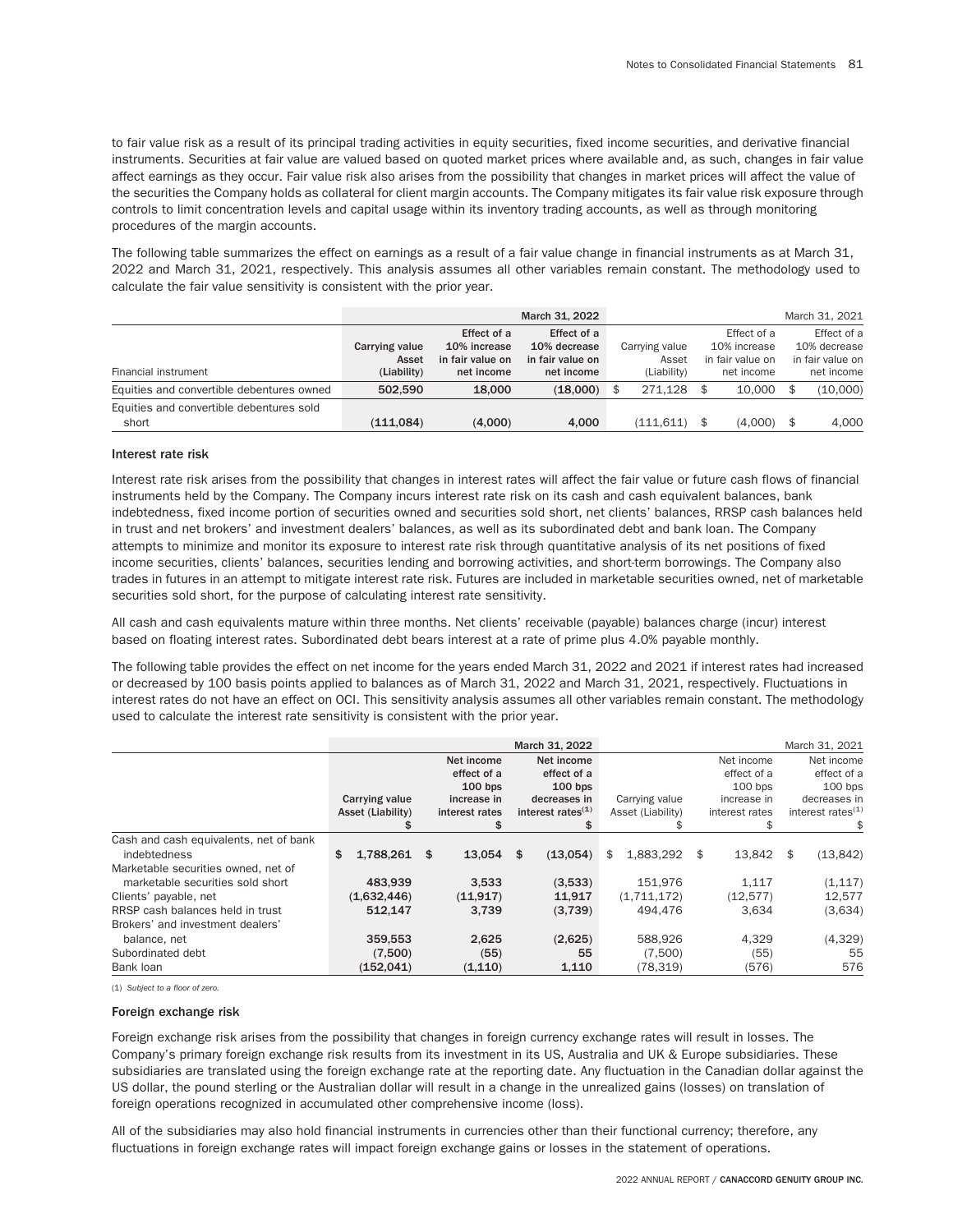to fair value risk as a result of its principal trading activities in equity securities, fixed income securities, and derivative financial instruments. Securities at fair value are valued based on quoted market prices where available and, as such, changes in fair value affect earnings as they occur. Fair value risk also arises from the possibility that changes in market prices will affect the value of the securities the Company holds as collateral for client margin accounts. The Company mitigates its fair value risk exposure through controls to limit concentration levels and capital usage within its inventory trading accounts, as well as through monitoring procedures of the margin accounts.

The following table summarizes the effect on earnings as a result of a fair value change in financial instruments as at March 31, 2022 and March 31, 2021, respectively. This analysis assumes all other variables remain constant. The methodology used to calculate the fair value sensitivity is consistent with the prior year.

|                                           |                |                  | March 31, 2022   |                |                  |              |                  | March 31, 2021 |
|-------------------------------------------|----------------|------------------|------------------|----------------|------------------|--------------|------------------|----------------|
|                                           |                | Effect of a      | Effect of a      |                |                  | Effect of a  |                  | Effect of a    |
|                                           | Carrying value | 10% increase     | 10% decrease     | Carrying value |                  | 10% increase |                  | 10% decrease   |
|                                           | Asset          | in fair value on | in fair value on | Asset          | in fair value on |              | in fair value on |                |
| Financial instrument                      | (Liability)    | net income       | net income       | (Liability)    |                  | net income   |                  | net income     |
| Equities and convertible debentures owned | 502.590        | 18,000           | (18,000)         | \$<br>271.128  |                  | 10.000       |                  | (10,000)       |
| Equities and convertible debentures sold  |                |                  |                  |                |                  |              |                  |                |
| short                                     | (111.084)      | (4,000)          | 4,000            | (111.611)      |                  | (4.000)      | \$               | 4,000          |

#### Interest rate risk

Interest rate risk arises from the possibility that changes in interest rates will affect the fair value or future cash flows of financial instruments held by the Company. The Company incurs interest rate risk on its cash and cash equivalent balances, bank indebtedness, fixed income portion of securities owned and securities sold short, net clients' balances, RRSP cash balances held in trust and net brokers' and investment dealers' balances, as well as its subordinated debt and bank loan. The Company attempts to minimize and monitor its exposure to interest rate risk through quantitative analysis of its net positions of fixed income securities, clients' balances, securities lending and borrowing activities, and short-term borrowings. The Company also trades in futures in an attempt to mitigate interest rate risk. Futures are included in marketable securities owned, net of marketable securities sold short, for the purpose of calculating interest rate sensitivity.

All cash and cash equivalents mature within three months. Net clients' receivable (payable) balances charge (incur) interest based on floating interest rates. Subordinated debt bears interest at a rate of prime plus 4.0% payable monthly.

The following table provides the effect on net income for the years ended March 31, 2022 and 2021 if interest rates had increased or decreased by 100 basis points applied to balances as of March 31, 2022 and March 31, 2021, respectively. Fluctuations in interest rates do not have an effect on OCI. This sensitivity analysis assumes all other variables remain constant. The methodology used to calculate the interest rate sensitivity is consistent with the prior year.

|                                        | March 31, 2021<br>March 31, 2022 |                |                               |                   |                |                               |  |
|----------------------------------------|----------------------------------|----------------|-------------------------------|-------------------|----------------|-------------------------------|--|
|                                        |                                  | Net income     | Net income                    |                   | Net income     | Net income                    |  |
|                                        |                                  | effect of a    | effect of a                   |                   | effect of a    | effect of a                   |  |
|                                        | $100$ bps                        |                | $100$ bps                     |                   | $100$ bps      | $100$ bps                     |  |
|                                        | Carrying value                   | increase in    | decreases in                  | Carrying value    | increase in    | decreases in                  |  |
|                                        | Asset (Liability)                | interest rates | interest rates <sup>(1)</sup> | Asset (Liability) | interest rates | interest rates <sup>(1)</sup> |  |
|                                        |                                  | \$             |                               |                   |                | \$                            |  |
| Cash and cash equivalents, net of bank |                                  |                |                               |                   |                |                               |  |
| indebtedness                           | 1,788,261<br>\$                  | 13.054<br>\$   | (13,054)<br>\$                | \$<br>1,883,292   | 13,842<br>\$   | (13, 842)<br>\$               |  |
| Marketable securities owned, net of    |                                  |                |                               |                   |                |                               |  |
| marketable securities sold short       | 483.939                          | 3.533          | (3,533)                       | 151.976           | 1.117          | (1, 117)                      |  |
| Clients' payable, net                  | (1,632,446)                      | (11, 917)      | 11,917                        | (1,711,172)       | (12, 577)      | 12,577                        |  |
| RRSP cash balances held in trust       | 512.147                          | 3.739          | (3,739)                       | 494.476           | 3.634          | (3,634)                       |  |
| Brokers' and investment dealers'       |                                  |                |                               |                   |                |                               |  |
| balance, net                           | 359,553                          | 2,625          | (2,625)                       | 588,926           | 4,329          | (4,329)                       |  |
| Subordinated debt                      | (7,500)                          | (55)           | 55                            | (7,500)           | (55)           | 55                            |  |
| Bank loan                              | (152, 041)                       | (1,110)        | 1,110                         | (78,319)          | (576)          | 576                           |  |

(1) *Subject to a floor of zero.*

#### Foreign exchange risk

Foreign exchange risk arises from the possibility that changes in foreign currency exchange rates will result in losses. The Company's primary foreign exchange risk results from its investment in its US, Australia and UK & Europe subsidiaries. These subsidiaries are translated using the foreign exchange rate at the reporting date. Any fluctuation in the Canadian dollar against the US dollar, the pound sterling or the Australian dollar will result in a change in the unrealized gains (losses) on translation of foreign operations recognized in accumulated other comprehensive income (loss).

All of the subsidiaries may also hold financial instruments in currencies other than their functional currency; therefore, any fluctuations in foreign exchange rates will impact foreign exchange gains or losses in the statement of operations.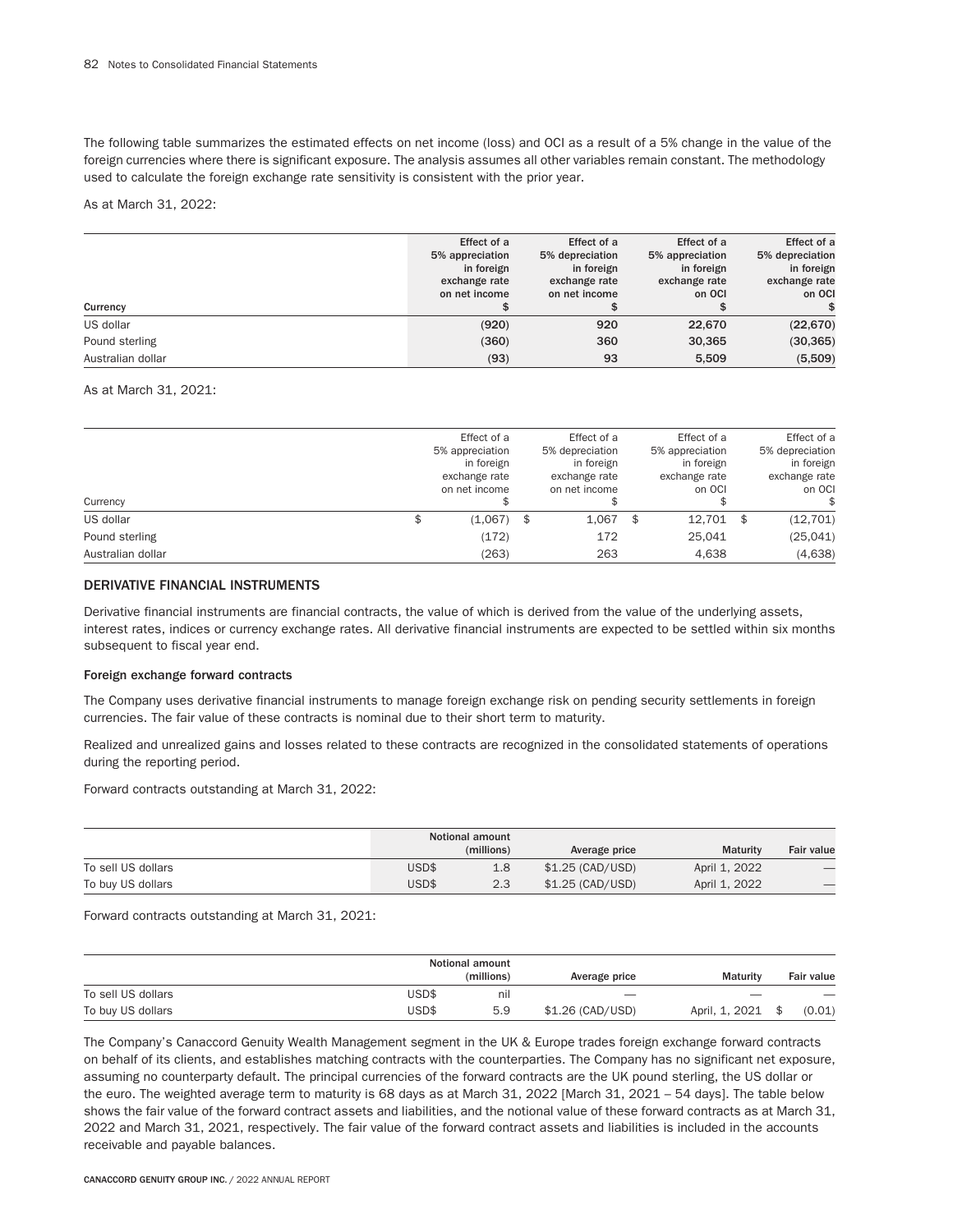The following table summarizes the estimated effects on net income (loss) and OCI as a result of a 5% change in the value of the foreign currencies where there is significant exposure. The analysis assumes all other variables remain constant. The methodology used to calculate the foreign exchange rate sensitivity is consistent with the prior year.

As at March 31, 2022:

|                   | Effect of a<br>5% appreciation<br>in foreign | Effect of a<br>5% depreciation<br>in foreign | Effect of a<br>5% appreciation<br>in foreign | Effect of a<br>5% depreciation<br>in foreign |
|-------------------|----------------------------------------------|----------------------------------------------|----------------------------------------------|----------------------------------------------|
|                   | exchange rate                                | exchange rate                                | exchange rate                                | exchange rate                                |
|                   | on net income                                | on net income                                | on OCI                                       | on OCI                                       |
| Currency          |                                              |                                              |                                              |                                              |
| US dollar         | (920)                                        | 920                                          | 22,670                                       | (22, 670)                                    |
| Pound sterling    | (360)                                        | 360                                          | 30.365                                       | (30, 365)                                    |
| Australian dollar | (93)                                         | 93                                           | 5.509                                        | (5,509)                                      |

As at March 31, 2021:

|                   | Effect of a<br>5% appreciation<br>in foreign<br>exchange rate | Effect of a<br>5% depreciation<br>in foreign<br>exchange rate |      | Effect of a<br>5% appreciation<br>in foreign<br>exchange rate | Effect of a<br>5% depreciation<br>in foreign<br>exchange rate |
|-------------------|---------------------------------------------------------------|---------------------------------------------------------------|------|---------------------------------------------------------------|---------------------------------------------------------------|
| Currency          | on net income                                                 | on net income                                                 |      | on OCI                                                        | on OCI<br>\$                                                  |
| US dollar         | $(1,067)$ \$                                                  | 1,067                                                         | - \$ | 12,701                                                        | \$<br>(12, 701)                                               |
| Pound sterling    | (172)                                                         | 172                                                           |      | 25,041                                                        | (25,041)                                                      |
| Australian dollar | (263)                                                         | 263                                                           |      | 4,638                                                         | (4,638)                                                       |

#### DERIVATIVE FINANCIAL INSTRUMENTS

Derivative financial instruments are financial contracts, the value of which is derived from the value of the underlying assets, interest rates, indices or currency exchange rates. All derivative financial instruments are expected to be settled within six months subsequent to fiscal year end.

#### Foreign exchange forward contracts

The Company uses derivative financial instruments to manage foreign exchange risk on pending security settlements in foreign currencies. The fair value of these contracts is nominal due to their short term to maturity.

Realized and unrealized gains and losses related to these contracts are recognized in the consolidated statements of operations during the reporting period.

Forward contracts outstanding at March 31, 2022:

|                    |       | <b>Notional amount</b> |                  |                 |                   |
|--------------------|-------|------------------------|------------------|-----------------|-------------------|
|                    |       | (millions)             | Average price    | <b>Maturity</b> | <b>Fair value</b> |
| To sell US dollars | USD\$ | 1.8                    | \$1.25 (CAD/USD) | April 1, 2022   |                   |
| To buy US dollars  | USD\$ | 2.3                    | \$1.25 (CAD/USD) | April 1, 2022   |                   |

Forward contracts outstanding at March 31, 2021:

|                    |       | (millions) | Average price            | <b>Maturity</b> | Fair value |
|--------------------|-------|------------|--------------------------|-----------------|------------|
| To sell US dollars | JSD\$ | nıl        | $\overline{\phantom{a}}$ | --              |            |
| To buy US dollars  | JSD\$ | 5.9        | $$1.26$ (CAD/USD)        | April, 1, 2021  | (0.01)     |

The Company's Canaccord Genuity Wealth Management segment in the UK & Europe trades foreign exchange forward contracts on behalf of its clients, and establishes matching contracts with the counterparties. The Company has no significant net exposure, assuming no counterparty default. The principal currencies of the forward contracts are the UK pound sterling, the US dollar or the euro. The weighted average term to maturity is 68 days as at March 31, 2022 [March 31, 2021 – 54 days]. The table below shows the fair value of the forward contract assets and liabilities, and the notional value of these forward contracts as at March 31, 2022 and March 31, 2021, respectively. The fair value of the forward contract assets and liabilities is included in the accounts receivable and payable balances.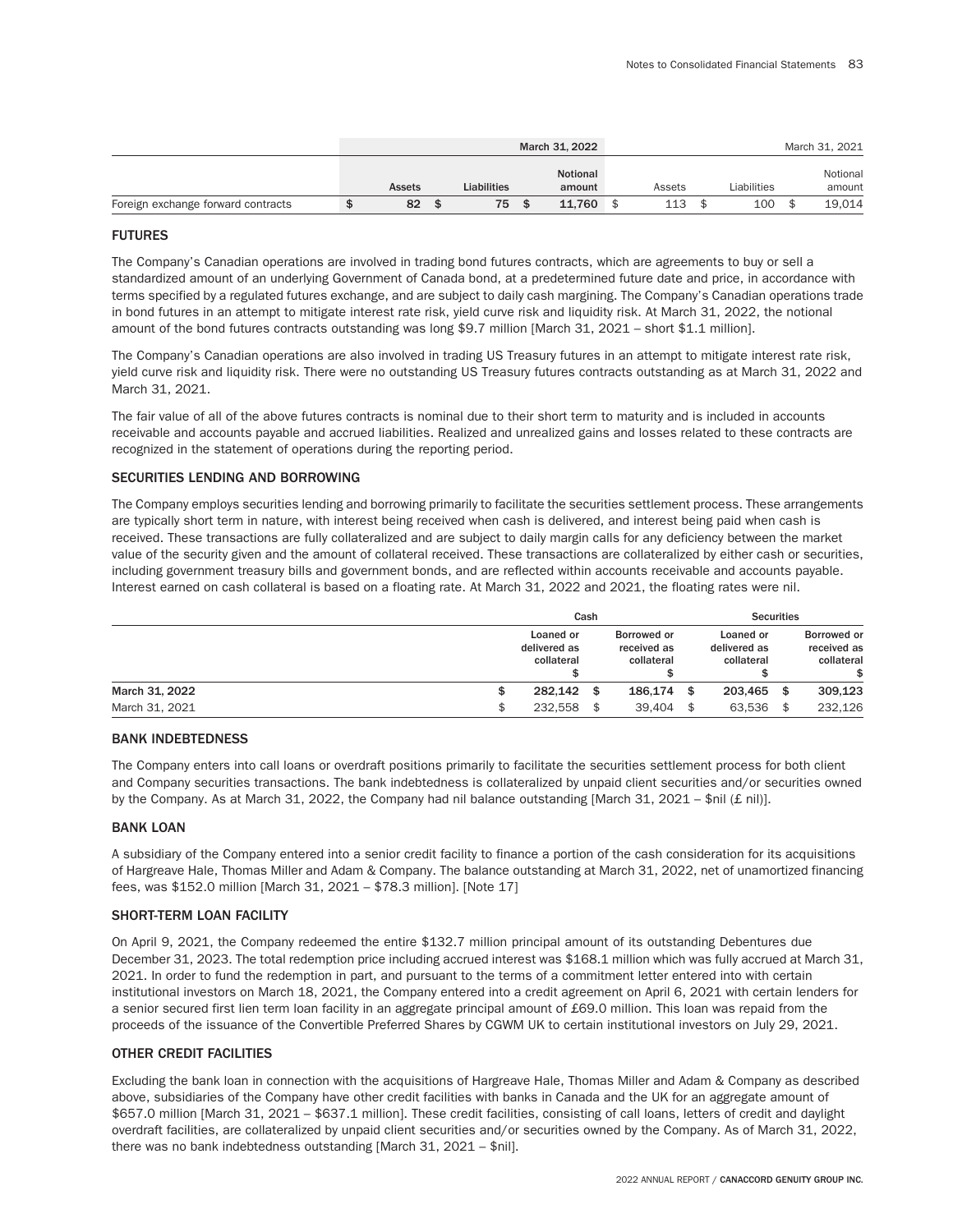|                                    | March 31, 2022 |               |  |             |  |                           |        | March 31, 2021 |                    |
|------------------------------------|----------------|---------------|--|-------------|--|---------------------------|--------|----------------|--------------------|
|                                    |                | <b>Assets</b> |  | Liabilities |  | <b>Notional</b><br>amount | Assets | Liabilities    | Notional<br>amount |
| Foreign exchange forward contracts |                | 82            |  | 75          |  | 11.760                    | 113    | 100            | 19.014             |

#### FUTURES

The Company's Canadian operations are involved in trading bond futures contracts, which are agreements to buy or sell a standardized amount of an underlying Government of Canada bond, at a predetermined future date and price, in accordance with terms specified by a regulated futures exchange, and are subject to daily cash margining. The Company's Canadian operations trade in bond futures in an attempt to mitigate interest rate risk, yield curve risk and liquidity risk. At March 31, 2022, the notional amount of the bond futures contracts outstanding was long \$9.7 million [March 31, 2021 – short \$1.1 million].

The Company's Canadian operations are also involved in trading US Treasury futures in an attempt to mitigate interest rate risk, yield curve risk and liquidity risk. There were no outstanding US Treasury futures contracts outstanding as at March 31, 2022 and March 31, 2021.

The fair value of all of the above futures contracts is nominal due to their short term to maturity and is included in accounts receivable and accounts payable and accrued liabilities. Realized and unrealized gains and losses related to these contracts are recognized in the statement of operations during the reporting period.

#### SECURITIES LENDING AND BORROWING

The Company employs securities lending and borrowing primarily to facilitate the securities settlement process. These arrangements are typically short term in nature, with interest being received when cash is delivered, and interest being paid when cash is received. These transactions are fully collateralized and are subject to daily margin calls for any deficiency between the market value of the security given and the amount of collateral received. These transactions are collateralized by either cash or securities, including government treasury bills and government bonds, and are reflected within accounts receivable and accounts payable. Interest earned on cash collateral is based on a floating rate. At March 31, 2022 and 2021, the floating rates were nil.

|                |                                         | Cash |                                                 |      |                                         | <b>Securities</b> |                                                       |  |  |
|----------------|-----------------------------------------|------|-------------------------------------------------|------|-----------------------------------------|-------------------|-------------------------------------------------------|--|--|
|                | Loaned or<br>delivered as<br>collateral |      | <b>Borrowed or</b><br>received as<br>collateral |      | Loaned or<br>delivered as<br>collateral |                   | <b>Borrowed or</b><br>received as<br>collateral<br>\$ |  |  |
| March 31, 2022 | 282.142                                 | \$   | 186.174                                         | - \$ | 203.465                                 | \$.               | 309,123                                               |  |  |
| March 31, 2021 | 232.558                                 | \$   | 39.404                                          |      | 63.536                                  |                   | 232,126                                               |  |  |

#### BANK INDEBTEDNESS

The Company enters into call loans or overdraft positions primarily to facilitate the securities settlement process for both client and Company securities transactions. The bank indebtedness is collateralized by unpaid client securities and/or securities owned by the Company. As at March 31, 2022, the Company had nil balance outstanding [March 31, 2021 – \$nil (£ nil)].

#### BANK LOAN

A subsidiary of the Company entered into a senior credit facility to finance a portion of the cash consideration for its acquisitions of Hargreave Hale, Thomas Miller and Adam & Company. The balance outstanding at March 31, 2022, net of unamortized financing fees, was \$152.0 million [March 31, 2021 – \$78.3 million]. [Note 17]

#### SHORT-TERM LOAN FACILITY

On April 9, 2021, the Company redeemed the entire \$132.7 million principal amount of its outstanding Debentures due December 31, 2023. The total redemption price including accrued interest was \$168.1 million which was fully accrued at March 31, 2021. In order to fund the redemption in part, and pursuant to the terms of a commitment letter entered into with certain institutional investors on March 18, 2021, the Company entered into a credit agreement on April 6, 2021 with certain lenders for a senior secured first lien term loan facility in an aggregate principal amount of £69.0 million. This loan was repaid from the proceeds of the issuance of the Convertible Preferred Shares by CGWM UK to certain institutional investors on July 29, 2021.

#### OTHER CREDIT FACILITIES

Excluding the bank loan in connection with the acquisitions of Hargreave Hale, Thomas Miller and Adam & Company as described above, subsidiaries of the Company have other credit facilities with banks in Canada and the UK for an aggregate amount of \$657.0 million [March 31, 2021 – \$637.1 million]. These credit facilities, consisting of call loans, letters of credit and daylight overdraft facilities, are collateralized by unpaid client securities and/or securities owned by the Company. As of March 31, 2022, there was no bank indebtedness outstanding [March 31, 2021 – \$nil].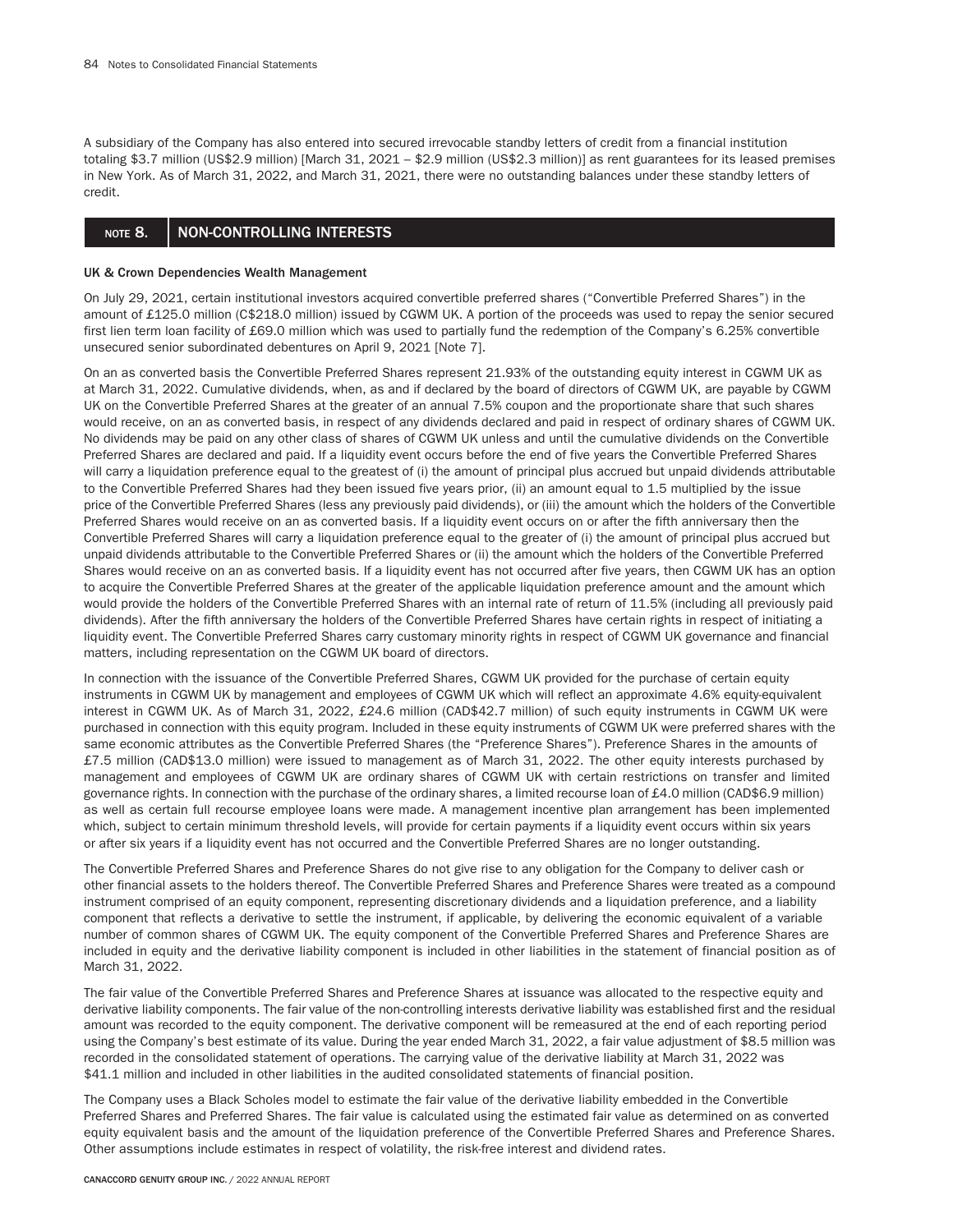A subsidiary of the Company has also entered into secured irrevocable standby letters of credit from a financial institution totaling \$3.7 million (US\$2.9 million) [March 31, 2021 – \$2.9 million (US\$2.3 million)] as rent guarantees for its leased premises in New York. As of March 31, 2022, and March 31, 2021, there were no outstanding balances under these standby letters of credit.

# NOTE 8. | NON-CONTROLLING INTERESTS

#### UK & Crown Dependencies Wealth Management

On July 29, 2021, certain institutional investors acquired convertible preferred shares ("Convertible Preferred Shares") in the amount of £125.0 million (C\$218.0 million) issued by CGWM UK. A portion of the proceeds was used to repay the senior secured first lien term loan facility of £69.0 million which was used to partially fund the redemption of the Company's 6.25% convertible unsecured senior subordinated debentures on April 9, 2021 [Note 7].

On an as converted basis the Convertible Preferred Shares represent 21.93% of the outstanding equity interest in CGWM UK as at March 31, 2022. Cumulative dividends, when, as and if declared by the board of directors of CGWM UK, are payable by CGWM UK on the Convertible Preferred Shares at the greater of an annual 7.5% coupon and the proportionate share that such shares would receive, on an as converted basis, in respect of any dividends declared and paid in respect of ordinary shares of CGWM UK. No dividends may be paid on any other class of shares of CGWM UK unless and until the cumulative dividends on the Convertible Preferred Shares are declared and paid. If a liquidity event occurs before the end of five years the Convertible Preferred Shares will carry a liquidation preference equal to the greatest of (i) the amount of principal plus accrued but unpaid dividends attributable to the Convertible Preferred Shares had they been issued five years prior, (ii) an amount equal to 1.5 multiplied by the issue price of the Convertible Preferred Shares (less any previously paid dividends), or (iii) the amount which the holders of the Convertible Preferred Shares would receive on an as converted basis. If a liquidity event occurs on or after the fifth anniversary then the Convertible Preferred Shares will carry a liquidation preference equal to the greater of (i) the amount of principal plus accrued but unpaid dividends attributable to the Convertible Preferred Shares or (ii) the amount which the holders of the Convertible Preferred Shares would receive on an as converted basis. If a liquidity event has not occurred after five years, then CGWM UK has an option to acquire the Convertible Preferred Shares at the greater of the applicable liquidation preference amount and the amount which would provide the holders of the Convertible Preferred Shares with an internal rate of return of 11.5% (including all previously paid dividends). After the fifth anniversary the holders of the Convertible Preferred Shares have certain rights in respect of initiating a liquidity event. The Convertible Preferred Shares carry customary minority rights in respect of CGWM UK governance and financial matters, including representation on the CGWM UK board of directors.

In connection with the issuance of the Convertible Preferred Shares, CGWM UK provided for the purchase of certain equity instruments in CGWM UK by management and employees of CGWM UK which will reflect an approximate 4.6% equity-equivalent interest in CGWM UK. As of March 31, 2022, £24.6 million (CAD\$42.7 million) of such equity instruments in CGWM UK were purchased in connection with this equity program. Included in these equity instruments of CGWM UK were preferred shares with the same economic attributes as the Convertible Preferred Shares (the "Preference Shares"). Preference Shares in the amounts of £7.5 million (CAD\$13.0 million) were issued to management as of March 31, 2022. The other equity interests purchased by management and employees of CGWM UK are ordinary shares of CGWM UK with certain restrictions on transfer and limited governance rights. In connection with the purchase of the ordinary shares, a limited recourse loan of £4.0 million (CAD\$6.9 million) as well as certain full recourse employee loans were made. A management incentive plan arrangement has been implemented which, subject to certain minimum threshold levels, will provide for certain payments if a liquidity event occurs within six years or after six years if a liquidity event has not occurred and the Convertible Preferred Shares are no longer outstanding.

The Convertible Preferred Shares and Preference Shares do not give rise to any obligation for the Company to deliver cash or other financial assets to the holders thereof. The Convertible Preferred Shares and Preference Shares were treated as a compound instrument comprised of an equity component, representing discretionary dividends and a liquidation preference, and a liability component that reflects a derivative to settle the instrument, if applicable, by delivering the economic equivalent of a variable number of common shares of CGWM UK. The equity component of the Convertible Preferred Shares and Preference Shares are included in equity and the derivative liability component is included in other liabilities in the statement of financial position as of March 31, 2022.

The fair value of the Convertible Preferred Shares and Preference Shares at issuance was allocated to the respective equity and derivative liability components. The fair value of the non-controlling interests derivative liability was established first and the residual amount was recorded to the equity component. The derivative component will be remeasured at the end of each reporting period using the Company's best estimate of its value. During the year ended March 31, 2022, a fair value adjustment of \$8.5 million was recorded in the consolidated statement of operations. The carrying value of the derivative liability at March 31, 2022 was \$41.1 million and included in other liabilities in the audited consolidated statements of financial position.

The Company uses a Black Scholes model to estimate the fair value of the derivative liability embedded in the Convertible Preferred Shares and Preferred Shares. The fair value is calculated using the estimated fair value as determined on as converted equity equivalent basis and the amount of the liquidation preference of the Convertible Preferred Shares and Preference Shares. Other assumptions include estimates in respect of volatility, the risk-free interest and dividend rates.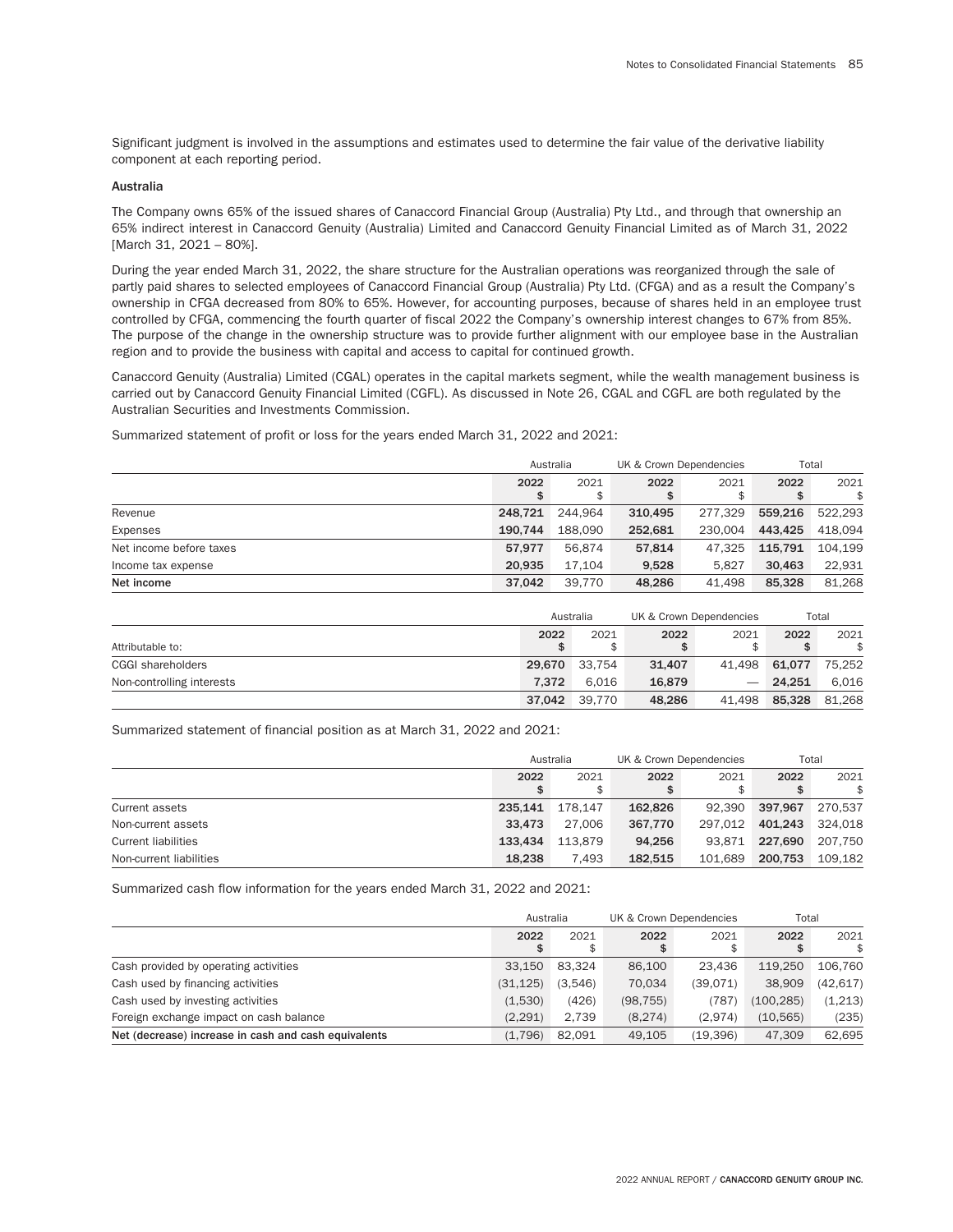Significant judgment is involved in the assumptions and estimates used to determine the fair value of the derivative liability component at each reporting period.

#### Australia

The Company owns 65% of the issued shares of Canaccord Financial Group (Australia) Pty Ltd., and through that ownership an 65% indirect interest in Canaccord Genuity (Australia) Limited and Canaccord Genuity Financial Limited as of March 31, 2022 [March 31, 2021 – 80%].

During the year ended March 31, 2022, the share structure for the Australian operations was reorganized through the sale of partly paid shares to selected employees of Canaccord Financial Group (Australia) Pty Ltd. (CFGA) and as a result the Company's ownership in CFGA decreased from 80% to 65%. However, for accounting purposes, because of shares held in an employee trust controlled by CFGA, commencing the fourth quarter of fiscal 2022 the Company's ownership interest changes to 67% from 85%. The purpose of the change in the ownership structure was to provide further alignment with our employee base in the Australian region and to provide the business with capital and access to capital for continued growth.

Canaccord Genuity (Australia) Limited (CGAL) operates in the capital markets segment, while the wealth management business is carried out by Canaccord Genuity Financial Limited (CGFL). As discussed in Note 26, CGAL and CGFL are both regulated by the Australian Securities and Investments Commission.

Summarized statement of profit or loss for the years ended March 31, 2022 and 2021:

|                         |              | Australia |         | UK & Crown Dependencies | Total   |         |  |
|-------------------------|--------------|-----------|---------|-------------------------|---------|---------|--|
|                         | 2021<br>2022 |           | 2022    | 2021                    | 2022    | 2021    |  |
|                         | S            | \$        | \$      | \$                      | \$      | \$      |  |
| Revenue                 | 248.721      | 244.964   | 310.495 | 277.329                 | 559,216 | 522.293 |  |
| Expenses                | 190.744      | 188.090   | 252,681 | 230.004                 | 443.425 | 418.094 |  |
| Net income before taxes | 57.977       | 56.874    | 57.814  | 47.325                  | 115.791 | 104.199 |  |
| Income tax expense      | 20.935       | 17.104    | 9.528   | 5.827                   | 30.463  | 22.931  |  |
| Net income              | 37.042       | 39.770    | 48.286  | 41.498                  | 85,328  | 81.268  |  |

|                           |        | Australia     | UK & Crown Dependencies | Total                    |        |        |
|---------------------------|--------|---------------|-------------------------|--------------------------|--------|--------|
|                           | 2022   | 2021          | 2022                    | 2021                     | 2022   | 2021   |
| Attributable to:          |        |               |                         | \$                       |        | \$     |
| CGGI shareholders         | 29.670 | 33.754        | 31.407                  | 41.498                   | 61.077 | 75,252 |
| Non-controlling interests | 7.372  | 6.016         | 16.879                  | $\overline{\phantom{0}}$ | 24.251 | 6.016  |
|                           |        | 37,042 39,770 | 48.286                  | 41.498                   | 85,328 | 81.268 |

Summarized statement of financial position as at March 31, 2022 and 2021:

|                         |              | Australia | UK & Crown Dependencies |         | Total   |         |
|-------------------------|--------------|-----------|-------------------------|---------|---------|---------|
|                         | 2021<br>2022 |           | 2022                    | 2021    | 2022    | 2021    |
|                         | S            | \$        |                         |         | \$      | \$      |
| Current assets          | 235.141      | 178.147   | 162.826                 | 92.390  | 397.967 | 270,537 |
| Non-current assets      | 33,473       | 27.006    | 367.770                 | 297.012 | 401.243 | 324,018 |
| Current liabilities     | 133.434      | 113.879   | 94.256                  | 93.871  | 227.690 | 207,750 |
| Non-current liabilities | 18.238       | 7.493     | 182.515                 | 101.689 | 200.753 | 109,182 |

Summarized cash flow information for the years ended March 31, 2022 and 2021:

|                                                      | Australia |         |           | UK & Crown Dependencies | Total      |           |
|------------------------------------------------------|-----------|---------|-----------|-------------------------|------------|-----------|
|                                                      | 2022      | 2021    | 2022      | 2021                    | 2022       | 2021      |
|                                                      | \$        |         | \$        |                         | \$         | \$        |
| Cash provided by operating activities                | 33.150    | 83.324  | 86.100    | 23.436                  | 119.250    | 106.760   |
| Cash used by financing activities                    | (31, 125) | (3.546) | 70.034    | (39.071)                | 38.909     | (42, 617) |
| Cash used by investing activities                    | (1,530)   | (426)   | (98, 755) | (787                    | (100, 285) | (1,213)   |
| Foreign exchange impact on cash balance              | (2,291)   | 2.739   | (8, 274)  | (2,974)                 | (10, 565)  | (235)     |
| Net (decrease) increase in cash and cash equivalents | (1,796)   | 82.091  | 49.105    | (19, 396)               | 47.309     | 62,695    |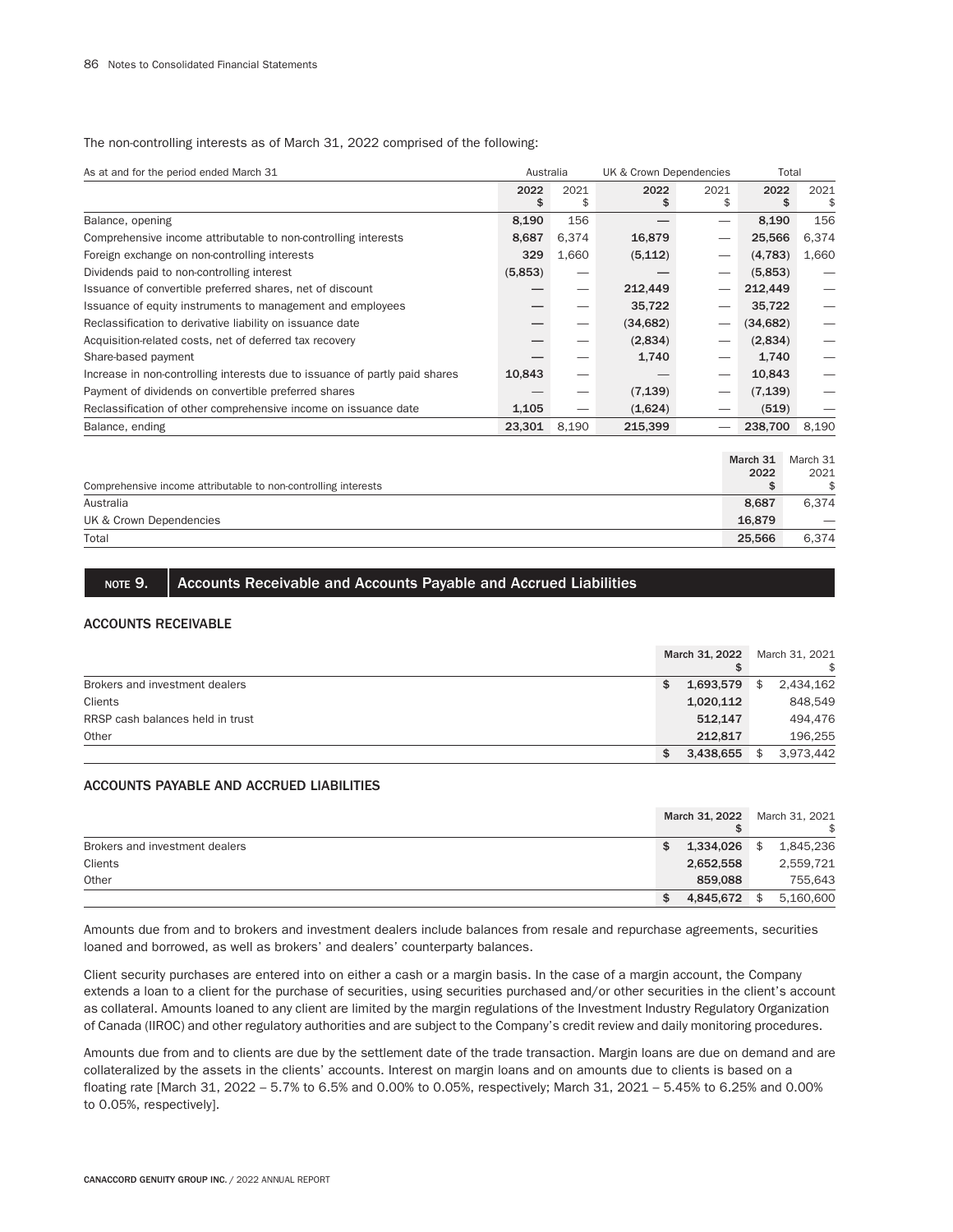#### The non-controlling interests as of March 31, 2022 comprised of the following:

| As at and for the period ended March 31                                     |           | Australia   |           | UK & Crown Dependencies |            | Total      |  |
|-----------------------------------------------------------------------------|-----------|-------------|-----------|-------------------------|------------|------------|--|
|                                                                             | 2022<br>S | 2021<br>\$. | 2022      | 2021<br>\$              | 2022<br>S. | 2021<br>\$ |  |
| Balance, opening                                                            | 8,190     | 156         |           | --                      | 8,190      | 156        |  |
| Comprehensive income attributable to non-controlling interests              | 8,687     | 6,374       | 16,879    |                         | 25,566     | 6,374      |  |
| Foreign exchange on non-controlling interests                               | 329       | 1,660       | (5, 112)  |                         | (4,783)    | 1,660      |  |
| Dividends paid to non-controlling interest                                  | (5,853)   |             |           |                         | (5,853)    |            |  |
| Issuance of convertible preferred shares, net of discount                   |           | –           | 212,449   |                         | 212,449    |            |  |
| Issuance of equity instruments to management and employees                  |           |             | 35,722    |                         | 35,722     |            |  |
| Reclassification to derivative liability on issuance date                   |           |             | (34, 682) | -                       | (34,682)   |            |  |
| Acquisition-related costs, net of deferred tax recovery                     |           |             | (2,834)   |                         | (2,834)    |            |  |
| Share-based payment                                                         |           |             | 1,740     |                         | 1,740      |            |  |
| Increase in non-controlling interests due to issuance of partly paid shares | 10,843    |             |           | —                       | 10,843     |            |  |
| Payment of dividends on convertible preferred shares                        |           |             | (7, 139)  | —                       | (7, 139)   |            |  |
| Reclassification of other comprehensive income on issuance date             | 1,105     |             | (1,624)   |                         | (519)      |            |  |
| Balance, ending                                                             | 23,301    | 8,190       | 215,399   |                         | 238,700    | 8,190      |  |
|                                                                             |           |             |           |                         | March 31   | March 31   |  |

|                                                                | 2022   | 2021  |
|----------------------------------------------------------------|--------|-------|
| Comprehensive income attributable to non-controlling interests | S      |       |
| Australia                                                      | 8.687  | 6,374 |
| UK & Crown Dependencies                                        | 16.879 |       |
| Total                                                          | 25.566 | 6,374 |

### NOTE 9. Accounts Receivable and Accounts Payable and Accrued Liabilities

#### ACCOUNTS RECEIVABLE

|                                  | March 31, 2022  |    | March 31, 2021 |
|----------------------------------|-----------------|----|----------------|
|                                  |                 |    |                |
| Brokers and investment dealers   | $$1,693,579$ \$ |    | 2,434,162      |
| Clients                          | 1,020,112       |    | 848.549        |
| RRSP cash balances held in trust | 512.147         |    | 494.476        |
| Other                            | 212.817         |    | 196,255        |
|                                  | 3,438,655       | \$ | 3.973.442      |

#### ACCOUNTS PAYABLE AND ACCRUED LIABILITIES

|                                |    | March 31, 2022         |    | March 31, 2021 |  |
|--------------------------------|----|------------------------|----|----------------|--|
|                                |    |                        |    |                |  |
| Brokers and investment dealers |    | 1,334,026              | \$ | 1,845,236      |  |
| Clients                        |    | 2,652,558              |    | 2,559,721      |  |
| Other                          |    | 859,088                |    | 755.643        |  |
|                                | S. | 4,845,672 \$ 5,160,600 |    |                |  |

Amounts due from and to brokers and investment dealers include balances from resale and repurchase agreements, securities loaned and borrowed, as well as brokers' and dealers' counterparty balances.

Client security purchases are entered into on either a cash or a margin basis. In the case of a margin account, the Company extends a loan to a client for the purchase of securities, using securities purchased and/or other securities in the client's account as collateral. Amounts loaned to any client are limited by the margin regulations of the Investment Industry Regulatory Organization of Canada (IIROC) and other regulatory authorities and are subject to the Company's credit review and daily monitoring procedures.

Amounts due from and to clients are due by the settlement date of the trade transaction. Margin loans are due on demand and are collateralized by the assets in the clients' accounts. Interest on margin loans and on amounts due to clients is based on a floating rate [March 31, 2022 – 5.7% to 6.5% and 0.00% to 0.05%, respectively; March 31, 2021 – 5.45% to 6.25% and 0.00% to 0.05%, respectively].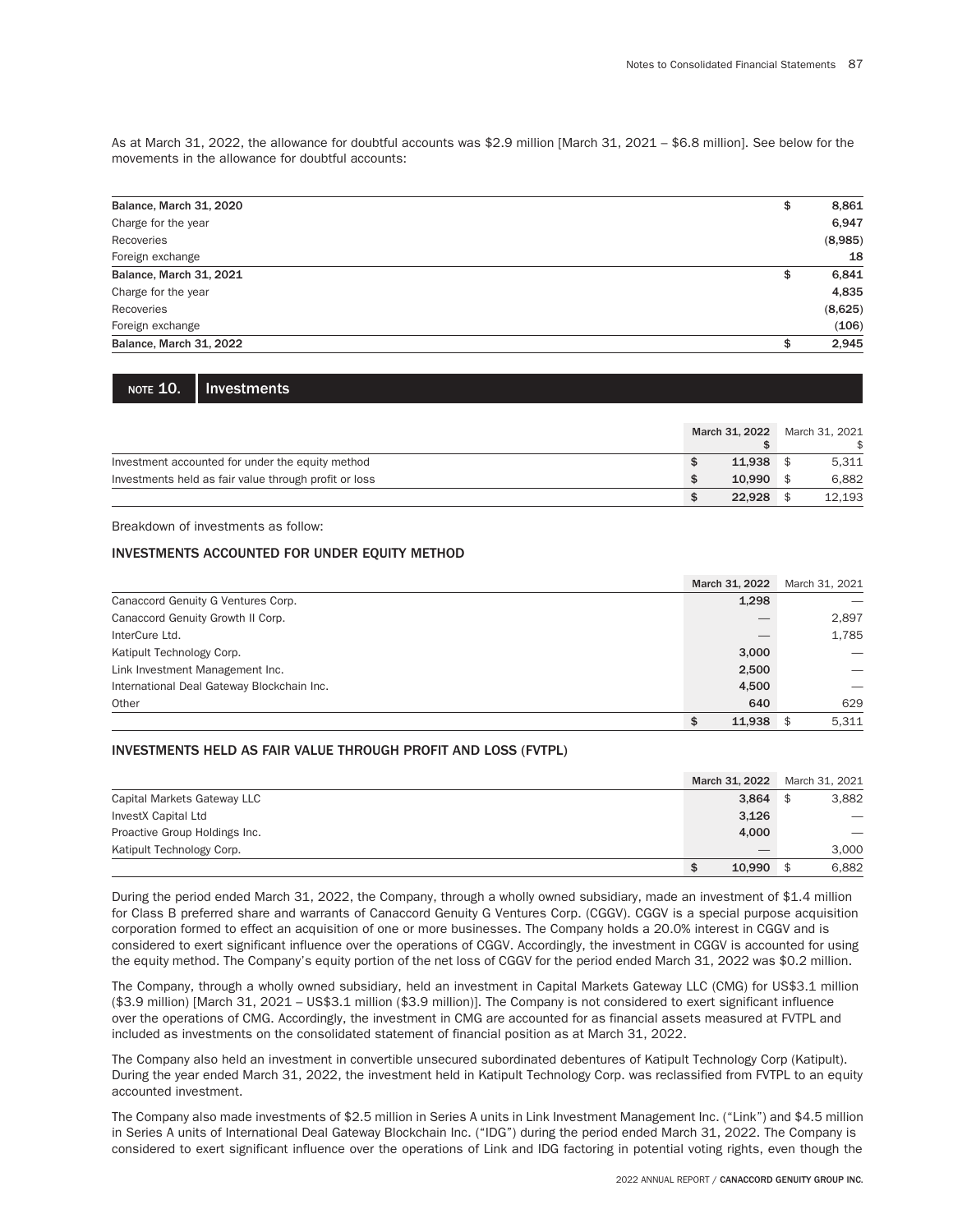As at March 31, 2022, the allowance for doubtful accounts was \$2.9 million [March 31, 2021 – \$6.8 million]. See below for the movements in the allowance for doubtful accounts:

| Balance, March 31, 2020 | \$<br>8,861 |
|-------------------------|-------------|
| Charge for the year     | 6,947       |
| Recoveries              | (8,985)     |
| Foreign exchange        | 18          |
| Balance, March 31, 2021 | 6,841       |
| Charge for the year     | 4,835       |
| Recoveries              | (8,625)     |
| Foreign exchange        | (106)       |
| Balance, March 31, 2022 | 2,945       |

### NOTE 10. | Investments

|                                                       | March 31, 2022 | March 31, 2021 |
|-------------------------------------------------------|----------------|----------------|
| Investment accounted for under the equity method      | 11.938 \$      | 5.311          |
| Investments held as fair value through profit or loss | $10.990$ \$    | 6,882          |
|                                                       | 22.928         | 12.193         |

Breakdown of investments as follow:

#### INVESTMENTS ACCOUNTED FOR UNDER EQUITY METHOD

|                                            | March 31, 2022 | March 31, 2021 |
|--------------------------------------------|----------------|----------------|
| Canaccord Genuity G Ventures Corp.         | 1,298          |                |
| Canaccord Genuity Growth II Corp.          |                | 2,897          |
| InterCure Ltd.                             |                | 1,785          |
| Katipult Technology Corp.                  | 3,000          |                |
| Link Investment Management Inc.            | 2,500          |                |
| International Deal Gateway Blockchain Inc. | 4,500          |                |
| Other                                      | 640            | 629            |
|                                            | 11,938<br>\$   | 5.311          |

#### INVESTMENTS HELD AS FAIR VALUE THROUGH PROFIT AND LOSS (FVTPL)

|                               | March 31, 2022 | March 31, 2021 |
|-------------------------------|----------------|----------------|
| Capital Markets Gateway LLC   | 3.864          | 3,882          |
| InvestX Capital Ltd           | 3,126          | -              |
| Proactive Group Holdings Inc. | 4.000          |                |
| Katipult Technology Corp.     |                | 3,000          |
|                               | 10,990         | 6.882          |

During the period ended March 31, 2022, the Company, through a wholly owned subsidiary, made an investment of \$1.4 million for Class B preferred share and warrants of Canaccord Genuity G Ventures Corp. (CGGV). CGGV is a special purpose acquisition corporation formed to effect an acquisition of one or more businesses. The Company holds a 20.0% interest in CGGV and is considered to exert significant influence over the operations of CGGV. Accordingly, the investment in CGGV is accounted for using the equity method. The Company's equity portion of the net loss of CGGV for the period ended March 31, 2022 was \$0.2 million.

The Company, through a wholly owned subsidiary, held an investment in Capital Markets Gateway LLC (CMG) for US\$3.1 million (\$3.9 million) [March 31, 2021 – US\$3.1 million (\$3.9 million)]. The Company is not considered to exert significant influence over the operations of CMG. Accordingly, the investment in CMG are accounted for as financial assets measured at FVTPL and included as investments on the consolidated statement of financial position as at March 31, 2022.

The Company also held an investment in convertible unsecured subordinated debentures of Katipult Technology Corp (Katipult). During the year ended March 31, 2022, the investment held in Katipult Technology Corp. was reclassified from FVTPL to an equity accounted investment.

The Company also made investments of \$2.5 million in Series A units in Link Investment Management Inc. ("Link") and \$4.5 million in Series A units of International Deal Gateway Blockchain Inc. ("IDG") during the period ended March 31, 2022. The Company is considered to exert significant influence over the operations of Link and IDG factoring in potential voting rights, even though the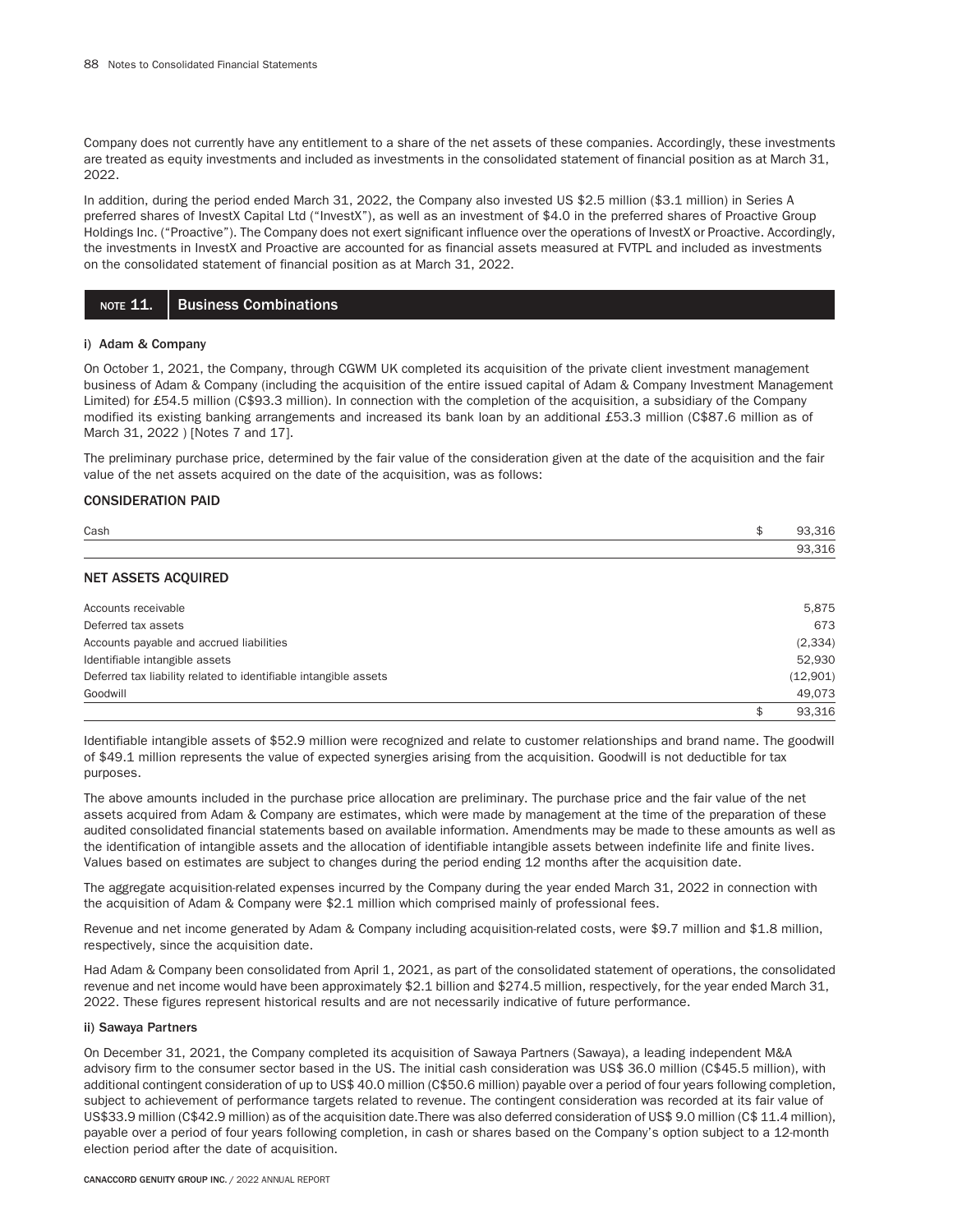Company does not currently have any entitlement to a share of the net assets of these companies. Accordingly, these investments are treated as equity investments and included as investments in the consolidated statement of financial position as at March 31, 2022.

In addition, during the period ended March 31, 2022, the Company also invested US \$2.5 million (\$3.1 million) in Series A preferred shares of InvestX Capital Ltd ("InvestX"), as well as an investment of \$4.0 in the preferred shares of Proactive Group Holdings Inc. ("Proactive"). The Company does not exert significant influence over the operations of InvestX or Proactive. Accordingly, the investments in InvestX and Proactive are accounted for as financial assets measured at FVTPL and included as investments on the consolidated statement of financial position as at March 31, 2022.

# NOTE 11. Business Combinations

#### i) Adam & Company

On October 1, 2021, the Company, through CGWM UK completed its acquisition of the private client investment management business of Adam & Company (including the acquisition of the entire issued capital of Adam & Company Investment Management Limited) for £54.5 million (C\$93.3 million). In connection with the completion of the acquisition, a subsidiary of the Company modified its existing banking arrangements and increased its bank loan by an additional £53.3 million (C\$87.6 million as of March 31, 2022 ) [Notes 7 and 17].

The preliminary purchase price, determined by the fair value of the consideration given at the date of the acquisition and the fair value of the net assets acquired on the date of the acquisition, was as follows:

#### CONSIDERATION PAID

| Cash                                                             | \$<br>93,316 |
|------------------------------------------------------------------|--------------|
|                                                                  | 93,316       |
| <b>NET ASSETS ACQUIRED</b>                                       |              |
| Accounts receivable                                              | 5,875        |
| Deferred tax assets                                              | 673          |
| Accounts payable and accrued liabilities                         | (2, 334)     |
| Identifiable intangible assets                                   | 52,930       |
| Deferred tax liability related to identifiable intangible assets | (12,901)     |
| Goodwill                                                         | 49,073       |
|                                                                  | \$<br>93,316 |

Identifiable intangible assets of \$52.9 million were recognized and relate to customer relationships and brand name. The goodwill of \$49.1 million represents the value of expected synergies arising from the acquisition. Goodwill is not deductible for tax purposes.

The above amounts included in the purchase price allocation are preliminary. The purchase price and the fair value of the net assets acquired from Adam & Company are estimates, which were made by management at the time of the preparation of these audited consolidated financial statements based on available information. Amendments may be made to these amounts as well as the identification of intangible assets and the allocation of identifiable intangible assets between indefinite life and finite lives. Values based on estimates are subject to changes during the period ending 12 months after the acquisition date.

The aggregate acquisition-related expenses incurred by the Company during the year ended March 31, 2022 in connection with the acquisition of Adam & Company were \$2.1 million which comprised mainly of professional fees.

Revenue and net income generated by Adam & Company including acquisition-related costs, were \$9.7 million and \$1.8 million, respectively, since the acquisition date.

Had Adam & Company been consolidated from April 1, 2021, as part of the consolidated statement of operations, the consolidated revenue and net income would have been approximately \$2.1 billion and \$274.5 million, respectively, for the year ended March 31, 2022. These figures represent historical results and are not necessarily indicative of future performance.

#### ii) Sawaya Partners

On December 31, 2021, the Company completed its acquisition of Sawaya Partners (Sawaya), a leading independent M&A advisory firm to the consumer sector based in the US. The initial cash consideration was US\$ 36.0 million (C\$45.5 million), with additional contingent consideration of up to US\$ 40.0 million (C\$50.6 million) payable over a period of four years following completion, subject to achievement of performance targets related to revenue. The contingent consideration was recorded at its fair value of US\$33.9 million (C\$42.9 million) as of the acquisition date.There was also deferred consideration of US\$ 9.0 million (C\$ 11.4 million), payable over a period of four years following completion, in cash or shares based on the Company's option subject to a 12-month election period after the date of acquisition.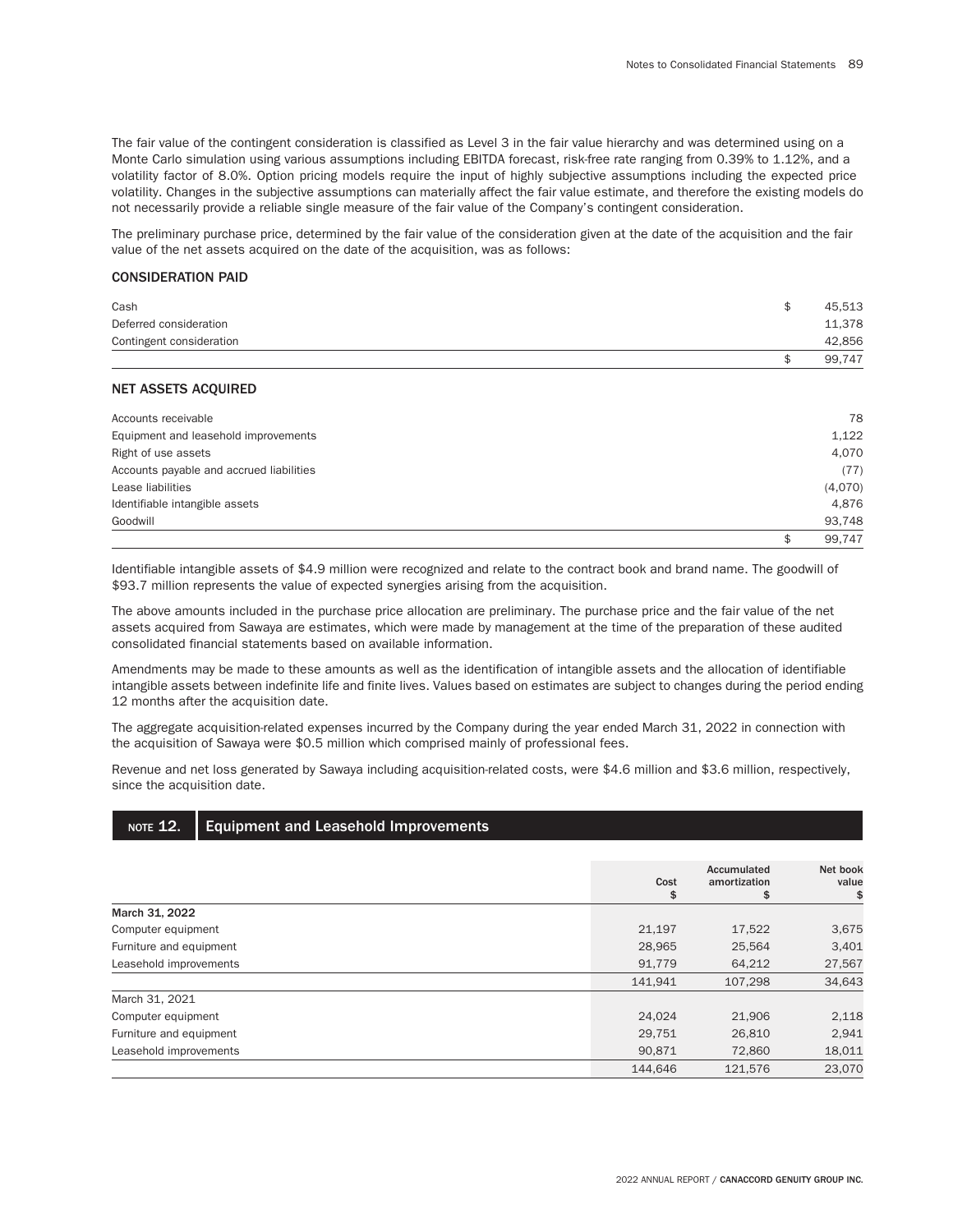The fair value of the contingent consideration is classified as Level 3 in the fair value hierarchy and was determined using on a Monte Carlo simulation using various assumptions including EBITDA forecast, risk-free rate ranging from 0.39% to 1.12%, and a volatility factor of 8.0%. Option pricing models require the input of highly subjective assumptions including the expected price volatility. Changes in the subjective assumptions can materially affect the fair value estimate, and therefore the existing models do not necessarily provide a reliable single measure of the fair value of the Company's contingent consideration.

The preliminary purchase price, determined by the fair value of the consideration given at the date of the acquisition and the fair value of the net assets acquired on the date of the acquisition, was as follows:

#### CONSIDERATION PAID

| Cash                     | 45,513 |
|--------------------------|--------|
| Deferred consideration   | 11,378 |
| Contingent consideration | 42,856 |
|                          | 99.747 |

#### NET ASSETS ACQUIRED

| Accounts receivable                      | 78      |
|------------------------------------------|---------|
| Equipment and leasehold improvements     | 1,122   |
| Right of use assets                      | 4.070   |
| Accounts payable and accrued liabilities | (77)    |
| Lease liabilities                        | (4,070) |
| Identifiable intangible assets           | 4.876   |
| Goodwill                                 | 93,748  |
|                                          | 99.747  |

Identifiable intangible assets of \$4.9 million were recognized and relate to the contract book and brand name. The goodwill of \$93.7 million represents the value of expected synergies arising from the acquisition.

The above amounts included in the purchase price allocation are preliminary. The purchase price and the fair value of the net assets acquired from Sawaya are estimates, which were made by management at the time of the preparation of these audited consolidated financial statements based on available information.

Amendments may be made to these amounts as well as the identification of intangible assets and the allocation of identifiable intangible assets between indefinite life and finite lives. Values based on estimates are subject to changes during the period ending 12 months after the acquisition date.

The aggregate acquisition-related expenses incurred by the Company during the year ended March 31, 2022 in connection with the acquisition of Sawaya were \$0.5 million which comprised mainly of professional fees.

Revenue and net loss generated by Sawaya including acquisition-related costs, were \$4.6 million and \$3.6 million, respectively, since the acquisition date.

#### NOTE 12. Equipment and Leasehold Improvements

|                         | Cost<br>\$ | Accumulated<br>amortization<br>\$ | Net book<br>value<br>\$ |
|-------------------------|------------|-----------------------------------|-------------------------|
| March 31, 2022          |            |                                   |                         |
| Computer equipment      | 21,197     | 17,522                            | 3,675                   |
| Furniture and equipment | 28,965     | 25,564                            | 3,401                   |
| Leasehold improvements  | 91,779     | 64,212                            | 27,567                  |
|                         | 141,941    | 107.298                           | 34,643                  |
| March 31, 2021          |            |                                   |                         |
| Computer equipment      | 24,024     | 21,906                            | 2,118                   |
| Furniture and equipment | 29,751     | 26,810                            | 2,941                   |
| Leasehold improvements  | 90.871     | 72.860                            | 18,011                  |
|                         | 144.646    | 121.576                           | 23,070                  |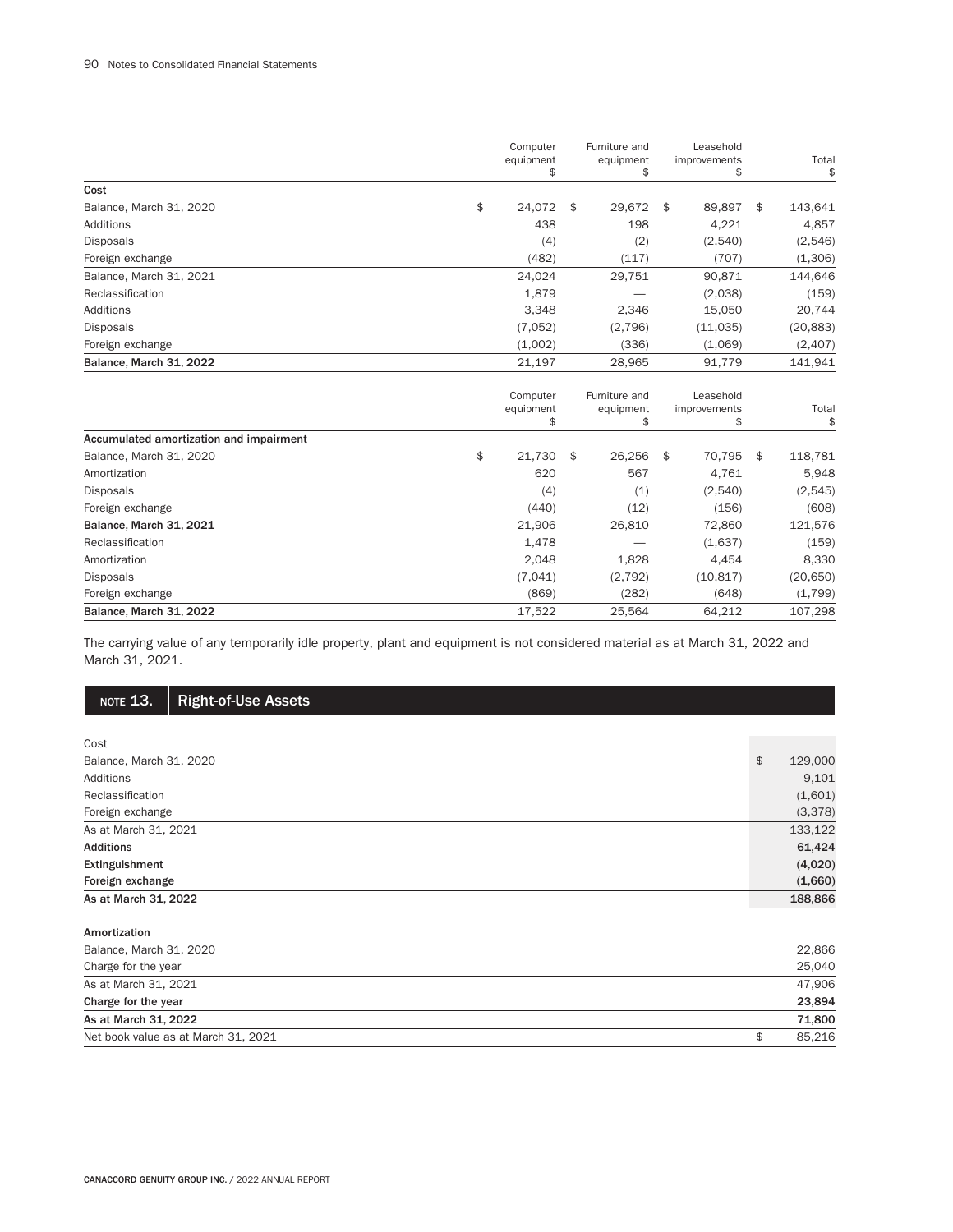|                                         | Computer<br>equipment<br>\$ | Furniture and<br>equipment<br>\$ | Leasehold<br>improvements<br>\$ |     | Total<br>\$ |
|-----------------------------------------|-----------------------------|----------------------------------|---------------------------------|-----|-------------|
| Cost                                    |                             |                                  |                                 |     |             |
| Balance, March 31, 2020                 | \$<br>24,072                | \$<br>29,672                     | \$<br>89,897                    | \$  | 143,641     |
| Additions                               | 438                         | 198                              | 4,221                           |     | 4,857       |
| Disposals                               | (4)                         | (2)                              | (2,540)                         |     | (2,546)     |
| Foreign exchange                        | (482)                       | (117)                            | (707)                           |     | (1,306)     |
| Balance, March 31, 2021                 | 24,024                      | 29,751                           | 90,871                          |     | 144,646     |
| Reclassification                        | 1,879                       |                                  | (2,038)                         |     | (159)       |
| Additions                               | 3,348                       | 2,346                            | 15,050                          |     | 20,744      |
| Disposals                               | (7,052)                     | (2,796)                          | (11,035)                        |     | (20, 883)   |
| Foreign exchange                        | (1,002)                     | (336)                            | (1,069)                         |     | (2,407)     |
| Balance, March 31, 2022                 | 21,197                      | 28,965                           | 91,779                          |     | 141,941     |
|                                         | Computer                    | Furniture and                    | Leasehold                       |     |             |
|                                         | equipment<br>\$             | equipment<br>\$                  | improvements<br>\$              |     | Total<br>\$ |
| Accumulated amortization and impairment |                             |                                  |                                 |     |             |
| Balance, March 31, 2020                 | \$<br>21,730                | \$<br>26,256                     | \$<br>70,795                    | -\$ | 118,781     |
| Amortization                            | 620                         | 567                              | 4,761                           |     | 5,948       |

| Balance, March 31, 2022        | 17.522  | 25.564   | 64,212    | 107,298   |
|--------------------------------|---------|----------|-----------|-----------|
| Foreign exchange               | (869)   | (282)    | (648)     | (1, 799)  |
| <b>Disposals</b>               | (7,041) | (2, 792) | (10, 817) | (20, 650) |
| Amortization                   | 2.048   | 1,828    | 4.454     | 8,330     |
| Reclassification               | 1,478   |          | (1,637)   | (159)     |
| <b>Balance, March 31, 2021</b> | 21.906  | 26,810   | 72.860    | 121.576   |
| Foreign exchange               | (440)   | (12)     | (156)     | (608)     |
| <b>Disposals</b>               | (4)     | (1)      | (2,540)   | (2, 545)  |

The carrying value of any temporarily idle property, plant and equipment is not considered material as at March 31, 2022 and March 31, 2021.

# NOTE 13. | Right-of-Use Assets

| Cost                    |               |
|-------------------------|---------------|
| Balance, March 31, 2020 | \$<br>129,000 |
| Additions               | 9,101         |
| Reclassification        | (1,601)       |
| Foreign exchange        | (3,378)       |
| As at March 31, 2021    | 133,122       |
| <b>Additions</b>        | 61,424        |
| Extinguishment          | (4,020)       |
| Foreign exchange        | (1,660)       |
| As at March 31, 2022    | 188,866       |

#### Amortization

| Balance, March 31, 2020             |  | 22.866 |  |
|-------------------------------------|--|--------|--|
| Charge for the year                 |  | 25.040 |  |
| As at March 31, 2021                |  | 47,906 |  |
| Charge for the year                 |  | 23.894 |  |
| As at March 31, 2022                |  | 71.800 |  |
| Net book value as at March 31, 2021 |  | 85.216 |  |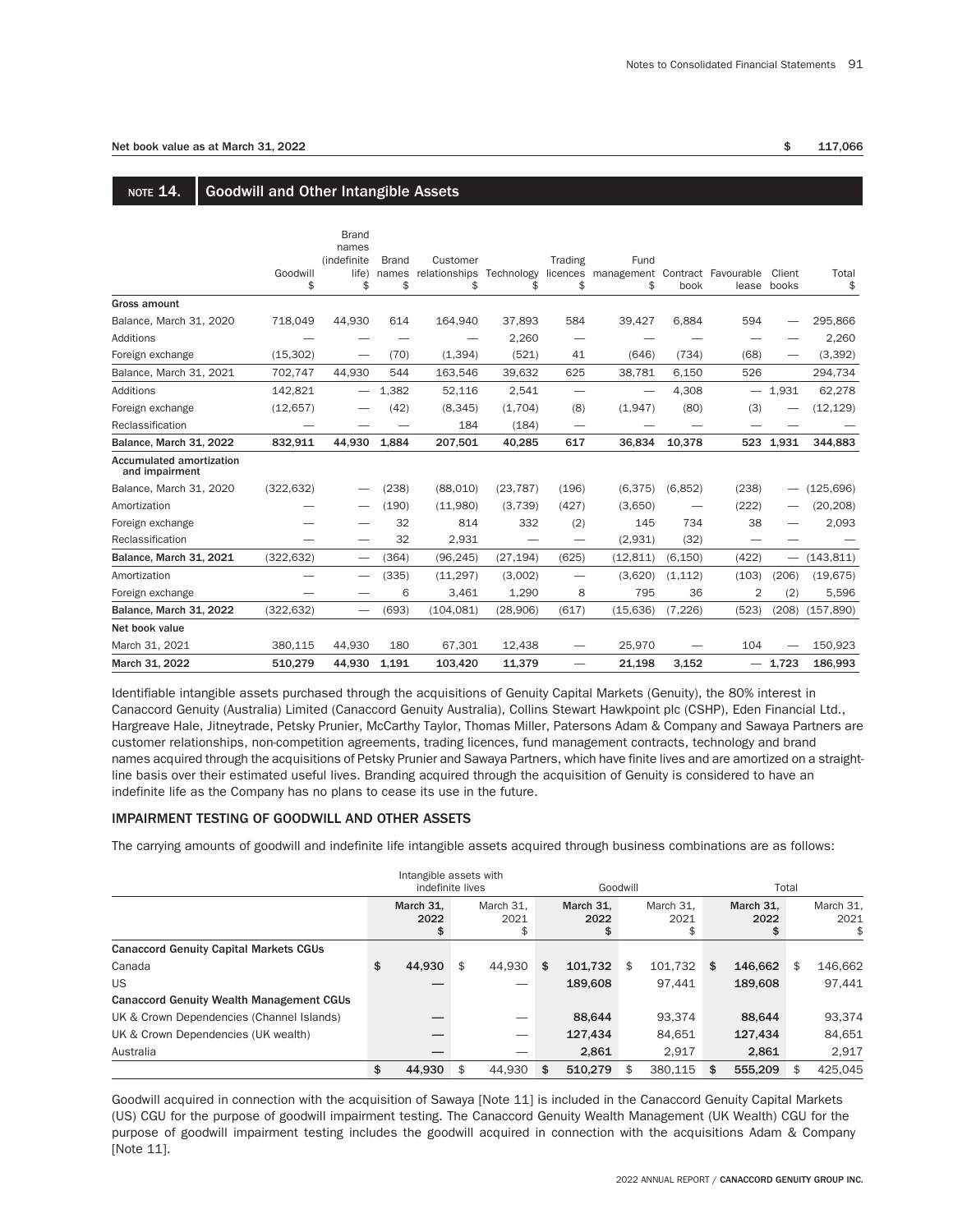#### NOTE 14. Goodwill and Other Intangible Assets

|                                                   |            | <b>Brand</b><br>names    |                       |                                      |           |                   |                                                 |          |                          |                               |            |
|---------------------------------------------------|------------|--------------------------|-----------------------|--------------------------------------|-----------|-------------------|-------------------------------------------------|----------|--------------------------|-------------------------------|------------|
|                                                   | Goodwill   | (indefinite<br>life)     | <b>Brand</b><br>names | Customer<br>relationships Technology |           | Trading           | Fund<br>licences management Contract Favourable |          |                          | Client                        | Total      |
|                                                   | \$         | \$                       | \$                    | \$                                   | \$        | \$                | \$                                              | book     |                          | lease books                   | \$         |
| <b>Gross amount</b>                               |            |                          |                       |                                      |           |                   |                                                 |          |                          |                               |            |
| Balance, March 31, 2020                           | 718,049    | 44,930                   | 614                   | 164,940                              | 37,893    | 584               | 39,427                                          | 6,884    | 594                      |                               | 295,866    |
| <b>Additions</b>                                  |            |                          |                       |                                      | 2,260     |                   |                                                 |          |                          |                               | 2,260      |
| Foreign exchange                                  | (15, 302)  |                          | (70)                  | (1, 394)                             | (521)     | 41                | (646)                                           | (734)    | (68)                     | $\overline{\phantom{0}}$      | (3, 392)   |
| Balance, March 31, 2021                           | 702,747    | 44,930                   | 544                   | 163,546                              | 39,632    | 625               | 38,781                                          | 6,150    | 526                      |                               | 294,734    |
| Additions                                         | 142,821    |                          | 1,382                 | 52,116                               | 2,541     |                   |                                                 | 4,308    | $\qquad \qquad -$        | 1,931                         | 62,278     |
| Foreign exchange                                  | (12, 657)  |                          | (42)                  | (8,345)                              | (1,704)   | (8)               | (1,947)                                         | (80)     | (3)                      |                               | (12, 129)  |
| Reclassification                                  |            |                          |                       | 184                                  | (184)     |                   |                                                 |          |                          |                               |            |
| <b>Balance, March 31, 2022</b>                    | 832,911    | 44,930                   | 1,884                 | 207,501                              | 40,285    | 617               | 36,834                                          | 10,378   |                          | 523 1,931                     | 344,883    |
| <b>Accumulated amortization</b><br>and impairment |            |                          |                       |                                      |           |                   |                                                 |          |                          |                               |            |
| Balance, March 31, 2020                           | (322, 632) |                          | (238)                 | (88,010)                             | (23, 787) | (196)             | (6,375)                                         | (6, 852) | (238)                    | $\overbrace{\phantom{aaaaa}}$ | (125, 696) |
| Amortization                                      |            |                          | (190)                 | (11,980)                             | (3, 739)  | (427)             | (3,650)                                         |          | (222)                    |                               | (20, 208)  |
| Foreign exchange                                  |            |                          | 32                    | 814                                  | 332       | (2)               | 145                                             | 734      | 38                       | $\overline{\phantom{0}}$      | 2,093      |
| Reclassification                                  |            |                          | 32                    | 2,931                                |           | $\hspace{0.05cm}$ | (2,931)                                         | (32)     |                          |                               |            |
| Balance, March 31, 2021                           | (322, 632) |                          | (364)                 | (96, 245)                            | (27, 194) | (625)             | (12, 811)                                       | (6, 150) | (422)                    | $\overline{\phantom{0}}$      | (143, 811) |
| Amortization                                      |            |                          | (335)                 | (11, 297)                            | (3,002)   | $\hspace{0.05cm}$ | (3,620)                                         | (1, 112) | (103)                    | (206)                         | (19, 675)  |
| Foreign exchange                                  |            |                          | 6                     | 3,461                                | 1,290     | 8                 | 795                                             | 36       | $\overline{2}$           | (2)                           | 5,596      |
| Balance, March 31, 2022                           | (322, 632) | $\overline{\phantom{0}}$ | (693)                 | (104, 081)                           | (28,906)  | (617)             | (15, 636)                                       | (7, 226) | (523)                    | (208)                         | (157, 890) |
| Net book value                                    |            |                          |                       |                                      |           |                   |                                                 |          |                          |                               |            |
| March 31, 2021                                    | 380,115    | 44.930                   | 180                   | 67,301                               | 12,438    |                   | 25,970                                          |          | 104                      |                               | 150,923    |
| March 31, 2022                                    | 510,279    | 44,930                   | 1,191                 | 103,420                              | 11,379    |                   | 21,198                                          | 3,152    | $\overline{\phantom{0}}$ | 1,723                         | 186,993    |

Identifiable intangible assets purchased through the acquisitions of Genuity Capital Markets (Genuity), the 80% interest in Canaccord Genuity (Australia) Limited (Canaccord Genuity Australia), Collins Stewart Hawkpoint plc (CSHP), Eden Financial Ltd., Hargreave Hale, Jitneytrade, Petsky Prunier, McCarthy Taylor, Thomas Miller, Patersons Adam & Company and Sawaya Partners are customer relationships, non-competition agreements, trading licences, fund management contracts, technology and brand names acquired through the acquisitions of Petsky Prunier and Sawaya Partners, which have finite lives and are amortized on a straightline basis over their estimated useful lives. Branding acquired through the acquisition of Genuity is considered to have an indefinite life as the Company has no plans to cease its use in the future.

#### IMPAIRMENT TESTING OF GOODWILL AND OTHER ASSETS

The carrying amounts of goodwill and indefinite life intangible assets acquired through business combinations are as follows:

|                                                 | Intangible assets with<br>indefinite lives |                   |    |                   | Goodwill |                   |    | Total             |    |                         |     |                         |
|-------------------------------------------------|--------------------------------------------|-------------------|----|-------------------|----------|-------------------|----|-------------------|----|-------------------------|-----|-------------------------|
|                                                 |                                            | March 31.<br>2022 |    | March 31.<br>2021 |          | March 31,<br>2022 |    | March 31.<br>2021 |    | March 31.<br>2022<br>\$ |     | March 31.<br>2021<br>\$ |
| <b>Canaccord Genuity Capital Markets CGUs</b>   |                                            |                   |    |                   |          |                   |    |                   |    |                         |     |                         |
| Canada                                          | \$                                         | 44.930            | \$ | 44.930            | S        | 101.732           | \$ | 101.732           | \$ | 146.662                 | \$  | 146.662                 |
| <b>US</b>                                       |                                            |                   |    |                   |          | 189.608           |    | 97.441            |    | 189,608                 |     | 97.441                  |
| <b>Canaccord Genuity Wealth Management CGUs</b> |                                            |                   |    |                   |          |                   |    |                   |    |                         |     |                         |
| UK & Crown Dependencies (Channel Islands)       |                                            |                   |    |                   |          | 88.644            |    | 93.374            |    | 88.644                  |     | 93,374                  |
| UK & Crown Dependencies (UK wealth)             |                                            |                   |    |                   |          | 127.434           |    | 84.651            |    | 127.434                 |     | 84,651                  |
| Australia                                       |                                            |                   |    |                   |          | 2.861             |    | 2.917             |    | 2.861                   |     | 2.917                   |
|                                                 | \$                                         | 44.930            | \$ | 44.930            | \$       | 510.279           | \$ | 380.115           | \$ | 555,209                 | \$. | 425.045                 |

Goodwill acquired in connection with the acquisition of Sawaya [Note 11] is included in the Canaccord Genuity Capital Markets (US) CGU for the purpose of goodwill impairment testing. The Canaccord Genuity Wealth Management (UK Wealth) CGU for the purpose of goodwill impairment testing includes the goodwill acquired in connection with the acquisitions Adam & Company [Note 11].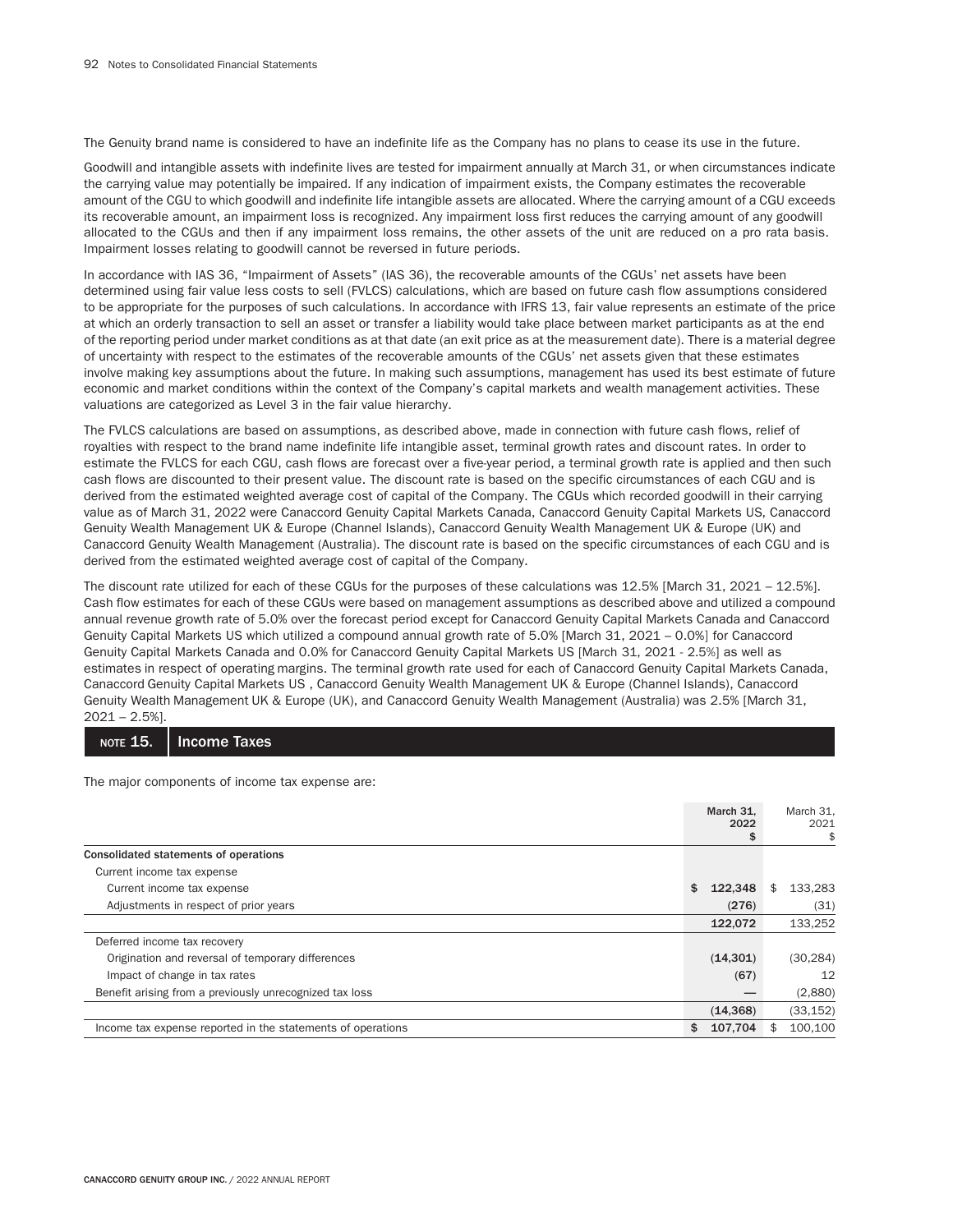The Genuity brand name is considered to have an indefinite life as the Company has no plans to cease its use in the future.

Goodwill and intangible assets with indefinite lives are tested for impairment annually at March 31, or when circumstances indicate the carrying value may potentially be impaired. If any indication of impairment exists, the Company estimates the recoverable amount of the CGU to which goodwill and indefinite life intangible assets are allocated. Where the carrying amount of a CGU exceeds its recoverable amount, an impairment loss is recognized. Any impairment loss first reduces the carrying amount of any goodwill allocated to the CGUs and then if any impairment loss remains, the other assets of the unit are reduced on a pro rata basis. Impairment losses relating to goodwill cannot be reversed in future periods.

In accordance with IAS 36, "Impairment of Assets" (IAS 36), the recoverable amounts of the CGUs' net assets have been determined using fair value less costs to sell (FVLCS) calculations, which are based on future cash flow assumptions considered to be appropriate for the purposes of such calculations. In accordance with IFRS 13, fair value represents an estimate of the price at which an orderly transaction to sell an asset or transfer a liability would take place between market participants as at the end of the reporting period under market conditions as at that date (an exit price as at the measurement date). There is a material degree of uncertainty with respect to the estimates of the recoverable amounts of the CGUs' net assets given that these estimates involve making key assumptions about the future. In making such assumptions, management has used its best estimate of future economic and market conditions within the context of the Company's capital markets and wealth management activities. These valuations are categorized as Level 3 in the fair value hierarchy.

The FVLCS calculations are based on assumptions, as described above, made in connection with future cash flows, relief of royalties with respect to the brand name indefinite life intangible asset, terminal growth rates and discount rates. In order to estimate the FVLCS for each CGU, cash flows are forecast over a five-year period, a terminal growth rate is applied and then such cash flows are discounted to their present value. The discount rate is based on the specific circumstances of each CGU and is derived from the estimated weighted average cost of capital of the Company. The CGUs which recorded goodwill in their carrying value as of March 31, 2022 were Canaccord Genuity Capital Markets Canada, Canaccord Genuity Capital Markets US, Canaccord Genuity Wealth Management UK & Europe (Channel Islands), Canaccord Genuity Wealth Management UK & Europe (UK) and Canaccord Genuity Wealth Management (Australia). The discount rate is based on the specific circumstances of each CGU and is derived from the estimated weighted average cost of capital of the Company.

The discount rate utilized for each of these CGUs for the purposes of these calculations was 12.5% [March 31, 2021 – 12.5%]. Cash flow estimates for each of these CGUs were based on management assumptions as described above and utilized a compound annual revenue growth rate of 5.0% over the forecast period except for Canaccord Genuity Capital Markets Canada and Canaccord Genuity Capital Markets US which utilized a compound annual growth rate of 5.0% [March 31, 2021 – 0.0%] for Canaccord Genuity Capital Markets Canada and 0.0% for Canaccord Genuity Capital Markets US [March 31, 2021 - 2.5%] as well as estimates in respect of operating margins. The terminal growth rate used for each of Canaccord Genuity Capital Markets Canada, Canaccord Genuity Capital Markets US , Canaccord Genuity Wealth Management UK & Europe (Channel Islands), Canaccord Genuity Wealth Management UK & Europe (UK), and Canaccord Genuity Wealth Management (Australia) was 2.5% [March 31, 2021 – 2.5%].

#### NOTE 15. | Income Taxes

The major components of income tax expense are:

|                                                             | March 31.<br>2022<br>\$ | March 31.<br>2021<br>\$ |
|-------------------------------------------------------------|-------------------------|-------------------------|
| Consolidated statements of operations                       |                         |                         |
| Current income tax expense                                  |                         |                         |
| Current income tax expense                                  | \$<br>122.348           | 133.283<br>\$           |
| Adjustments in respect of prior years                       | (276)                   | (31)                    |
|                                                             | 122,072                 | 133,252                 |
| Deferred income tax recovery                                |                         |                         |
| Origination and reversal of temporary differences           | (14, 301)               | (30, 284)               |
| Impact of change in tax rates                               | (67)                    | 12                      |
| Benefit arising from a previously unrecognized tax loss     |                         | (2,880)                 |
|                                                             | (14, 368)               | (33, 152)               |
| Income tax expense reported in the statements of operations | \$<br>107.704           | 100.100<br>\$.          |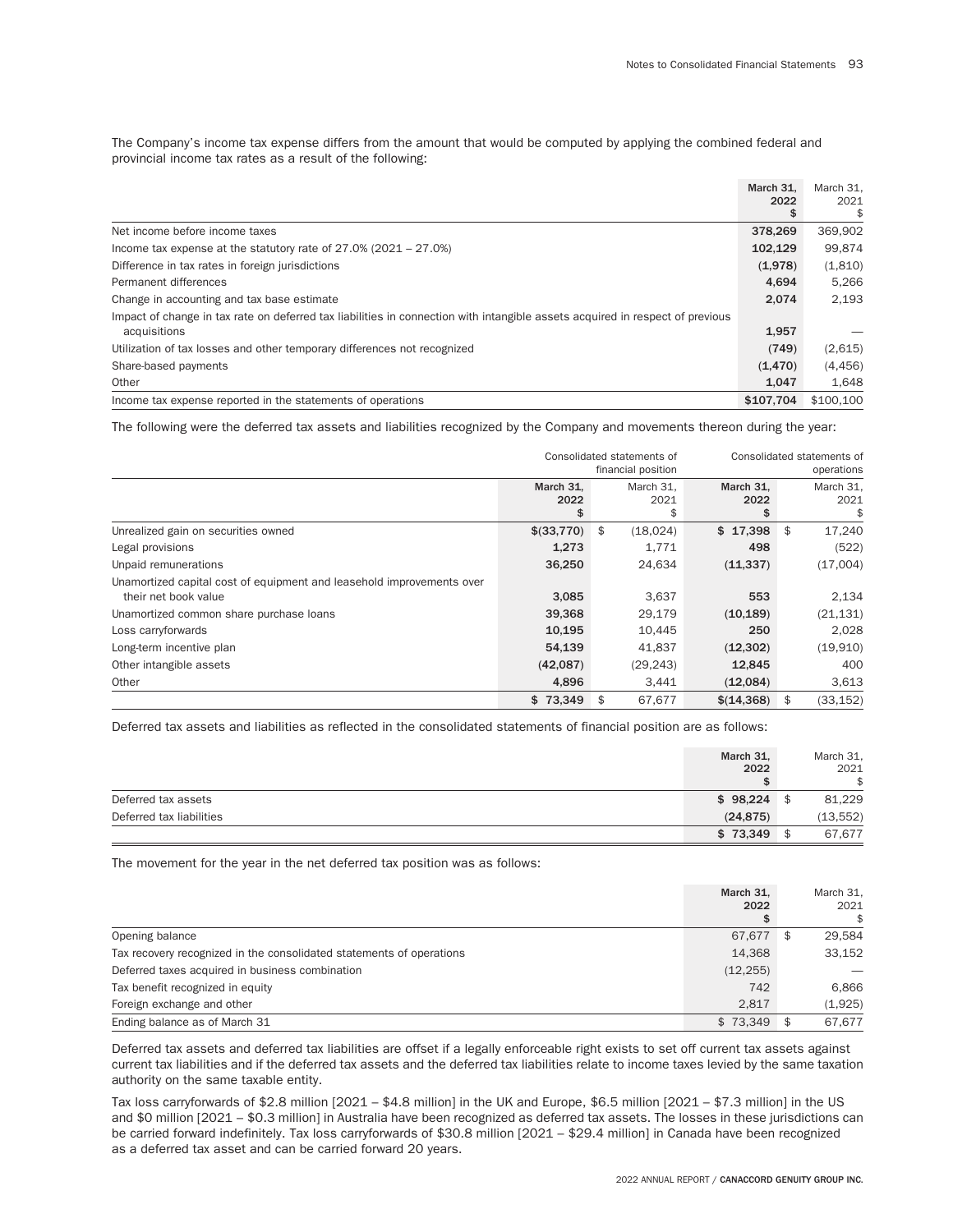The Company's income tax expense differs from the amount that would be computed by applying the combined federal and provincial income tax rates as a result of the following:

|                                                                                                                               | March 31. | March 31. |
|-------------------------------------------------------------------------------------------------------------------------------|-----------|-----------|
|                                                                                                                               | 2022      | 2021      |
|                                                                                                                               | S         | \$        |
| Net income before income taxes                                                                                                | 378,269   | 369,902   |
| Income tax expense at the statutory rate of $27.0\%$ ( $2021 - 27.0\%$ )                                                      | 102.129   | 99.874    |
| Difference in tax rates in foreign jurisdictions                                                                              | (1,978)   | (1,810)   |
| Permanent differences                                                                                                         | 4.694     | 5.266     |
| Change in accounting and tax base estimate                                                                                    | 2.074     | 2.193     |
| Impact of change in tax rate on deferred tax liabilities in connection with intangible assets acquired in respect of previous |           |           |
| acquisitions                                                                                                                  | 1,957     |           |
| Utilization of tax losses and other temporary differences not recognized                                                      | (749)     | (2,615)   |
| Share-based payments                                                                                                          | (1, 470)  | (4, 456)  |
| Other                                                                                                                         | 1.047     | 1,648     |
| Income tax expense reported in the statements of operations                                                                   | \$107.704 | \$100.100 |

The following were the deferred tax assets and liabilities recognized by the Company and movements thereon during the year:

|                                                                                               |                        | Consolidated statements of<br>financial position | Consolidated statements of<br>operations |                   |  |
|-----------------------------------------------------------------------------------------------|------------------------|--------------------------------------------------|------------------------------------------|-------------------|--|
|                                                                                               | March 31.<br>2022<br>S | March 31.<br>2021<br>\$                          | March 31.<br>2022<br>S                   | March 31,<br>2021 |  |
| Unrealized gain on securities owned                                                           | \$ (33,770)            | (18,024)<br>\$                                   | \$17,398                                 | 17.240<br>\$      |  |
| Legal provisions                                                                              | 1,273                  | 1,771                                            | 498                                      | (522)             |  |
| Unpaid remunerations                                                                          | 36,250                 | 24,634                                           | (11, 337)                                | (17,004)          |  |
| Unamortized capital cost of equipment and leasehold improvements over<br>their net book value | 3,085                  | 3,637                                            | 553                                      | 2,134             |  |
| Unamortized common share purchase loans                                                       | 39,368                 | 29,179                                           | (10, 189)                                | (21, 131)         |  |
| Loss carryforwards                                                                            | 10,195                 | 10.445                                           | 250                                      | 2,028             |  |
| Long-term incentive plan                                                                      | 54,139                 | 41,837                                           | (12, 302)                                | (19,910)          |  |
| Other intangible assets                                                                       | (42,087)               | (29, 243)                                        | 12,845                                   | 400               |  |
| Other                                                                                         | 4,896                  | 3,441                                            | (12,084)                                 | 3,613             |  |
|                                                                                               | \$73,349               | 67,677<br>- \$                                   | \$ (14, 368)                             | (33, 152)<br>\$   |  |

Deferred tax assets and liabilities as reflected in the consolidated statements of financial position are as follows:

|                          | March 31,<br>2022 | March 31,<br>2021<br>\$ |
|--------------------------|-------------------|-------------------------|
| Deferred tax assets      | \$98,224          | \$<br>81,229            |
| Deferred tax liabilities | (24, 875)         | (13, 552)               |
|                          | \$73,349          | 67,677                  |

The movement for the year in the net deferred tax position was as follows:

|                                                                      | March 31.<br>2022 | March 31,<br>2021<br>\$ |
|----------------------------------------------------------------------|-------------------|-------------------------|
| Opening balance                                                      | 67.677            | \$<br>29,584            |
| Tax recovery recognized in the consolidated statements of operations | 14,368            | 33,152                  |
| Deferred taxes acquired in business combination                      | (12, 255)         |                         |
| Tax benefit recognized in equity                                     | 742               | 6.866                   |
| Foreign exchange and other                                           | 2.817             | (1,925)                 |
| Ending balance as of March 31                                        | \$73,349          | 67.677                  |

Deferred tax assets and deferred tax liabilities are offset if a legally enforceable right exists to set off current tax assets against current tax liabilities and if the deferred tax assets and the deferred tax liabilities relate to income taxes levied by the same taxation authority on the same taxable entity.

Tax loss carryforwards of \$2.8 million [2021 – \$4.8 million] in the UK and Europe, \$6.5 million [2021 – \$7.3 million] in the US and \$0 million [2021 – \$0.3 million] in Australia have been recognized as deferred tax assets. The losses in these jurisdictions can be carried forward indefinitely. Tax loss carryforwards of \$30.8 million [2021 – \$29.4 million] in Canada have been recognized as a deferred tax asset and can be carried forward 20 years.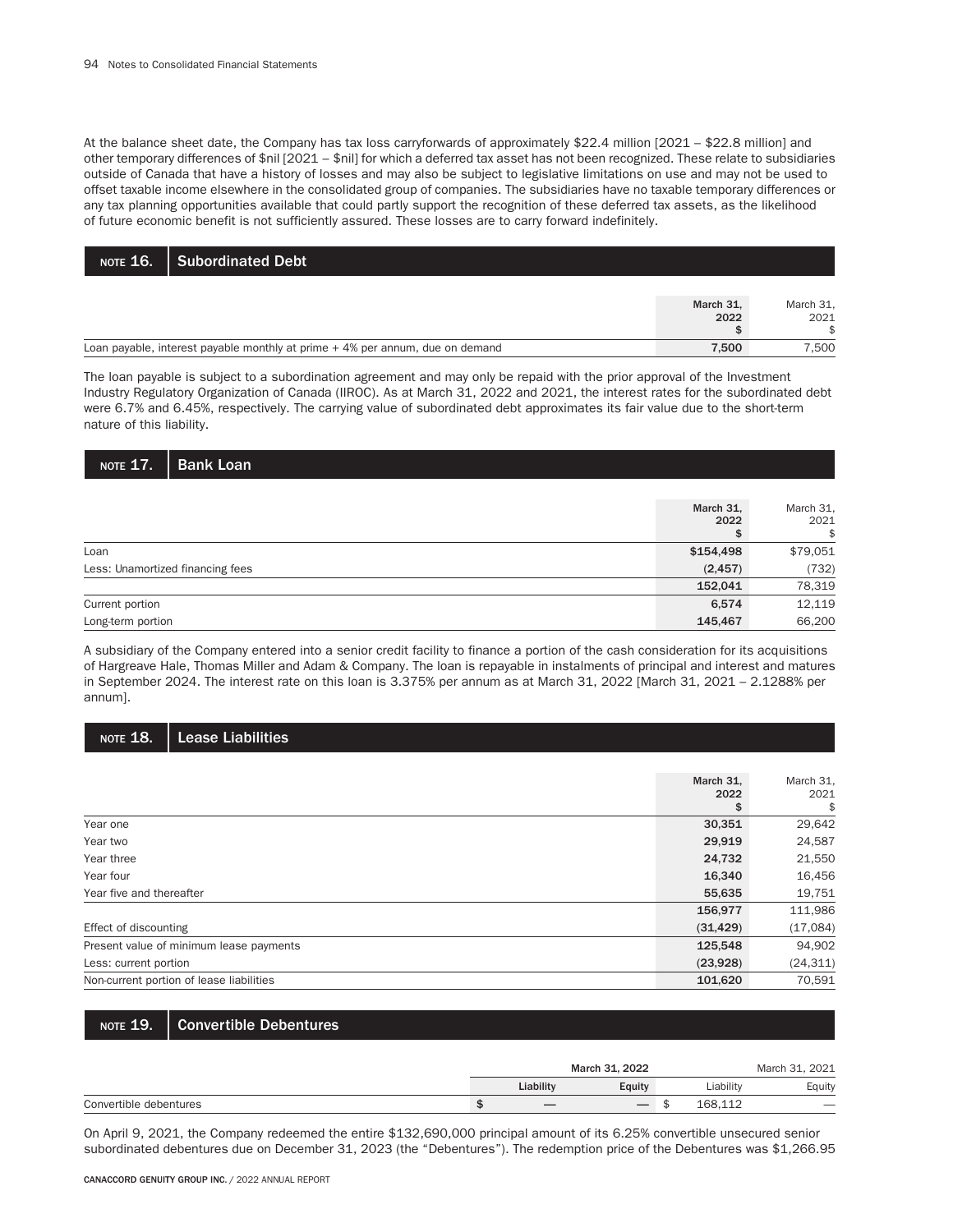At the balance sheet date, the Company has tax loss carryforwards of approximately \$22.4 million [2021 – \$22.8 million] and other temporary differences of \$nil [2021 – \$nil] for which a deferred tax asset has not been recognized. These relate to subsidiaries outside of Canada that have a history of losses and may also be subject to legislative limitations on use and may not be used to offset taxable income elsewhere in the consolidated group of companies. The subsidiaries have no taxable temporary differences or any tax planning opportunities available that could partly support the recognition of these deferred tax assets, as the likelihood of future economic benefit is not sufficiently assured. These losses are to carry forward indefinitely.

# NOTE 16. Subordinated Debt

|                                                                                 | March 31. | March 31, |
|---------------------------------------------------------------------------------|-----------|-----------|
|                                                                                 | 2022      | 2021      |
|                                                                                 |           |           |
| Loan payable, interest payable monthly at prime $+4\%$ per annum, due on demand | 7.500     | 500.'     |

The loan payable is subject to a subordination agreement and may only be repaid with the prior approval of the Investment Industry Regulatory Organization of Canada (IIROC). As at March 31, 2022 and 2021, the interest rates for the subordinated debt were 6.7% and 6.45%, respectively. The carrying value of subordinated debt approximates its fair value due to the short-term nature of this liability.

### NOTE 17. Bank Loan

|                                  | March 31,<br>2022<br>\$ | March 31,<br>2021<br>\$ |
|----------------------------------|-------------------------|-------------------------|
| Loan                             | \$154,498               | \$79,051                |
| Less: Unamortized financing fees | (2, 457)                | (732)                   |
|                                  | 152,041                 | 78,319                  |
| Current portion                  | 6,574                   | 12,119                  |
| Long-term portion                | 145,467                 | 66,200                  |

A subsidiary of the Company entered into a senior credit facility to finance a portion of the cash consideration for its acquisitions of Hargreave Hale, Thomas Miller and Adam & Company. The loan is repayable in instalments of principal and interest and matures in September 2024. The interest rate on this loan is 3.375% per annum as at March 31, 2022 [March 31, 2021 – 2.1288% per annum].

| NOTE 18.                 | <b>Lease Liabilities</b>                 |                   |                   |
|--------------------------|------------------------------------------|-------------------|-------------------|
|                          |                                          |                   |                   |
|                          |                                          | March 31,<br>2022 | March 31,<br>2021 |
|                          |                                          | \$                | \$                |
| Year one                 |                                          | 30,351            | 29,642            |
| Year two                 |                                          | 29,919            | 24,587            |
| Year three               |                                          | 24,732            | 21,550            |
| Year four                |                                          | 16,340            | 16,456            |
| Year five and thereafter |                                          | 55,635            | 19,751            |
|                          |                                          | 156,977           | 111,986           |
| Effect of discounting    |                                          | (31, 429)         | (17,084)          |
|                          | Present value of minimum lease payments  | 125,548           | 94,902            |
| Less: current portion    |                                          | (23,928)          | (24, 311)         |
|                          | Non-current portion of lease liabilities | 101,620           | 70.591            |

#### NOTE 19. Convertible Debentures

|                        | March 31, 2022 |           |        |           | March 31, 2021           |
|------------------------|----------------|-----------|--------|-----------|--------------------------|
|                        |                | Liability | Equity | Liabilitv | Equity                   |
| Convertible debentures |                |           |        | 168.112   | $\overline{\phantom{a}}$ |

On April 9, 2021, the Company redeemed the entire \$132,690,000 principal amount of its 6.25% convertible unsecured senior subordinated debentures due on December 31, 2023 (the "Debentures"). The redemption price of the Debentures was \$1,266.95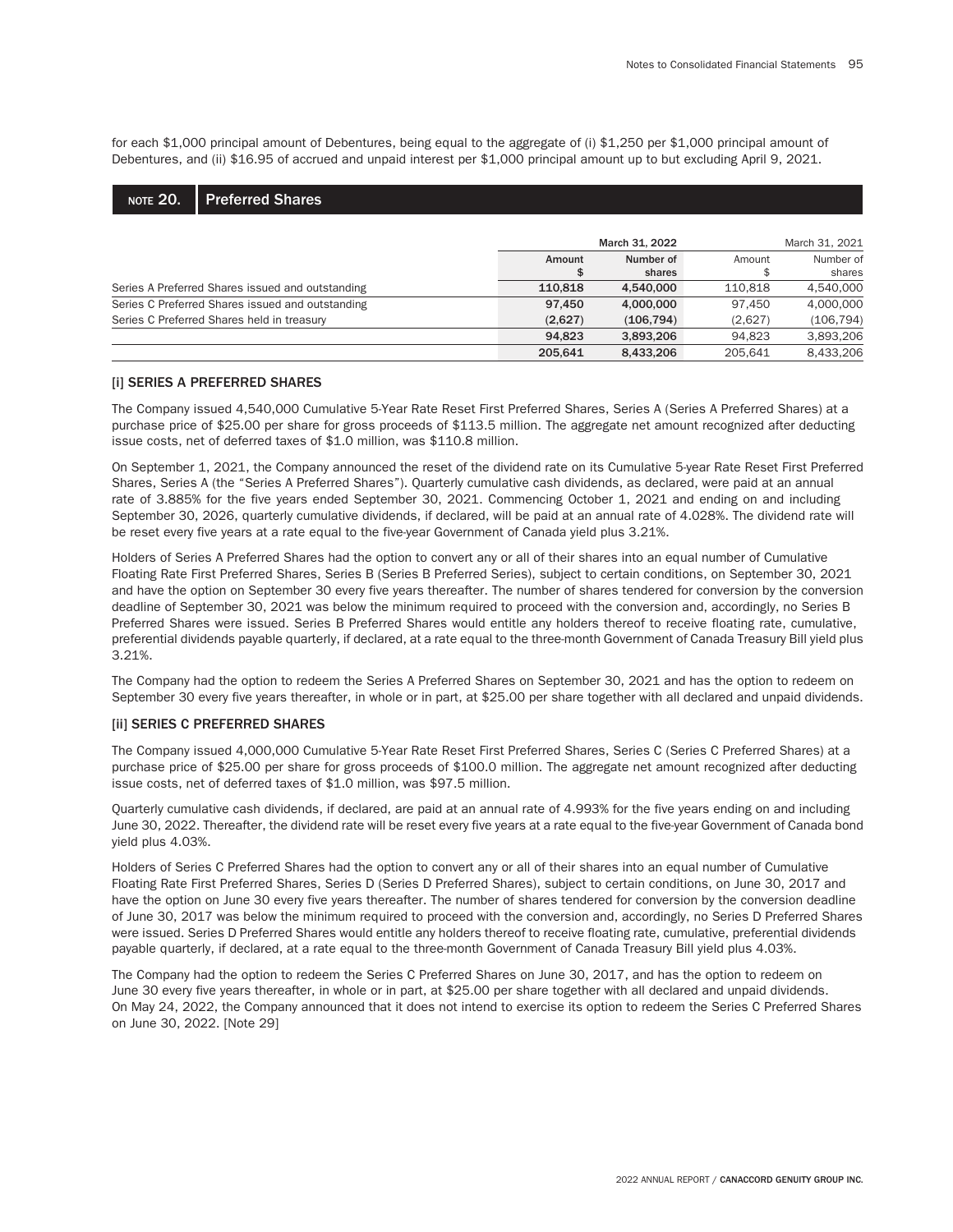for each \$1,000 principal amount of Debentures, being equal to the aggregate of (i) \$1,250 per \$1,000 principal amount of Debentures, and (ii) \$16.95 of accrued and unpaid interest per \$1,000 principal amount up to but excluding April 9, 2021.

#### NOTE 20. Preferred Shares

|                                                  |              | March 31, 2022      |         | March 31, 2021      |
|--------------------------------------------------|--------------|---------------------|---------|---------------------|
|                                                  | Amount<br>\$ | Number of<br>shares | Amount  | Number of<br>shares |
| Series A Preferred Shares issued and outstanding | 110.818      | 4.540.000           | 110.818 | 4.540.000           |
| Series C Preferred Shares issued and outstanding | 97.450       | 4.000.000           | 97.450  | 4.000.000           |
| Series C Preferred Shares held in treasury       | (2,627)      | (106, 794)          | (2,627) | (106, 794)          |
|                                                  | 94.823       | 3.893.206           | 94.823  | 3,893,206           |
|                                                  | 205.641      | 8.433.206           | 205.641 | 8,433,206           |

#### [i] SERIES A PREFERRED SHARES

The Company issued 4,540,000 Cumulative 5-Year Rate Reset First Preferred Shares, Series A (Series A Preferred Shares) at a purchase price of \$25.00 per share for gross proceeds of \$113.5 million. The aggregate net amount recognized after deducting issue costs, net of deferred taxes of \$1.0 million, was \$110.8 million.

On September 1, 2021, the Company announced the reset of the dividend rate on its Cumulative 5-year Rate Reset First Preferred Shares, Series A (the "Series A Preferred Shares"). Quarterly cumulative cash dividends, as declared, were paid at an annual rate of 3.885% for the five years ended September 30, 2021. Commencing October 1, 2021 and ending on and including September 30, 2026, quarterly cumulative dividends, if declared, will be paid at an annual rate of 4.028%. The dividend rate will be reset every five years at a rate equal to the five-year Government of Canada yield plus 3.21%.

Holders of Series A Preferred Shares had the option to convert any or all of their shares into an equal number of Cumulative Floating Rate First Preferred Shares, Series B (Series B Preferred Series), subject to certain conditions, on September 30, 2021 and have the option on September 30 every five years thereafter. The number of shares tendered for conversion by the conversion deadline of September 30, 2021 was below the minimum required to proceed with the conversion and, accordingly, no Series B Preferred Shares were issued. Series B Preferred Shares would entitle any holders thereof to receive floating rate, cumulative, preferential dividends payable quarterly, if declared, at a rate equal to the three-month Government of Canada Treasury Bill yield plus 3.21%.

The Company had the option to redeem the Series A Preferred Shares on September 30, 2021 and has the option to redeem on September 30 every five years thereafter, in whole or in part, at \$25.00 per share together with all declared and unpaid dividends.

#### [ii] SERIES C PREFERRED SHARES

The Company issued 4,000,000 Cumulative 5-Year Rate Reset First Preferred Shares, Series C (Series C Preferred Shares) at a purchase price of \$25.00 per share for gross proceeds of \$100.0 million. The aggregate net amount recognized after deducting issue costs, net of deferred taxes of \$1.0 million, was \$97.5 million.

Quarterly cumulative cash dividends, if declared, are paid at an annual rate of 4.993% for the five years ending on and including June 30, 2022. Thereafter, the dividend rate will be reset every five years at a rate equal to the five-year Government of Canada bond yield plus 4.03%.

Holders of Series C Preferred Shares had the option to convert any or all of their shares into an equal number of Cumulative Floating Rate First Preferred Shares, Series D (Series D Preferred Shares), subject to certain conditions, on June 30, 2017 and have the option on June 30 every five years thereafter. The number of shares tendered for conversion by the conversion deadline of June 30, 2017 was below the minimum required to proceed with the conversion and, accordingly, no Series D Preferred Shares were issued. Series D Preferred Shares would entitle any holders thereof to receive floating rate, cumulative, preferential dividends payable quarterly, if declared, at a rate equal to the three-month Government of Canada Treasury Bill yield plus 4.03%.

The Company had the option to redeem the Series C Preferred Shares on June 30, 2017, and has the option to redeem on June 30 every five years thereafter, in whole or in part, at \$25.00 per share together with all declared and unpaid dividends. On May 24, 2022, the Company announced that it does not intend to exercise its option to redeem the Series C Preferred Shares on June 30, 2022. [Note 29]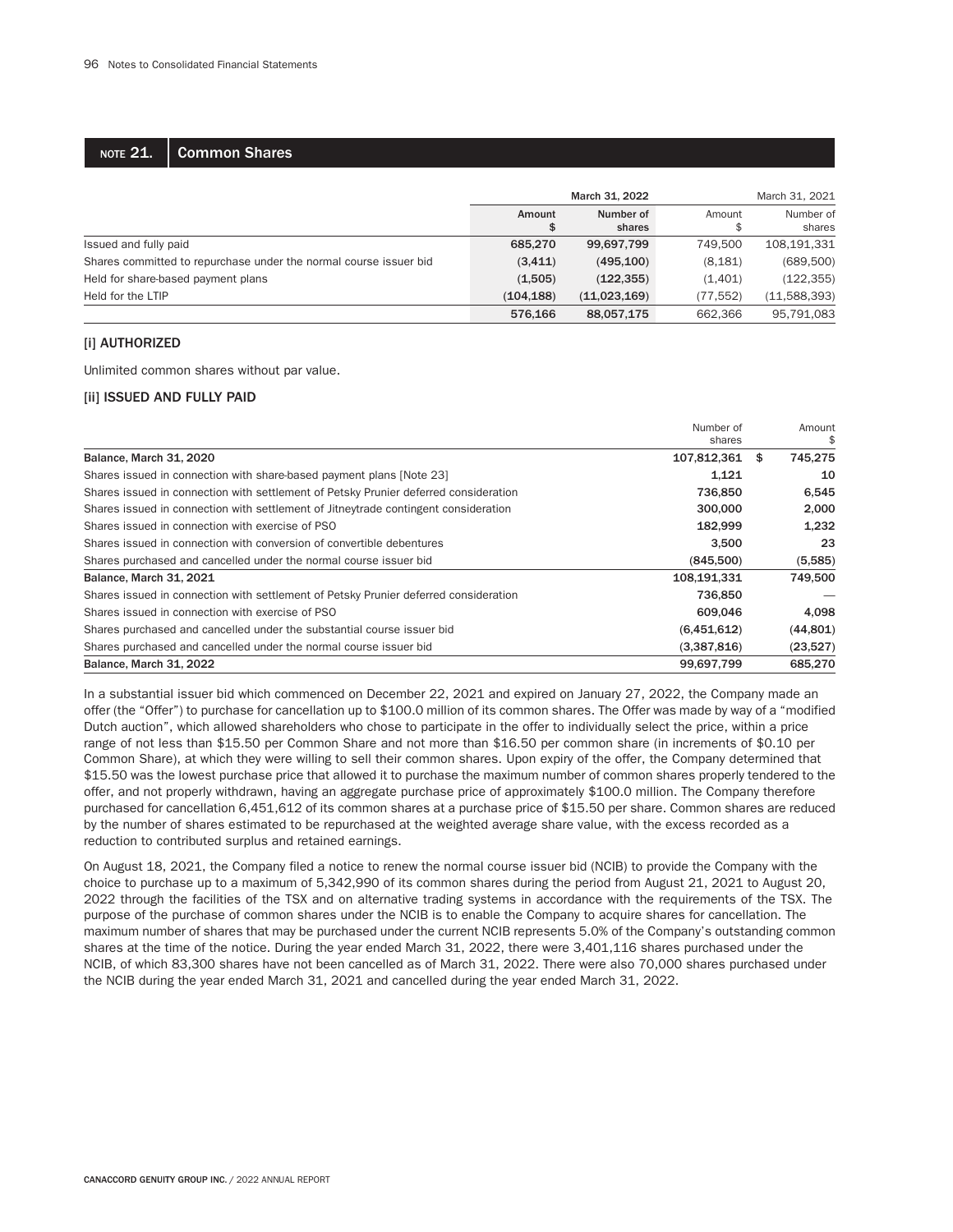# NOTE 21. Common Shares

|                                                                   | March 31, 2022 |                     |           | March 31, 2021      |
|-------------------------------------------------------------------|----------------|---------------------|-----------|---------------------|
|                                                                   | Amount<br>\$   | Number of<br>shares | Amount    | Number of<br>shares |
| Issued and fully paid                                             | 685,270        | 99,697,799          | 749.500   | 108.191.331         |
| Shares committed to repurchase under the normal course issuer bid | (3,411)        | (495, 100)          | (8, 181)  | (689, 500)          |
| Held for share-based payment plans                                | (1,505)        | (122, 355)          | (1,401)   | (122, 355)          |
| Held for the LTIP                                                 | (104, 188)     | (11,023,169)        | (77, 552) | (11,588,393)        |
|                                                                   | 576.166        | 88,057,175          | 662.366   | 95,791,083          |

#### [i] AUTHORIZED

Unlimited common shares without par value.

#### [ii] ISSUED AND FULLY PAID

|                                                                                      | Number of<br>shares |   | Amount<br>\$ |
|--------------------------------------------------------------------------------------|---------------------|---|--------------|
| Balance, March 31, 2020                                                              | 107,812,361         | S | 745,275      |
| Shares issued in connection with share-based payment plans [Note 23]                 | 1,121               |   | 10           |
| Shares issued in connection with settlement of Petsky Prunier deferred consideration | 736.850             |   | 6,545        |
| Shares issued in connection with settlement of Jitneytrade contingent consideration  | 300,000             |   | 2,000        |
| Shares issued in connection with exercise of PSO                                     | 182,999             |   | 1,232        |
| Shares issued in connection with conversion of convertible debentures                | 3,500               |   | 23           |
| Shares purchased and cancelled under the normal course issuer bid                    | (845,500)           |   | (5,585)      |
| <b>Balance, March 31, 2021</b>                                                       | 108,191,331         |   | 749,500      |
| Shares issued in connection with settlement of Petsky Prunier deferred consideration | 736,850             |   |              |
| Shares issued in connection with exercise of PSO                                     | 609.046             |   | 4.098        |
| Shares purchased and cancelled under the substantial course issuer bid               | (6,451,612)         |   | (44,801)     |
| Shares purchased and cancelled under the normal course issuer bid                    | (3,387,816)         |   | (23,527)     |
| <b>Balance, March 31, 2022</b>                                                       | 99.697.799          |   | 685,270      |

In a substantial issuer bid which commenced on December 22, 2021 and expired on January 27, 2022, the Company made an offer (the "Offer") to purchase for cancellation up to \$100.0 million of its common shares. The Offer was made by way of a "modified Dutch auction", which allowed shareholders who chose to participate in the offer to individually select the price, within a price range of not less than \$15.50 per Common Share and not more than \$16.50 per common share (in increments of \$0.10 per Common Share), at which they were willing to sell their common shares. Upon expiry of the offer, the Company determined that \$15.50 was the lowest purchase price that allowed it to purchase the maximum number of common shares properly tendered to the offer, and not properly withdrawn, having an aggregate purchase price of approximately \$100.0 million. The Company therefore purchased for cancellation 6,451,612 of its common shares at a purchase price of \$15.50 per share. Common shares are reduced by the number of shares estimated to be repurchased at the weighted average share value, with the excess recorded as a reduction to contributed surplus and retained earnings.

On August 18, 2021, the Company filed a notice to renew the normal course issuer bid (NCIB) to provide the Company with the choice to purchase up to a maximum of 5,342,990 of its common shares during the period from August 21, 2021 to August 20, 2022 through the facilities of the TSX and on alternative trading systems in accordance with the requirements of the TSX. The purpose of the purchase of common shares under the NCIB is to enable the Company to acquire shares for cancellation. The maximum number of shares that may be purchased under the current NCIB represents 5.0% of the Company's outstanding common shares at the time of the notice. During the year ended March 31, 2022, there were 3,401,116 shares purchased under the NCIB, of which 83,300 shares have not been cancelled as of March 31, 2022. There were also 70,000 shares purchased under the NCIB during the year ended March 31, 2021 and cancelled during the year ended March 31, 2022.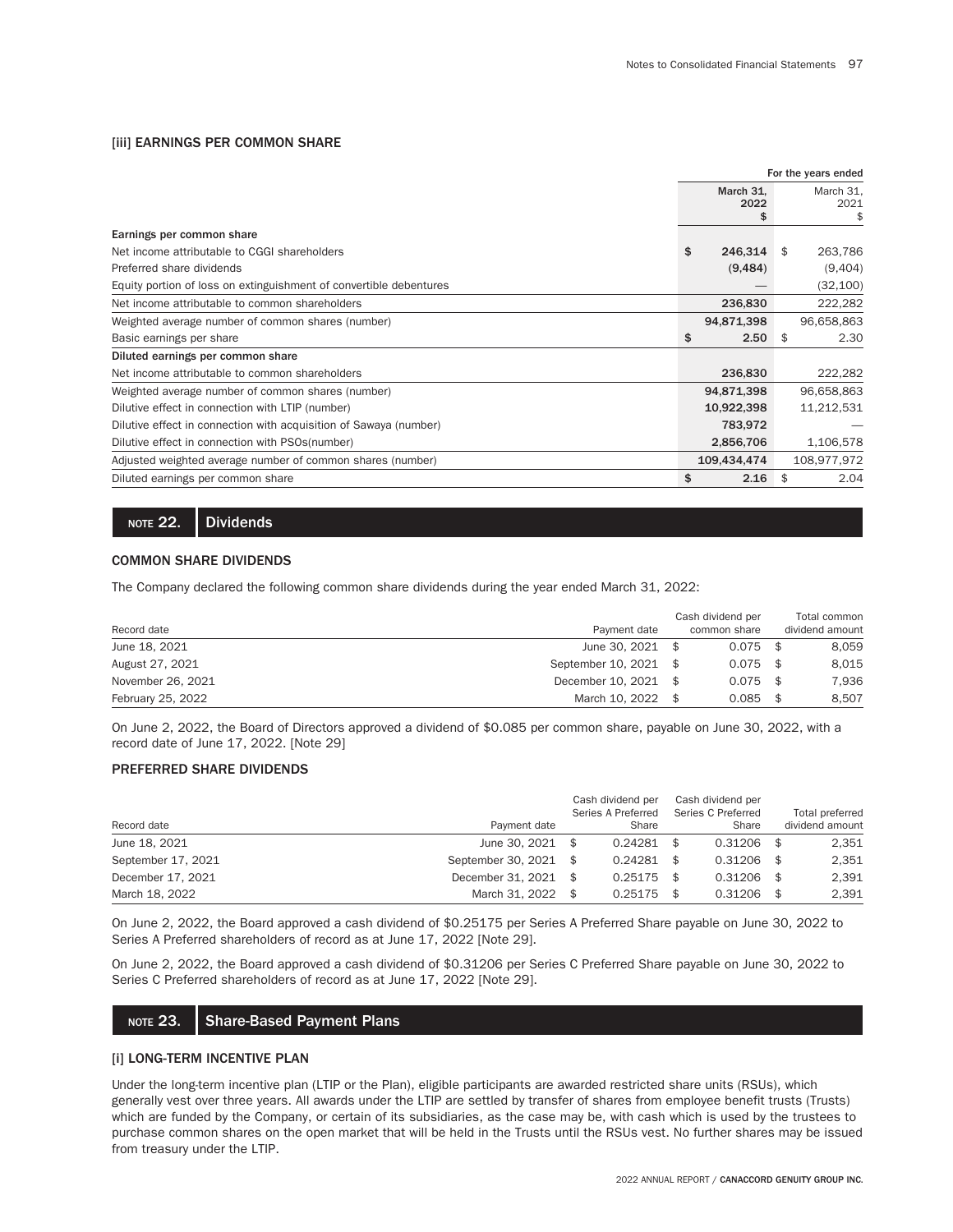#### [iii] EARNINGS PER COMMON SHARE

|                                                                    | For the years ended    |                   |  |
|--------------------------------------------------------------------|------------------------|-------------------|--|
|                                                                    | March 31,<br>2022<br>S | March 31,<br>2021 |  |
| Earnings per common share                                          |                        |                   |  |
| Net income attributable to CGGI shareholders                       | \$<br>246.314          | 263,786<br>\$     |  |
| Preferred share dividends                                          | (9, 484)               | (9,404)           |  |
| Equity portion of loss on extinguishment of convertible debentures |                        | (32, 100)         |  |
| Net income attributable to common shareholders                     | 236,830                | 222,282           |  |
| Weighted average number of common shares (number)                  | 94,871,398             | 96,658,863        |  |
| Basic earnings per share                                           | 2.50<br>\$             | 2.30<br>-\$       |  |
| Diluted earnings per common share                                  |                        |                   |  |
| Net income attributable to common shareholders                     | 236,830                | 222,282           |  |
| Weighted average number of common shares (number)                  | 94,871,398             | 96,658,863        |  |
| Dilutive effect in connection with LTIP (number)                   | 10,922,398             | 11,212,531        |  |
| Dilutive effect in connection with acquisition of Sawaya (number)  | 783,972                |                   |  |
| Dilutive effect in connection with PSO <sub>s</sub> (number)       | 2,856,706              | 1,106,578         |  |
| Adjusted weighted average number of common shares (number)         | 109,434,474            | 108,977,972       |  |
| Diluted earnings per common share                                  | \$<br>2.16             | 2.04<br>\$        |  |

# NOTE 22. Dividends

### COMMON SHARE DIVIDENDS

The Company declared the following common share dividends during the year ended March 31, 2022:

| Record date       | Payment date          | Cash dividend per<br>common share |      | Total common<br>dividend amount |
|-------------------|-----------------------|-----------------------------------|------|---------------------------------|
| June 18, 2021     | June 30, 2021 \$      | $0.075$ \$                        |      | 8,059                           |
| August 27, 2021   | September 10, 2021 \$ | $0.075$ \$                        |      | 8,015                           |
| November 26, 2021 | December 10, 2021 \$  | 0.075                             | - \$ | 7,936                           |
| February 25, 2022 | March 10, 2022        | 0.085                             | \$   | 8.507                           |

On June 2, 2022, the Board of Directors approved a dividend of \$0.085 per common share, payable on June 30, 2022, with a record date of June 17, 2022. [Note 29]

#### PREFERRED SHARE DIVIDENDS

|                    |                       | Cash dividend per<br>Series A Preferred | Cash dividend per<br>Series C Preferred | Total preferred |
|--------------------|-----------------------|-----------------------------------------|-----------------------------------------|-----------------|
| Record date        | Payment date          | Share                                   | Share                                   | dividend amount |
| June 18, 2021      | June 30, 2021 \$      | 0.24281                                 | \$<br>$0.31206$ \$                      | 2,351           |
| September 17, 2021 | September 30, 2021 \$ | 0.24281                                 | \$<br>$0.31206$ \$                      | 2,351           |
| December 17, 2021  | December 31, 2021 \$  | $0.25175$ \$                            | 0.31206                                 | \$<br>2,391     |
| March 18, 2022     | March 31, 2022 \$     | 0.25175                                 | 0.31206                                 | 2,391           |

On June 2, 2022, the Board approved a cash dividend of \$0.25175 per Series A Preferred Share payable on June 30, 2022 to Series A Preferred shareholders of record as at June 17, 2022 [Note 29].

On June 2, 2022, the Board approved a cash dividend of \$0.31206 per Series C Preferred Share payable on June 30, 2022 to Series C Preferred shareholders of record as at June 17, 2022 [Note 29].

#### NOTE 23. Share-Based Payment Plans

### [i] LONG-TERM INCENTIVE PLAN

Under the long-term incentive plan (LTIP or the Plan), eligible participants are awarded restricted share units (RSUs), which generally vest over three years. All awards under the LTIP are settled by transfer of shares from employee benefit trusts (Trusts) which are funded by the Company, or certain of its subsidiaries, as the case may be, with cash which is used by the trustees to purchase common shares on the open market that will be held in the Trusts until the RSUs vest. No further shares may be issued from treasury under the LTIP.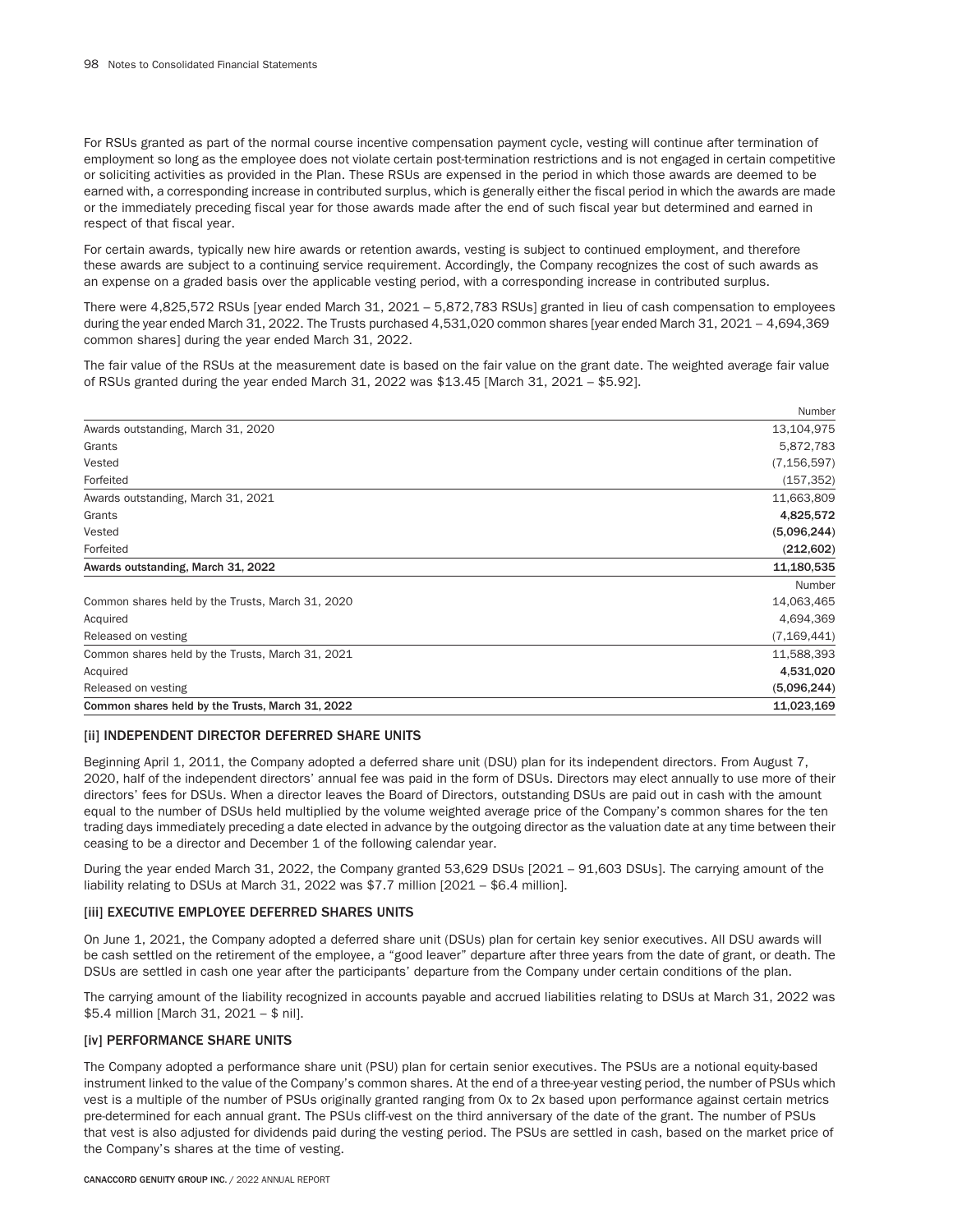For RSUs granted as part of the normal course incentive compensation payment cycle, vesting will continue after termination of employment so long as the employee does not violate certain post-termination restrictions and is not engaged in certain competitive or soliciting activities as provided in the Plan. These RSUs are expensed in the period in which those awards are deemed to be earned with, a corresponding increase in contributed surplus, which is generally either the fiscal period in which the awards are made or the immediately preceding fiscal year for those awards made after the end of such fiscal year but determined and earned in respect of that fiscal year.

For certain awards, typically new hire awards or retention awards, vesting is subject to continued employment, and therefore these awards are subject to a continuing service requirement. Accordingly, the Company recognizes the cost of such awards as an expense on a graded basis over the applicable vesting period, with a corresponding increase in contributed surplus.

There were 4,825,572 RSUs [year ended March 31, 2021 – 5,872,783 RSUs] granted in lieu of cash compensation to employees during the year ended March 31, 2022. The Trusts purchased 4,531,020 common shares [year ended March 31, 2021 – 4,694,369 common shares] during the year ended March 31, 2022.

The fair value of the RSUs at the measurement date is based on the fair value on the grant date. The weighted average fair value of RSUs granted during the year ended March 31, 2022 was \$13.45 [March 31, 2021 – \$5.92].

| Number        |
|---------------|
| 13,104,975    |
| 5,872,783     |
| (7, 156, 597) |
| (157, 352)    |
| 11,663,809    |
| 4,825,572     |
| (5,096,244)   |
| (212, 602)    |
| 11,180,535    |
| Number        |
| 14,063,465    |
| 4,694,369     |
| (7, 169, 441) |
| 11,588,393    |
| 4,531,020     |
| (5,096,244)   |
| 11,023,169    |
|               |

#### [ii] INDEPENDENT DIRECTOR DEFERRED SHARE UNITS

Beginning April 1, 2011, the Company adopted a deferred share unit (DSU) plan for its independent directors. From August 7, 2020, half of the independent directors' annual fee was paid in the form of DSUs. Directors may elect annually to use more of their directors' fees for DSUs. When a director leaves the Board of Directors, outstanding DSUs are paid out in cash with the amount equal to the number of DSUs held multiplied by the volume weighted average price of the Company's common shares for the ten trading days immediately preceding a date elected in advance by the outgoing director as the valuation date at any time between their ceasing to be a director and December 1 of the following calendar year.

During the year ended March 31, 2022, the Company granted 53,629 DSUs [2021 – 91,603 DSUs]. The carrying amount of the liability relating to DSUs at March 31, 2022 was \$7.7 million [2021 – \$6.4 million].

#### [iii] EXECUTIVE EMPLOYEE DEFERRED SHARES UNITS

On June 1, 2021, the Company adopted a deferred share unit (DSUs) plan for certain key senior executives. All DSU awards will be cash settled on the retirement of the employee, a "good leaver" departure after three years from the date of grant, or death. The DSUs are settled in cash one year after the participants' departure from the Company under certain conditions of the plan.

The carrying amount of the liability recognized in accounts payable and accrued liabilities relating to DSUs at March 31, 2022 was \$5.4 million [March 31, 2021 – \$ nil].

#### [iv] PERFORMANCE SHARE UNITS

The Company adopted a performance share unit (PSU) plan for certain senior executives. The PSUs are a notional equity-based instrument linked to the value of the Company's common shares. At the end of a three-year vesting period, the number of PSUs which vest is a multiple of the number of PSUs originally granted ranging from 0x to 2x based upon performance against certain metrics pre-determined for each annual grant. The PSUs cliff-vest on the third anniversary of the date of the grant. The number of PSUs that vest is also adjusted for dividends paid during the vesting period. The PSUs are settled in cash, based on the market price of the Company's shares at the time of vesting.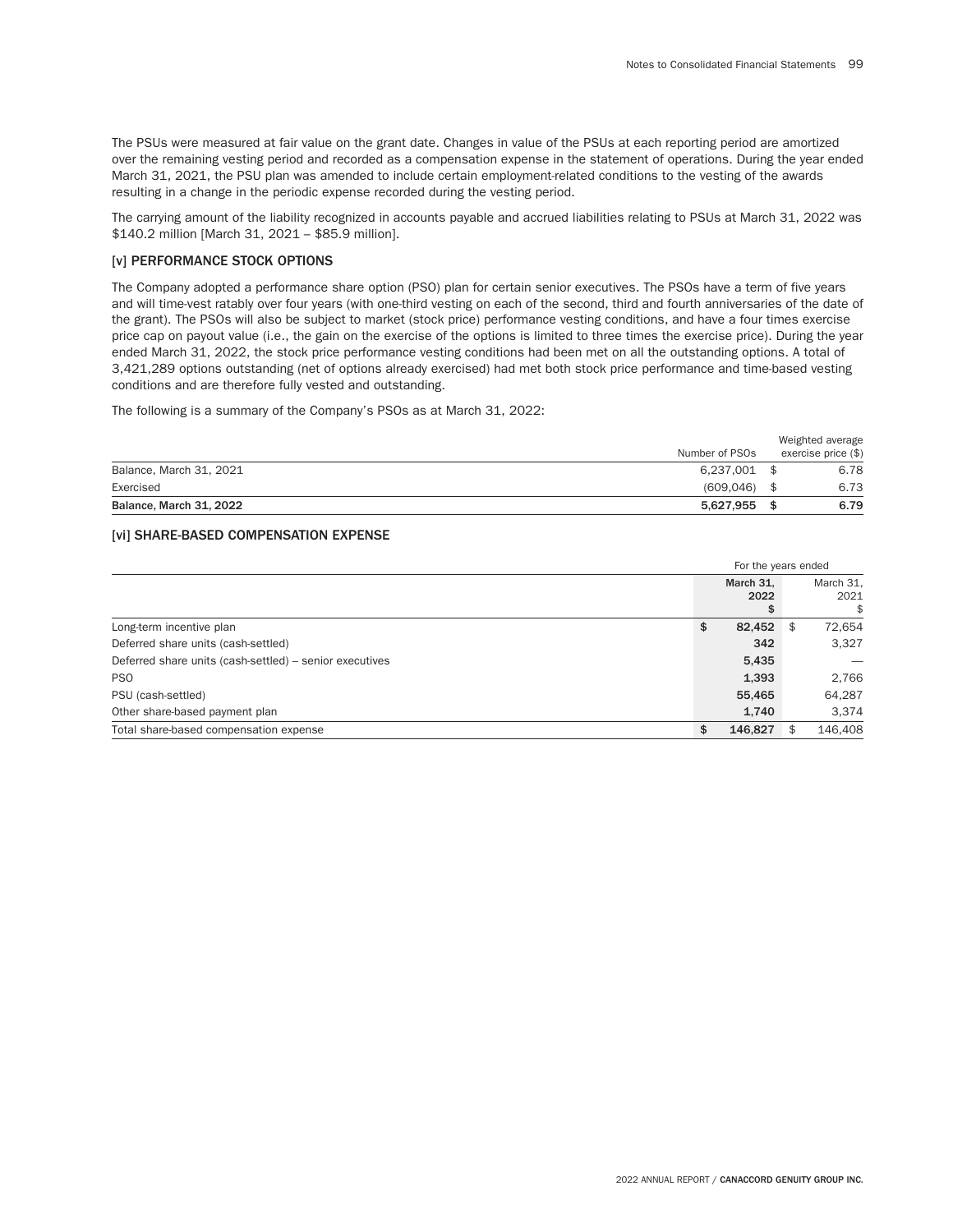The PSUs were measured at fair value on the grant date. Changes in value of the PSUs at each reporting period are amortized over the remaining vesting period and recorded as a compensation expense in the statement of operations. During the year ended March 31, 2021, the PSU plan was amended to include certain employment-related conditions to the vesting of the awards resulting in a change in the periodic expense recorded during the vesting period.

The carrying amount of the liability recognized in accounts payable and accrued liabilities relating to PSUs at March 31, 2022 was \$140.2 million [March 31, 2021 – \$85.9 million].

#### [v] PERFORMANCE STOCK OPTIONS

The Company adopted a performance share option (PSO) plan for certain senior executives. The PSOs have a term of five years and will time-vest ratably over four years (with one-third vesting on each of the second, third and fourth anniversaries of the date of the grant). The PSOs will also be subject to market (stock price) performance vesting conditions, and have a four times exercise price cap on payout value (i.e., the gain on the exercise of the options is limited to three times the exercise price). During the year ended March 31, 2022, the stock price performance vesting conditions had been met on all the outstanding options. A total of 3,421,289 options outstanding (net of options already exercised) had met both stock price performance and time-based vesting conditions and are therefore fully vested and outstanding.

The following is a summary of the Company's PSOs as at March 31, 2022:

| Number of PSOs                       | Weighted average<br>exercise price (\$) |
|--------------------------------------|-----------------------------------------|
| Balance, March 31, 2021<br>6.237.001 | 6.78                                    |
| (609.046)<br>Exercised               | 6.73                                    |
| Balance, March 31, 2022<br>5.627.955 | 6.79                                    |

### [vi] SHARE-BASED COMPENSATION EXPENSE

|                                                         |    | For the years ended     |     |                         |
|---------------------------------------------------------|----|-------------------------|-----|-------------------------|
|                                                         |    | March 31.<br>2022<br>\$ |     | March 31,<br>2021<br>\$ |
| Long-term incentive plan                                | \$ | 82,452                  | -\$ | 72,654                  |
| Deferred share units (cash-settled)                     |    | 342                     |     | 3,327                   |
| Deferred share units (cash-settled) – senior executives |    | 5,435                   |     |                         |
| <b>PSO</b>                                              |    | 1,393                   |     | 2,766                   |
| PSU (cash-settled)                                      |    | 55,465                  |     | 64,287                  |
| Other share-based payment plan                          |    | 1.740                   |     | 3,374                   |
| Total share-based compensation expense                  | \$ | 146,827                 | \$  | 146,408                 |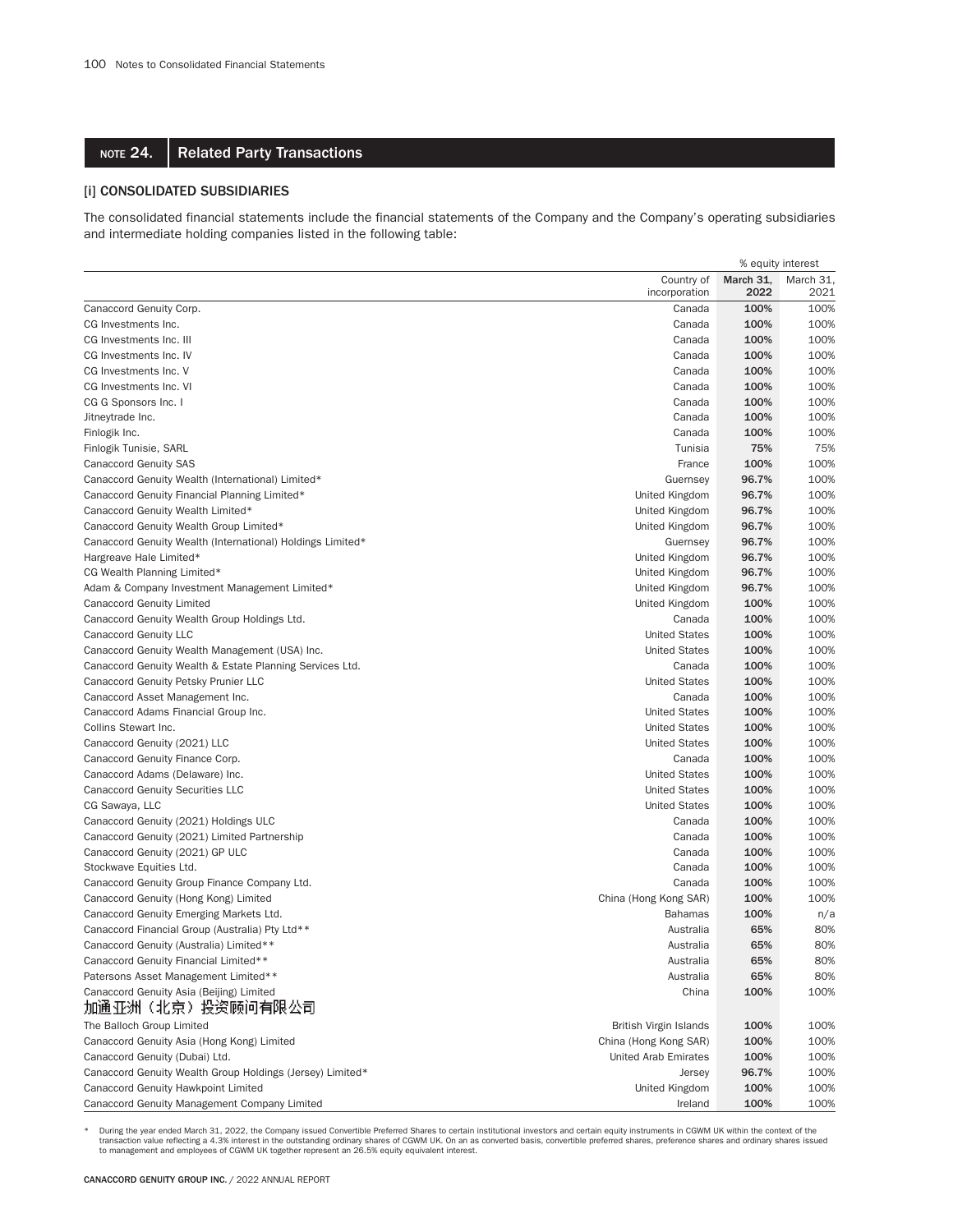# NOTE 24. | Related Party Transactions

# [i] CONSOLIDATED SUBSIDIARIES

The consolidated financial statements include the financial statements of the Company and the Company's operating subsidiaries and intermediate holding companies listed in the following table:

|                                                              |                             |                   | % equity interest |
|--------------------------------------------------------------|-----------------------------|-------------------|-------------------|
|                                                              | Country of<br>incorporation | March 31,<br>2022 | March 31,<br>2021 |
| Canaccord Genuity Corp.                                      | Canada                      | 100%              | 100%              |
| CG Investments Inc.                                          | Canada                      | 100%              | 100%              |
| CG Investments Inc. III                                      | Canada                      | 100%              | 100%              |
| CG Investments Inc. IV                                       | Canada                      | 100%              | 100%              |
| CG Investments Inc. V                                        | Canada                      | 100%              | 100%              |
| CG Investments Inc. VI                                       | Canada                      | 100%              | 100%              |
| CG G Sponsors Inc. I                                         | Canada                      | 100%              | 100%              |
| Jitneytrade Inc.                                             | Canada                      | 100%              | 100%              |
| Finlogik Inc.                                                | Canada                      | 100%              | 100%              |
| Finlogik Tunisie, SARL                                       | Tunisia                     | 75%               | 75%               |
| <b>Canaccord Genuity SAS</b>                                 | France                      | 100%              | 100%              |
| Canaccord Genuity Wealth (International) Limited*            | Guernsey                    | 96.7%             | 100%              |
| Canaccord Genuity Financial Planning Limited*                | United Kingdom              | 96.7%             | 100%              |
| Canaccord Genuity Wealth Limited*                            | United Kingdom              | 96.7%             | 100%              |
| Canaccord Genuity Wealth Group Limited*                      | United Kingdom              | 96.7%             | 100%              |
| Canaccord Genuity Wealth (International) Holdings Limited*   | Guernsey                    | 96.7%             | 100%              |
| Hargreave Hale Limited*                                      | United Kingdom              | 96.7%             | 100%              |
| CG Wealth Planning Limited*                                  | United Kingdom              | 96.7%             | 100%              |
| Adam & Company Investment Management Limited*                | United Kingdom              | 96.7%             | 100%              |
| <b>Canaccord Genuity Limited</b>                             | United Kingdom              | 100%              | 100%              |
| Canaccord Genuity Wealth Group Holdings Ltd.                 | Canada                      | 100%              | 100%              |
|                                                              | <b>United States</b>        |                   | 100%              |
| Canaccord Genuity LLC                                        | <b>United States</b>        | 100%<br>100%      | 100%              |
| Canaccord Genuity Wealth Management (USA) Inc.               | Canada                      | 100%              | 100%              |
| Canaccord Genuity Wealth & Estate Planning Services Ltd.     |                             |                   |                   |
| Canaccord Genuity Petsky Prunier LLC                         | <b>United States</b>        | 100%              | 100%              |
| Canaccord Asset Management Inc.                              | Canada                      | 100%              | 100%              |
| Canaccord Adams Financial Group Inc.                         | <b>United States</b>        | 100%              | 100%              |
| Collins Stewart Inc.                                         | <b>United States</b>        | 100%              | 100%              |
| Canaccord Genuity (2021) LLC                                 | <b>United States</b>        | 100%              | 100%              |
| Canaccord Genuity Finance Corp.                              | Canada                      | 100%              | 100%              |
| Canaccord Adams (Delaware) Inc.                              | <b>United States</b>        | 100%              | 100%              |
| <b>Canaccord Genuity Securities LLC</b>                      | <b>United States</b>        | 100%              | 100%              |
| CG Sawaya, LLC                                               | <b>United States</b>        | 100%              | 100%              |
| Canaccord Genuity (2021) Holdings ULC                        | Canada                      | 100%              | 100%              |
| Canaccord Genuity (2021) Limited Partnership                 | Canada                      | 100%              | 100%              |
| Canaccord Genuity (2021) GP ULC                              | Canada                      | 100%              | 100%              |
| Stockwave Equities Ltd.                                      | Canada                      | 100%              | 100%              |
| Canaccord Genuity Group Finance Company Ltd.                 | Canada                      | 100%              | 100%              |
| Canaccord Genuity (Hong Kong) Limited                        | China (Hong Kong SAR)       | 100%              | 100%              |
| Canaccord Genuity Emerging Markets Ltd.                      | <b>Bahamas</b>              | 100%              | n/a               |
| Canaccord Financial Group (Australia) Pty Ltd**              | Australia                   | 65%               | 80%               |
| Canaccord Genuity (Australia) Limited**                      | Australia                   | 65%               | 80%               |
| Canaccord Genuity Financial Limited**                        | Australia                   | 65%               | 80%               |
| Patersons Asset Management Limited**                         | Australia                   | 65%               | 80%               |
| Canaccord Genuity Asia (Beijing) Limited<br>加通亚洲(北京)投资顾问有限公司 | China                       | 100%              | 100%              |
| The Balloch Group Limited                                    | British Virgin Islands      | 100%              | 100%              |
| Canaccord Genuity Asia (Hong Kong) Limited                   | China (Hong Kong SAR)       | 100%              | 100%              |
| Canaccord Genuity (Dubai) Ltd.                               | <b>United Arab Emirates</b> | 100%              | 100%              |
| Canaccord Genuity Wealth Group Holdings (Jersey) Limited*    | Jersey                      | 96.7%             | 100%              |
| Canaccord Genuity Hawkpoint Limited                          | United Kingdom              | 100%              | 100%              |
| Canaccord Genuity Management Company Limited                 | Ireland                     | 100%              | 100%              |

\* During the year ended March 31, 2022, the Company issued Convertible Preferred Shares to certain institutional investors and certain equity instruments in CGWM UK within the context of the<br>transaction value reflecting a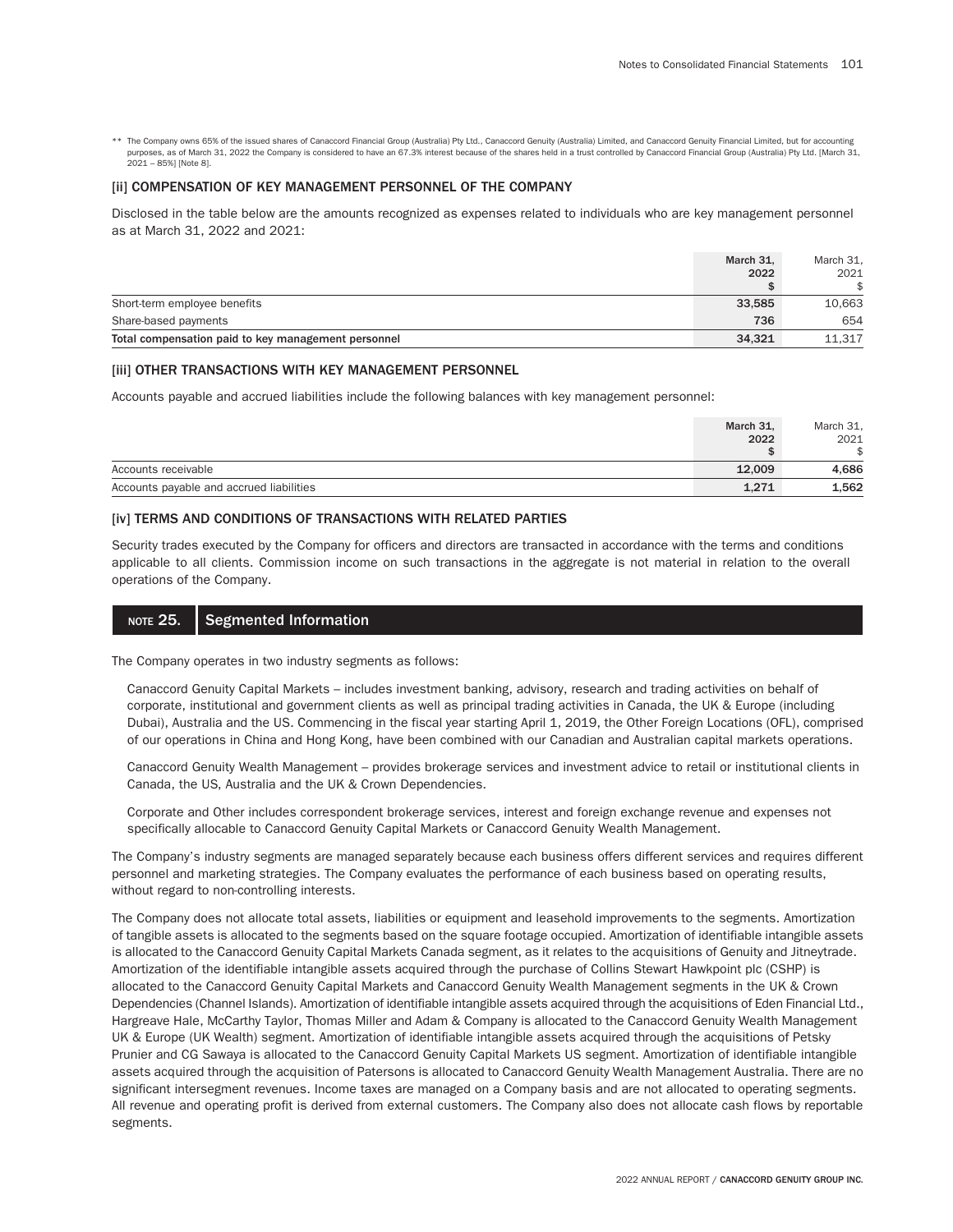\*\* The Company owns 65% of the issued shares of Canaccord Financial Group (Australia) Pty Ltd., Canaccord Genuity (Australia) Limited, and Canaccord Genuity Financial Limited, but for accounting purposes, as of March 31, 2022 the Company is considered to have an 67.3% interest because of the shares held in a trust controlled by Canaccord Financial Group (Australia) Pty Ltd. [March 31, 2021 – 85%] [Note 8].

#### [ii] COMPENSATION OF KEY MANAGEMENT PERSONNEL OF THE COMPANY

Disclosed in the table below are the amounts recognized as expenses related to individuals who are key management personnel as at March 31, 2022 and 2021:

|                                                     | March 31. | March 31. |
|-----------------------------------------------------|-----------|-----------|
|                                                     | 2022      | 2021      |
|                                                     |           | \$        |
| Short-term employee benefits                        | 33.585    | 10,663    |
| Share-based payments                                | 736       | 654       |
| Total compensation paid to key management personnel | 34.321    | 11.317    |

#### [iii] OTHER TRANSACTIONS WITH KEY MANAGEMENT PERSONNEL

Accounts payable and accrued liabilities include the following balances with key management personnel:

|                                          | March 31, | March 31,      |
|------------------------------------------|-----------|----------------|
|                                          | 2022      | 2021           |
|                                          |           | $\mathfrak{L}$ |
| Accounts receivable                      | 12.009    | 4.686          |
| Accounts payable and accrued liabilities | 1.271     | 1,562          |

#### [iv] TERMS AND CONDITIONS OF TRANSACTIONS WITH RELATED PARTIES

Security trades executed by the Company for officers and directors are transacted in accordance with the terms and conditions applicable to all clients. Commission income on such transactions in the aggregate is not material in relation to the overall operations of the Company.

#### NOTE 25. Segmented Information

The Company operates in two industry segments as follows:

Canaccord Genuity Capital Markets – includes investment banking, advisory, research and trading activities on behalf of corporate, institutional and government clients as well as principal trading activities in Canada, the UK & Europe (including Dubai), Australia and the US. Commencing in the fiscal year starting April 1, 2019, the Other Foreign Locations (OFL), comprised of our operations in China and Hong Kong, have been combined with our Canadian and Australian capital markets operations.

Canaccord Genuity Wealth Management – provides brokerage services and investment advice to retail or institutional clients in Canada, the US, Australia and the UK & Crown Dependencies.

Corporate and Other includes correspondent brokerage services, interest and foreign exchange revenue and expenses not specifically allocable to Canaccord Genuity Capital Markets or Canaccord Genuity Wealth Management.

The Company's industry segments are managed separately because each business offers different services and requires different personnel and marketing strategies. The Company evaluates the performance of each business based on operating results, without regard to non-controlling interests.

The Company does not allocate total assets, liabilities or equipment and leasehold improvements to the segments. Amortization of tangible assets is allocated to the segments based on the square footage occupied. Amortization of identifiable intangible assets is allocated to the Canaccord Genuity Capital Markets Canada segment, as it relates to the acquisitions of Genuity and Jitneytrade. Amortization of the identifiable intangible assets acquired through the purchase of Collins Stewart Hawkpoint plc (CSHP) is allocated to the Canaccord Genuity Capital Markets and Canaccord Genuity Wealth Management segments in the UK & Crown Dependencies (Channel Islands). Amortization of identifiable intangible assets acquired through the acquisitions of Eden Financial Ltd., Hargreave Hale, McCarthy Taylor, Thomas Miller and Adam & Company is allocated to the Canaccord Genuity Wealth Management UK & Europe (UK Wealth) segment. Amortization of identifiable intangible assets acquired through the acquisitions of Petsky Prunier and CG Sawaya is allocated to the Canaccord Genuity Capital Markets US segment. Amortization of identifiable intangible assets acquired through the acquisition of Patersons is allocated to Canaccord Genuity Wealth Management Australia. There are no significant intersegment revenues. Income taxes are managed on a Company basis and are not allocated to operating segments. All revenue and operating profit is derived from external customers. The Company also does not allocate cash flows by reportable segments.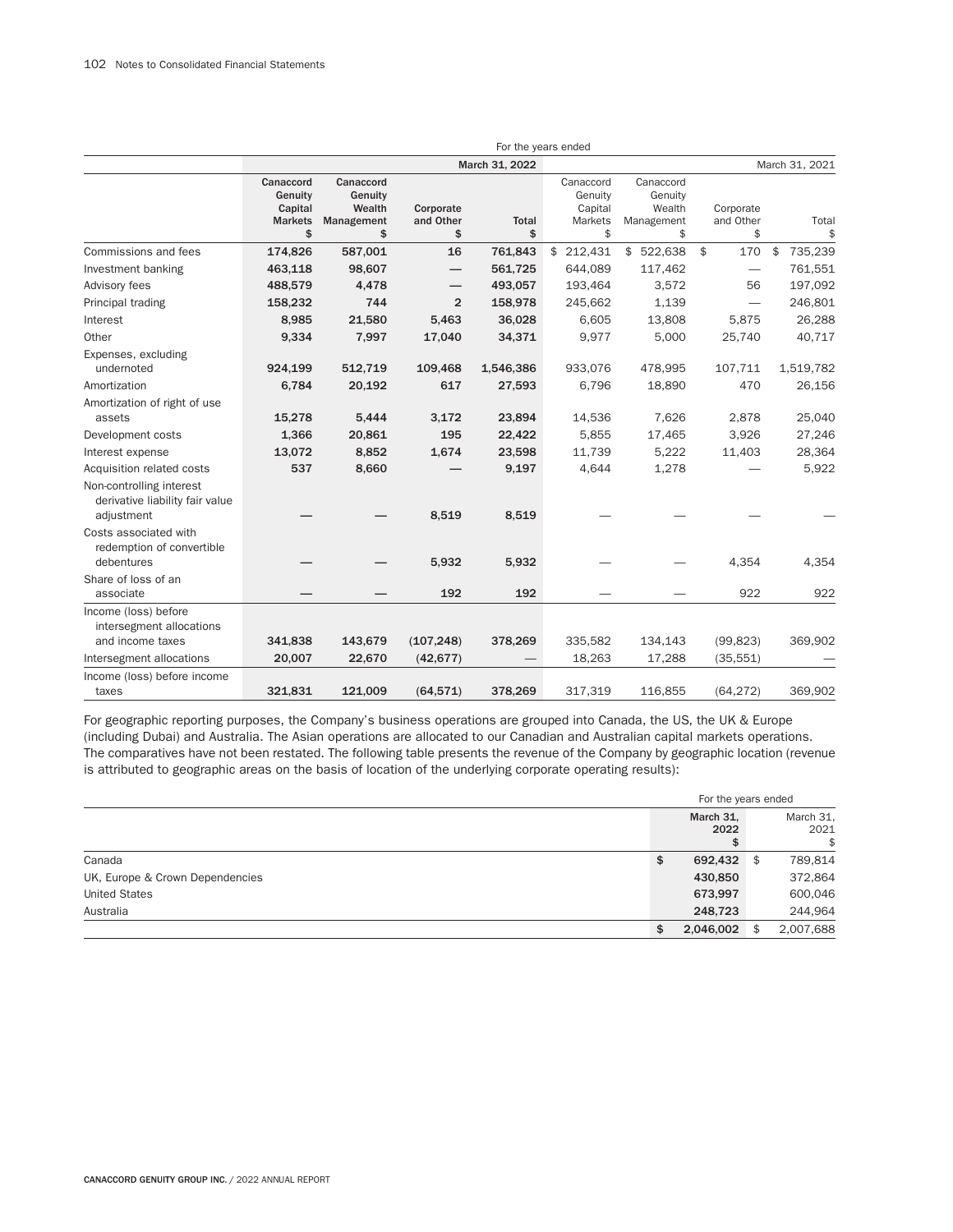|                                                                           |                                                         |                                                    |                              |                     | For the years ended                              |                                                    |                              |                     |  |  |
|---------------------------------------------------------------------------|---------------------------------------------------------|----------------------------------------------------|------------------------------|---------------------|--------------------------------------------------|----------------------------------------------------|------------------------------|---------------------|--|--|
|                                                                           |                                                         |                                                    |                              | March 31, 2022      |                                                  |                                                    | March 31, 2021               |                     |  |  |
|                                                                           | Canaccord<br>Genuity<br>Capital<br><b>Markets</b><br>\$ | Canaccord<br>Genuity<br>Wealth<br>Management<br>\$ | Corporate<br>and Other<br>\$ | <b>Total</b><br>\$  | Canaccord<br>Genuity<br>Capital<br>Markets<br>\$ | Canaccord<br>Genuity<br>Wealth<br>Management<br>\$ | Corporate<br>and Other<br>\$ | Total<br>\$         |  |  |
| Commissions and fees                                                      | 174,826                                                 | 587,001                                            | 16                           | 761,843             | 212,431<br>\$                                    | \$522,638                                          | 170<br>\$                    | 735,239<br>\$       |  |  |
| Investment banking                                                        | 463,118                                                 | 98,607                                             |                              | 561,725             | 644,089                                          | 117,462                                            | $\overline{\phantom{0}}$     | 761,551             |  |  |
| Advisory fees                                                             | 488,579                                                 | 4,478                                              |                              | 493,057             | 193,464                                          | 3,572                                              | 56                           | 197,092             |  |  |
| Principal trading                                                         | 158,232                                                 | 744                                                | $\overline{2}$               | 158,978             | 245,662                                          | 1,139                                              | $\overline{\phantom{0}}$     | 246,801             |  |  |
| Interest                                                                  | 8,985                                                   | 21,580                                             | 5,463                        | 36,028              | 6,605                                            | 13,808                                             | 5,875                        | 26,288              |  |  |
| Other                                                                     | 9,334                                                   | 7,997                                              | 17,040                       | 34,371              | 9,977                                            | 5,000                                              | 25,740                       | 40,717              |  |  |
| Expenses, excluding<br>undernoted<br>Amortization                         | 924,199<br>6,784                                        | 512,719<br>20,192                                  | 109,468<br>617               | 1,546,386<br>27,593 | 933,076<br>6,796                                 | 478,995<br>18,890                                  | 107,711<br>470               | 1,519,782<br>26,156 |  |  |
|                                                                           |                                                         |                                                    |                              |                     |                                                  |                                                    |                              |                     |  |  |
| Amortization of right of use<br>assets                                    | 15,278                                                  | 5,444                                              | 3,172                        | 23,894              | 14,536                                           | 7,626                                              | 2,878                        | 25,040              |  |  |
| Development costs                                                         | 1,366                                                   | 20,861                                             | 195                          | 22,422              | 5,855                                            | 17,465                                             | 3,926                        | 27,246              |  |  |
| Interest expense                                                          | 13,072                                                  | 8,852                                              | 1,674                        | 23,598              | 11,739                                           | 5,222                                              | 11,403                       | 28,364              |  |  |
| Acquisition related costs                                                 | 537                                                     | 8,660                                              |                              | 9,197               | 4,644                                            | 1,278                                              |                              | 5,922               |  |  |
| Non-controlling interest<br>derivative liability fair value<br>adjustment |                                                         |                                                    | 8,519                        | 8,519               |                                                  |                                                    |                              |                     |  |  |
| Costs associated with<br>redemption of convertible<br>debentures          |                                                         |                                                    | 5,932                        | 5,932               |                                                  |                                                    | 4,354                        | 4,354               |  |  |
| Share of loss of an                                                       |                                                         |                                                    |                              |                     |                                                  |                                                    |                              |                     |  |  |
| associate                                                                 |                                                         |                                                    | 192                          | 192                 |                                                  |                                                    | 922                          | 922                 |  |  |
| Income (loss) before<br>intersegment allocations<br>and income taxes      | 341,838                                                 | 143,679                                            | (107, 248)                   | 378,269             | 335,582                                          | 134,143                                            | (99, 823)                    | 369,902             |  |  |
| Intersegment allocations                                                  | 20,007                                                  | 22,670                                             | (42, 677)                    |                     | 18,263                                           | 17,288                                             | (35, 551)                    |                     |  |  |
| Income (loss) before income<br>taxes                                      | 321,831                                                 | 121,009                                            | (64, 571)                    | 378,269             | 317,319                                          | 116,855                                            | (64, 272)                    | 369,902             |  |  |

For geographic reporting purposes, the Company's business operations are grouped into Canada, the US, the UK & Europe (including Dubai) and Australia. The Asian operations are allocated to our Canadian and Australian capital markets operations. The comparatives have not been restated. The following table presents the revenue of the Company by geographic location (revenue is attributed to geographic areas on the basis of location of the underlying corporate operating results):

|                                 | For the years ended     |          |                         |  |
|---------------------------------|-------------------------|----------|-------------------------|--|
|                                 | March 31,<br>2022<br>\$ |          | March 31,<br>2021<br>\$ |  |
| Canada                          | \$<br>692,432           | <b>S</b> | 789,814                 |  |
| UK, Europe & Crown Dependencies | 430,850                 |          | 372,864                 |  |
| <b>United States</b>            | 673,997                 |          | 600,046                 |  |
| Australia                       | 248,723                 |          | 244,964                 |  |
|                                 | \$<br>2,046,002         | \$       | 2,007,688               |  |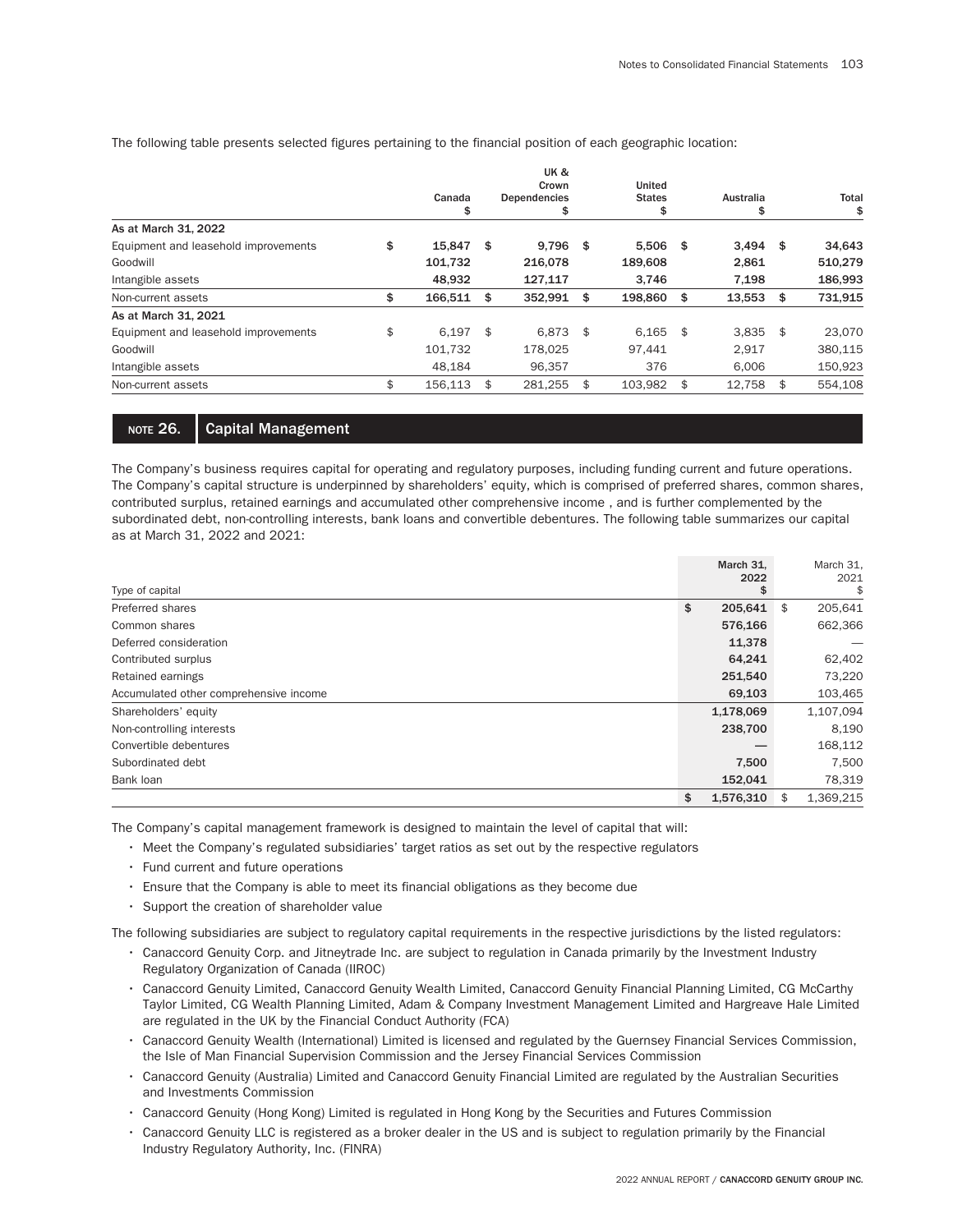Canada \$ UK & Crown Dependencies \$ United **States** \$ Australia \$ Total \$ As at March 31, 2022 Equipment and leasehold improvements  $$ 15,847 $ 9,796 $ 5,506 $ 3,494 $ 34,643$ Goodwill 101,732 216,078 189,608 2,861 510,279 Intangible assets **186,993 127,117 136,993 186,993** Non-current assets **166,511 \$ 166,511 \$ 352,991 \$ 198,860 \$ 13,553 \$ 731,915** As at March 31, 2021 Equipment and leasehold improvements \$ 6,197 \$ 6,873 \$ 6,165 \$ 3,835 \$ 23,070 Goodwill 101,732 178,025 97,441 2,917 380,115 Intangible assets **150,923** 48,184 96,357 376 6,006 150,923 Non-current assets 654,108 \$ 156,113 \$ 281,255 \$ 103,982 \$ 12,758 \$ 554,108

The following table presents selected figures pertaining to the financial position of each geographic location:

#### NOTE 26. | Capital Management

The Company's business requires capital for operating and regulatory purposes, including funding current and future operations. The Company's capital structure is underpinned by shareholders' equity, which is comprised of preferred shares, common shares, contributed surplus, retained earnings and accumulated other comprehensive income , and is further complemented by the subordinated debt, non-controlling interests, bank loans and convertible debentures. The following table summarizes our capital as at March 31, 2022 and 2021:

|                                        | March 31,<br>2022 | March 31,<br>2021 |
|----------------------------------------|-------------------|-------------------|
| Type of capital                        | \$                | \$                |
| Preferred shares                       | \$<br>205,641     | 205,641<br>\$     |
| Common shares                          | 576,166           | 662,366           |
| Deferred consideration                 | 11,378            |                   |
| Contributed surplus                    | 64,241            | 62,402            |
| Retained earnings                      | 251,540           | 73,220            |
| Accumulated other comprehensive income | 69,103            | 103,465           |
| Shareholders' equity                   | 1,178,069         | 1,107,094         |
| Non-controlling interests              | 238,700           | 8,190             |
| Convertible debentures                 |                   | 168,112           |
| Subordinated debt                      | 7,500             | 7,500             |
| Bank loan                              | 152,041           | 78,319            |
|                                        | \$<br>1,576,310   | 1,369,215<br>\$   |

The Company's capital management framework is designed to maintain the level of capital that will:

- Meet the Company's regulated subsidiaries' target ratios as set out by the respective regulators
- Fund current and future operations
- Ensure that the Company is able to meet its financial obligations as they become due
- Support the creation of shareholder value

The following subsidiaries are subject to regulatory capital requirements in the respective jurisdictions by the listed regulators:

- Canaccord Genuity Corp. and Jitneytrade Inc. are subject to regulation in Canada primarily by the Investment Industry Regulatory Organization of Canada (IIROC)
- Canaccord Genuity Limited, Canaccord Genuity Wealth Limited, Canaccord Genuity Financial Planning Limited, CG McCarthy Taylor Limited, CG Wealth Planning Limited, Adam & Company Investment Management Limited and Hargreave Hale Limited are regulated in the UK by the Financial Conduct Authority (FCA)
- Canaccord Genuity Wealth (International) Limited is licensed and regulated by the Guernsey Financial Services Commission, the Isle of Man Financial Supervision Commission and the Jersey Financial Services Commission
- Canaccord Genuity (Australia) Limited and Canaccord Genuity Financial Limited are regulated by the Australian Securities and Investments Commission
- Canaccord Genuity (Hong Kong) Limited is regulated in Hong Kong by the Securities and Futures Commission
- Canaccord Genuity LLC is registered as a broker dealer in the US and is subject to regulation primarily by the Financial Industry Regulatory Authority, Inc. (FINRA)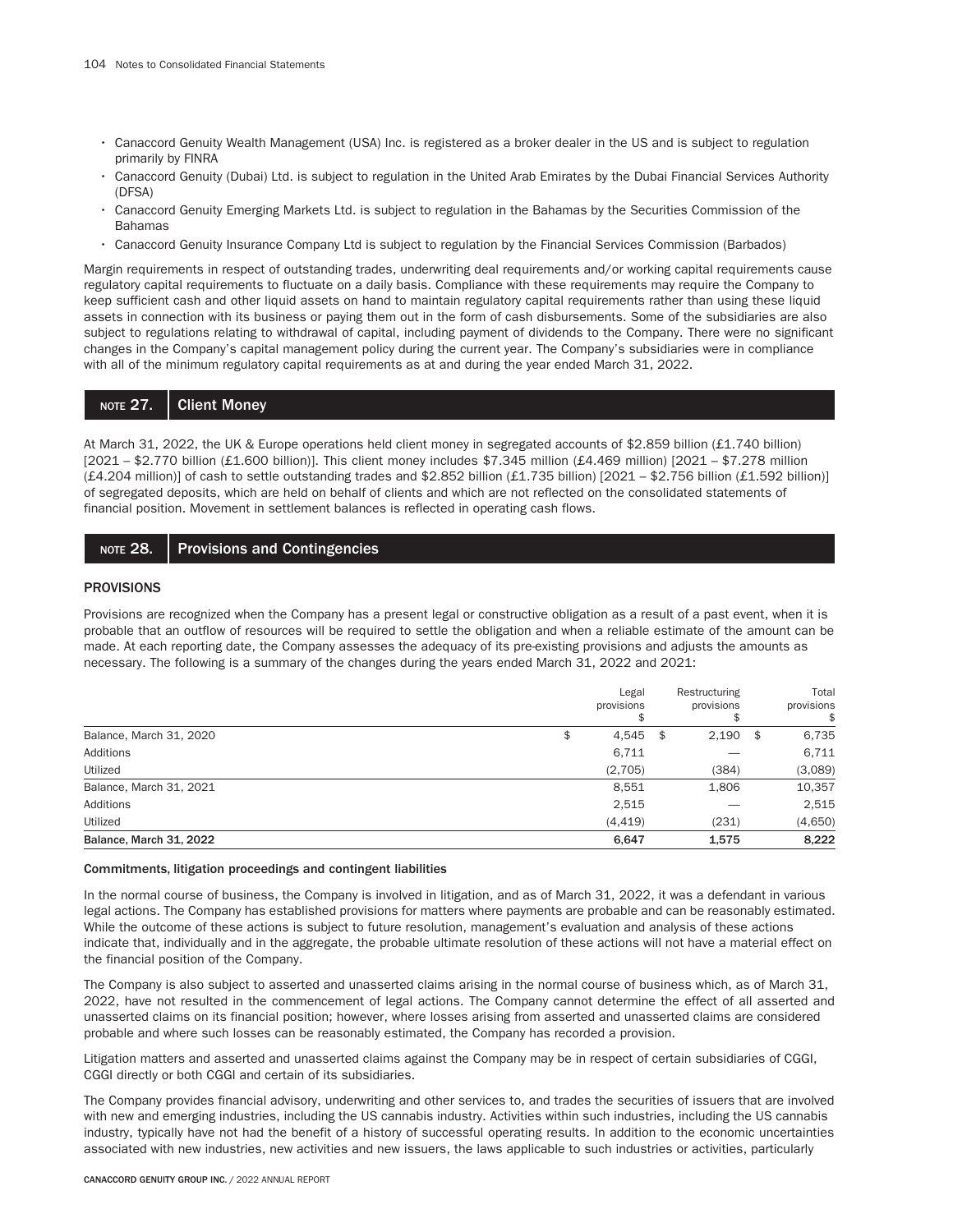- Canaccord Genuity Wealth Management (USA) Inc. is registered as a broker dealer in the US and is subject to regulation primarily by FINRA
- Canaccord Genuity (Dubai) Ltd. is subject to regulation in the United Arab Emirates by the Dubai Financial Services Authority (DFSA)
- Canaccord Genuity Emerging Markets Ltd. is subject to regulation in the Bahamas by the Securities Commission of the Bahamas
- Canaccord Genuity Insurance Company Ltd is subject to regulation by the Financial Services Commission (Barbados)

Margin requirements in respect of outstanding trades, underwriting deal requirements and/or working capital requirements cause regulatory capital requirements to fluctuate on a daily basis. Compliance with these requirements may require the Company to keep sufficient cash and other liquid assets on hand to maintain regulatory capital requirements rather than using these liquid assets in connection with its business or paying them out in the form of cash disbursements. Some of the subsidiaries are also subject to regulations relating to withdrawal of capital, including payment of dividends to the Company. There were no significant changes in the Company's capital management policy during the current year. The Company's subsidiaries were in compliance with all of the minimum regulatory capital requirements as at and during the year ended March 31, 2022.

# NOTE 27. Client Money

At March 31, 2022, the UK & Europe operations held client money in segregated accounts of \$2.859 billion (£1.740 billion) [2021 – \$2.770 billion (£1.600 billion)]. This client money includes \$7.345 million (£4.469 million) [2021 – \$7.278 million  $(£4.204$  million)] of cash to settle outstanding trades and \$2.852 billion  $(£1.735$  billion)  $[2021 - $2.756$  billion  $(£1.592$  billion)] of segregated deposits, which are held on behalf of clients and which are not reflected on the consolidated statements of financial position. Movement in settlement balances is reflected in operating cash flows.

### NOTE 28. Provisions and Contingencies

#### PROVISIONS

Provisions are recognized when the Company has a present legal or constructive obligation as a result of a past event, when it is probable that an outflow of resources will be required to settle the obligation and when a reliable estimate of the amount can be made. At each reporting date, the Company assesses the adequacy of its pre-existing provisions and adjusts the amounts as necessary. The following is a summary of the changes during the years ended March 31, 2022 and 2021:

|                         | Legal<br>provisions | Restructuring<br>provisions |      | Total<br>provisions<br>\$ |
|-------------------------|---------------------|-----------------------------|------|---------------------------|
| Balance, March 31, 2020 | \$<br>4,545         | \$<br>2,190                 | - \$ | 6,735                     |
| Additions               | 6,711               |                             |      | 6,711                     |
| Utilized                | (2,705)             | (384)                       |      | (3,089)                   |
| Balance, March 31, 2021 | 8,551               | 1,806                       |      | 10,357                    |
| Additions               | 2,515               |                             |      | 2,515                     |
| Utilized                | (4, 419)            | (231)                       |      | (4,650)                   |
| Balance, March 31, 2022 | 6,647               | 1.575                       |      | 8,222                     |

#### Commitments, litigation proceedings and contingent liabilities

In the normal course of business, the Company is involved in litigation, and as of March 31, 2022, it was a defendant in various legal actions. The Company has established provisions for matters where payments are probable and can be reasonably estimated. While the outcome of these actions is subject to future resolution, management's evaluation and analysis of these actions indicate that, individually and in the aggregate, the probable ultimate resolution of these actions will not have a material effect on the financial position of the Company.

The Company is also subject to asserted and unasserted claims arising in the normal course of business which, as of March 31, 2022, have not resulted in the commencement of legal actions. The Company cannot determine the effect of all asserted and unasserted claims on its financial position; however, where losses arising from asserted and unasserted claims are considered probable and where such losses can be reasonably estimated, the Company has recorded a provision.

Litigation matters and asserted and unasserted claims against the Company may be in respect of certain subsidiaries of CGGI, CGGI directly or both CGGI and certain of its subsidiaries.

The Company provides financial advisory, underwriting and other services to, and trades the securities of issuers that are involved with new and emerging industries, including the US cannabis industry. Activities within such industries, including the US cannabis industry, typically have not had the benefit of a history of successful operating results. In addition to the economic uncertainties associated with new industries, new activities and new issuers, the laws applicable to such industries or activities, particularly